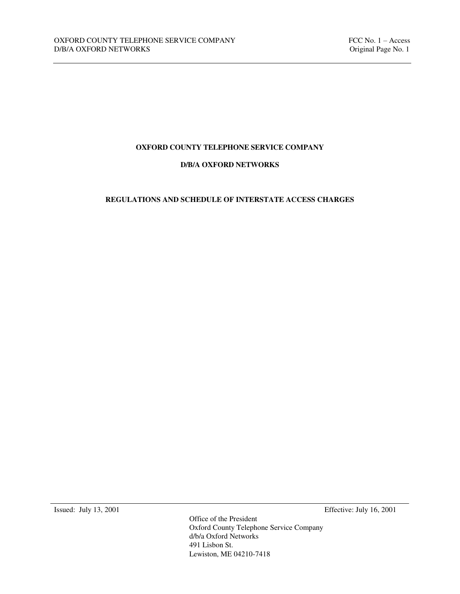# **OXFORD COUNTY TELEPHONE SERVICE COMPANY**

### **D/B/A OXFORD NETWORKS**

# **REGULATIONS AND SCHEDULE OF INTERSTATE ACCESS CHARGES**

Issued: July 13, 2001 Effective: July 16, 2001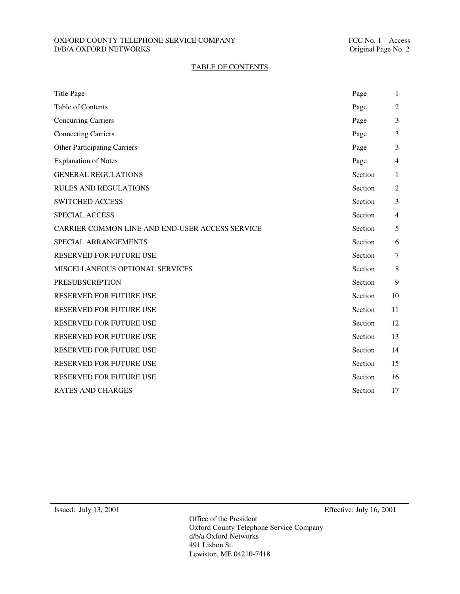### OXFORD COUNTY TELEPHONE SERVICE COMPANY FELOMENT FCC No. 1 – Access D/B/A OXFORD NETWORKS Criginal Page No. 2  $D/B/A$  OXFORD NETWORKS  $\;$

## TABLE OF CONTENTS

| <b>Title Page</b>                               | Page    | 1              |
|-------------------------------------------------|---------|----------------|
| Table of Contents                               | Page    | 2              |
| <b>Concurring Carriers</b>                      | Page    | 3              |
| <b>Connecting Carriers</b>                      | Page    | 3              |
| <b>Other Participating Carriers</b>             | Page    | 3              |
| <b>Explanation of Notes</b>                     | Page    | 4              |
| <b>GENERAL REGULATIONS</b>                      | Section | $\mathbf{1}$   |
| <b>RULES AND REGULATIONS</b>                    | Section | $\overline{2}$ |
| <b>SWITCHED ACCESS</b>                          | Section | 3              |
| <b>SPECIAL ACCESS</b>                           | Section | $\overline{4}$ |
| CARRIER COMMON LINE AND END-USER ACCESS SERVICE | Section | 5              |
| SPECIAL ARRANGEMENTS                            | Section | 6              |
| RESERVED FOR FUTURE USE                         | Section | $\tau$         |
| MISCELLANEOUS OPTIONAL SERVICES                 | Section | $\,$ 8 $\,$    |
| <b>PRESUBSCRIPTION</b>                          | Section | 9              |
| RESERVED FOR FUTURE USE                         | Section | 10             |
| <b>RESERVED FOR FUTURE USE</b>                  | Section | 11             |
| <b>RESERVED FOR FUTURE USE</b>                  | Section | 12             |
| RESERVED FOR FUTURE USE                         | Section | 13             |
| RESERVED FOR FUTURE USE                         | Section | 14             |
| RESERVED FOR FUTURE USE                         | Section | 15             |
| <b>RESERVED FOR FUTURE USE</b>                  | Section | 16             |
| <b>RATES AND CHARGES</b>                        | Section | 17             |

Issued: July 13, 2001 Effective: July 16, 2001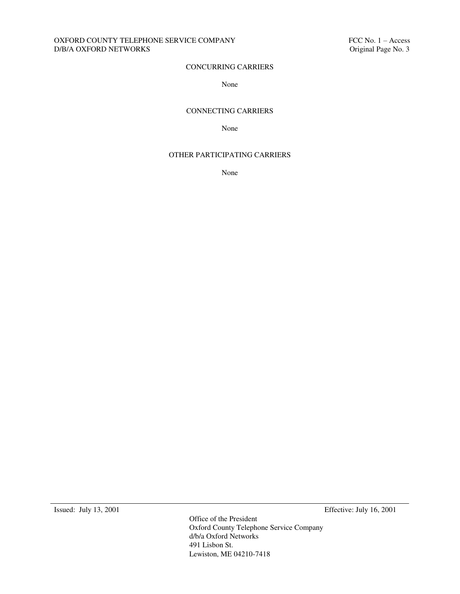### OXFORD COUNTY TELEPHONE SERVICE COMPANY FELOMORE SERVICE ON THE SERVICE ON THE SERVICE OF SUBJECTIVE SCRIBE Original Page No. 3  $D/B/A$  OXFORD NETWORKS  $\;$

# CONCURRING CARRIERS

### None

### CONNECTING CARRIERS

None

### OTHER PARTICIPATING CARRIERS

None

Issued: July 13, 2001 Effective: July 16, 2001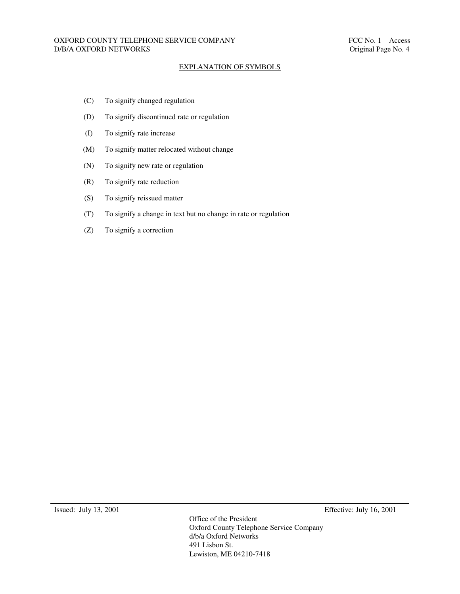#### EXPLANATION OF SYMBOLS

- (C) To signify changed regulation
- (D) To signify discontinued rate or regulation
- (I) To signify rate increase
- (M) To signify matter relocated without change
- (N) To signify new rate or regulation
- (R) To signify rate reduction
- (S) To signify reissued matter
- (T) To signify a change in text but no change in rate or regulation
- (Z) To signify a correction

Issued: July 13, 2001 Effective: July 16, 2001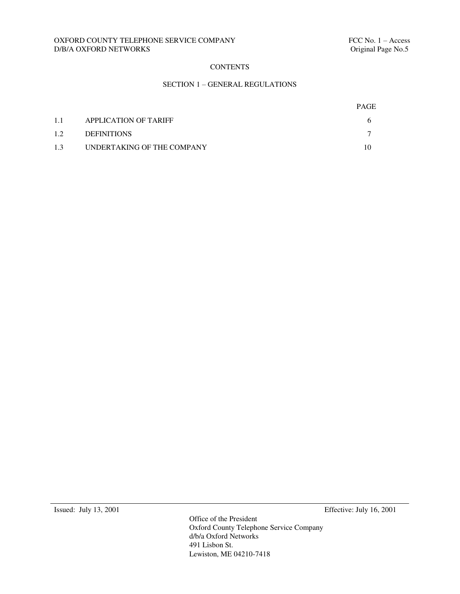## OXFORD COUNTY TELEPHONE SERVICE COMPANY FELOMENT FCC No. 1 – Access D/B/A OXFORD NETWORKS Criginal Page No.5  $D/B/A$  OXFORD NETWORKS  $\;$

# **CONTENTS**

## SECTION 1 – GENERAL REGULATIONS

|     |                            | <b>PAGE</b> |
|-----|----------------------------|-------------|
| 1.1 | APPLICATION OF TARIFF      |             |
| 1.2 | <b>DEFINITIONS</b>         |             |
| 1.3 | UNDERTAKING OF THE COMPANY |             |

Issued: July 13, 2001 Effective: July 16, 2001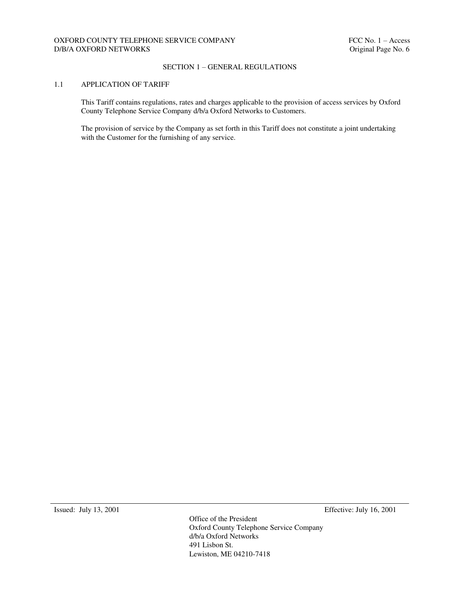### SECTION 1 – GENERAL REGULATIONS

### 1.1 APPLICATION OF TARIFF

This Tariff contains regulations, rates and charges applicable to the provision of access services by Oxford County Telephone Service Company d/b/a Oxford Networks to Customers.

The provision of service by the Company as set forth in this Tariff does not constitute a joint undertaking with the Customer for the furnishing of any service.

Issued: July 13, 2001 Effective: July 16, 2001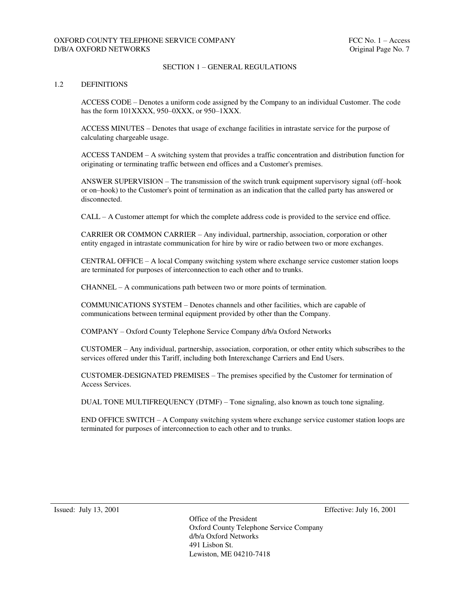### SECTION 1 – GENERAL REGULATIONS

#### 1.2 DEFINITIONS

ACCESS CODE – Denotes a uniform code assigned by the Company to an individual Customer. The code has the form 101XXXX, 950–0XXX, or 950–1XXX.

ACCESS MINUTES – Denotes that usage of exchange facilities in intrastate service for the purpose of calculating chargeable usage.

ACCESS TANDEM – A switching system that provides a traffic concentration and distribution function for originating or terminating traffic between end offices and a Customer's premises.

ANSWER SUPERVISION – The transmission of the switch trunk equipment supervisory signal (off–hook or on–hook) to the Customer's point of termination as an indication that the called party has answered or disconnected.

CALL – A Customer attempt for which the complete address code is provided to the service end office.

CARRIER OR COMMON CARRIER – Any individual, partnership, association, corporation or other entity engaged in intrastate communication for hire by wire or radio between two or more exchanges.

CENTRAL OFFICE – A local Company switching system where exchange service customer station loops are terminated for purposes of interconnection to each other and to trunks.

CHANNEL – A communications path between two or more points of termination.

COMMUNICATIONS SYSTEM – Denotes channels and other facilities, which are capable of communications between terminal equipment provided by other than the Company.

COMPANY – Oxford County Telephone Service Company d/b/a Oxford Networks

CUSTOMER – Any individual, partnership, association, corporation, or other entity which subscribes to the services offered under this Tariff, including both Interexchange Carriers and End Users.

CUSTOMER-DESIGNATED PREMISES – The premises specified by the Customer for termination of Access Services.

DUAL TONE MULTIFREQUENCY (DTMF) – Tone signaling, also known as touch tone signaling.

END OFFICE SWITCH – A Company switching system where exchange service customer station loops are terminated for purposes of interconnection to each other and to trunks.

Issued: July 13, 2001 Effective: July 16, 2001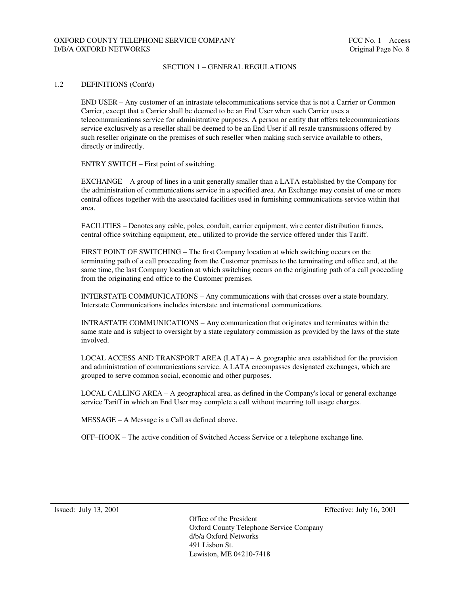## OXFORD COUNTY TELEPHONE SERVICE COMPANY FRAME AND THE SECOND FOR THE Access D/B/A OXFORD NETWORKS **Original Page No. 8**

#### SECTION 1 – GENERAL REGULATIONS

#### 1.2 DEFINITIONS (Cont'd)

END USER – Any customer of an intrastate telecommunications service that is not a Carrier or Common Carrier, except that a Carrier shall be deemed to be an End User when such Carrier uses a telecommunications service for administrative purposes. A person or entity that offers telecommunications service exclusively as a reseller shall be deemed to be an End User if all resale transmissions offered by such reseller originate on the premises of such reseller when making such service available to others, directly or indirectly.

ENTRY SWITCH – First point of switching.

EXCHANGE – A group of lines in a unit generally smaller than a LATA established by the Company for the administration of communications service in a specified area. An Exchange may consist of one or more central offices together with the associated facilities used in furnishing communications service within that area.

FACILITIES – Denotes any cable, poles, conduit, carrier equipment, wire center distribution frames, central office switching equipment, etc., utilized to provide the service offered under this Tariff.

FIRST POINT OF SWITCHING – The first Company location at which switching occurs on the terminating path of a call proceeding from the Customer premises to the terminating end office and, at the same time, the last Company location at which switching occurs on the originating path of a call proceeding from the originating end office to the Customer premises.

INTERSTATE COMMUNICATIONS – Any communications with that crosses over a state boundary. Interstate Communications includes interstate and international communications.

INTRASTATE COMMUNICATIONS – Any communication that originates and terminates within the same state and is subject to oversight by a state regulatory commission as provided by the laws of the state involved.

LOCAL ACCESS AND TRANSPORT AREA  $(LATA) - A$  geographic area established for the provision and administration of communications service. A LATA encompasses designated exchanges, which are grouped to serve common social, economic and other purposes.

LOCAL CALLING AREA – A geographical area, as defined in the Company's local or general exchange service Tariff in which an End User may complete a call without incurring toll usage charges.

MESSAGE – A Message is a Call as defined above.

OFF–HOOK – The active condition of Switched Access Service or a telephone exchange line.

Issued: July 13, 2001 Effective: July 16, 2001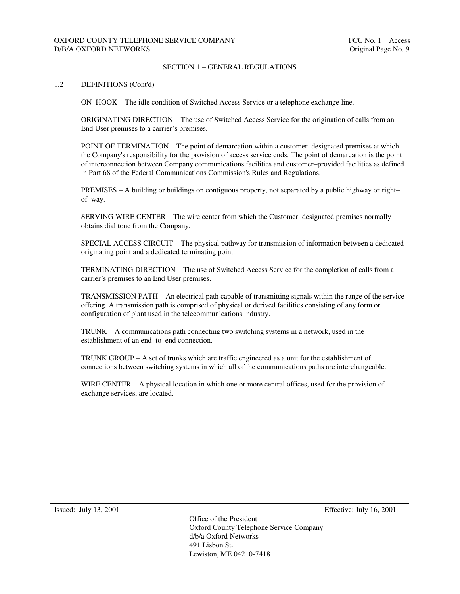### SECTION 1 – GENERAL REGULATIONS

#### 1.2 DEFINITIONS (Cont'd)

ON–HOOK – The idle condition of Switched Access Service or a telephone exchange line.

ORIGINATING DIRECTION – The use of Switched Access Service for the origination of calls from an End User premises to a carrier's premises.

POINT OF TERMINATION – The point of demarcation within a customer–designated premises at which the Company's responsibility for the provision of access service ends. The point of demarcation is the point of interconnection between Company communications facilities and customer–provided facilities as defined in Part 68 of the Federal Communications Commission's Rules and Regulations.

PREMISES – A building or buildings on contiguous property, not separated by a public highway or right– of–way.

SERVING WIRE CENTER – The wire center from which the Customer–designated premises normally obtains dial tone from the Company.

SPECIAL ACCESS CIRCUIT – The physical pathway for transmission of information between a dedicated originating point and a dedicated terminating point.

TERMINATING DIRECTION – The use of Switched Access Service for the completion of calls from a carrier's premises to an End User premises.

TRANSMISSION PATH – An electrical path capable of transmitting signals within the range of the service offering. A transmission path is comprised of physical or derived facilities consisting of any form or configuration of plant used in the telecommunications industry.

TRUNK – A communications path connecting two switching systems in a network, used in the establishment of an end–to–end connection.

TRUNK GROUP – A set of trunks which are traffic engineered as a unit for the establishment of connections between switching systems in which all of the communications paths are interchangeable.

WIRE CENTER – A physical location in which one or more central offices, used for the provision of exchange services, are located.

Issued: July 13, 2001 Effective: July 16, 2001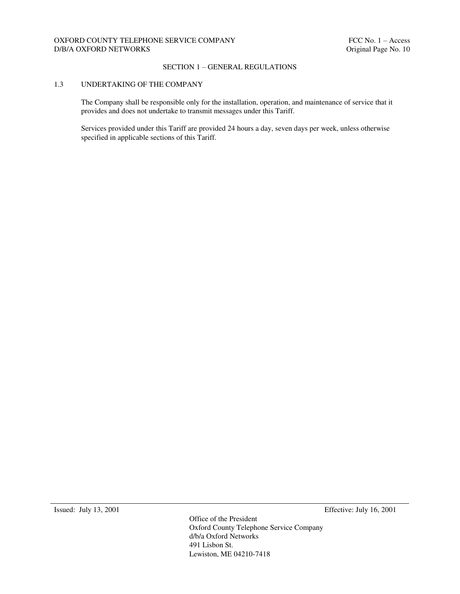### SECTION 1 – GENERAL REGULATIONS

### 1.3 UNDERTAKING OF THE COMPANY

The Company shall be responsible only for the installation, operation, and maintenance of service that it provides and does not undertake to transmit messages under this Tariff.

Services provided under this Tariff are provided 24 hours a day, seven days per week, unless otherwise specified in applicable sections of this Tariff.

Issued: July 13, 2001 Effective: July 16, 2001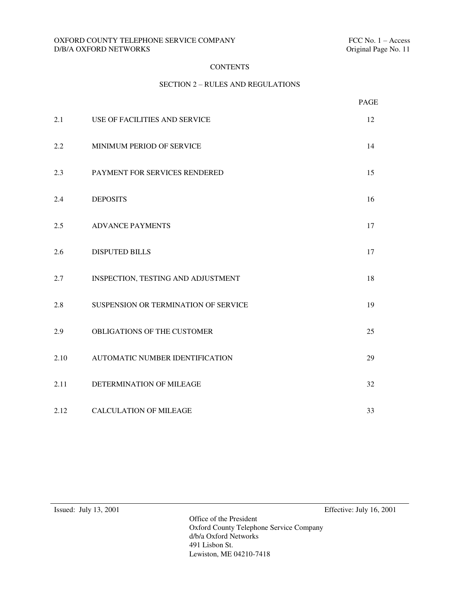### OXFORD COUNTY TELEPHONE SERVICE COMPANY FELOMENT FCC No. 1 – Access D/B/A OXFORD NETWORKS Criginal Page No. 11  $D/B/A$  OXFORD NETWORKS  $\;$

# **CONTENTS**

# SECTION 2 – RULES AND REGULATIONS

|      |                                      | PAGE |
|------|--------------------------------------|------|
| 2.1  | USE OF FACILITIES AND SERVICE        | 12   |
| 2.2  | MINIMUM PERIOD OF SERVICE            | 14   |
| 2.3  | PAYMENT FOR SERVICES RENDERED        | 15   |
| 2.4  | <b>DEPOSITS</b>                      | 16   |
| 2.5  | <b>ADVANCE PAYMENTS</b>              | 17   |
| 2.6  | <b>DISPUTED BILLS</b>                | 17   |
| 2.7  | INSPECTION, TESTING AND ADJUSTMENT   | 18   |
| 2.8  | SUSPENSION OR TERMINATION OF SERVICE | 19   |
| 2.9  | OBLIGATIONS OF THE CUSTOMER          | 25   |
| 2.10 | AUTOMATIC NUMBER IDENTIFICATION      | 29   |
| 2.11 | DETERMINATION OF MILEAGE             | 32   |
| 2.12 | <b>CALCULATION OF MILEAGE</b>        | 33   |

Issued: July 13, 2001 Effective: July 16, 2001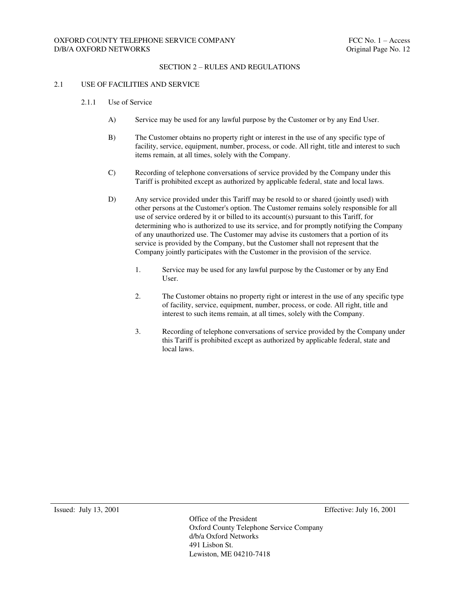#### 2.1 USE OF FACILITIES AND SERVICE

- 2.1.1 Use of Service
	- A) Service may be used for any lawful purpose by the Customer or by any End User.
	- B) The Customer obtains no property right or interest in the use of any specific type of facility, service, equipment, number, process, or code. All right, title and interest to such items remain, at all times, solely with the Company.
	- C) Recording of telephone conversations of service provided by the Company under this Tariff is prohibited except as authorized by applicable federal, state and local laws.
	- D) Any service provided under this Tariff may be resold to or shared (jointly used) with other persons at the Customer's option. The Customer remains solely responsible for all use of service ordered by it or billed to its account(s) pursuant to this Tariff, for determining who is authorized to use its service, and for promptly notifying the Company of any unauthorized use. The Customer may advise its customers that a portion of its service is provided by the Company, but the Customer shall not represent that the Company jointly participates with the Customer in the provision of the service.
		- 1. Service may be used for any lawful purpose by the Customer or by any End User.
		- 2. The Customer obtains no property right or interest in the use of any specific type of facility, service, equipment, number, process, or code. All right, title and interest to such items remain, at all times, solely with the Company.
		- 3. Recording of telephone conversations of service provided by the Company under this Tariff is prohibited except as authorized by applicable federal, state and local laws.

Issued: July 13, 2001 Effective: July 16, 2001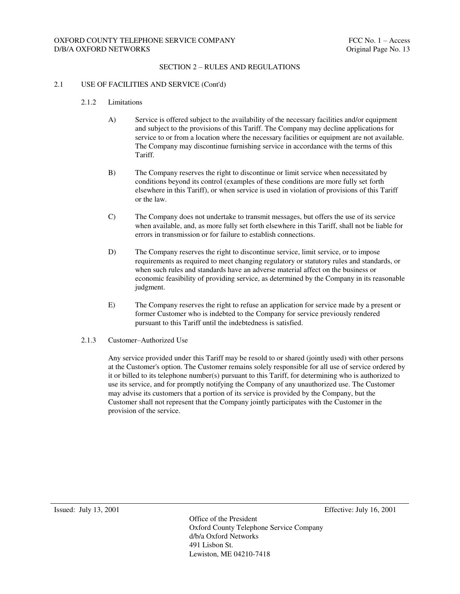#### 2.1 USE OF FACILITIES AND SERVICE (Cont'd)

- 2.1.2 Limitations
	- A) Service is offered subject to the availability of the necessary facilities and/or equipment and subject to the provisions of this Tariff. The Company may decline applications for service to or from a location where the necessary facilities or equipment are not available. The Company may discontinue furnishing service in accordance with the terms of this Tariff.
	- B) The Company reserves the right to discontinue or limit service when necessitated by conditions beyond its control (examples of these conditions are more fully set forth elsewhere in this Tariff), or when service is used in violation of provisions of this Tariff or the law.
	- C) The Company does not undertake to transmit messages, but offers the use of its service when available, and, as more fully set forth elsewhere in this Tariff, shall not be liable for errors in transmission or for failure to establish connections.
	- D) The Company reserves the right to discontinue service, limit service, or to impose requirements as required to meet changing regulatory or statutory rules and standards, or when such rules and standards have an adverse material affect on the business or economic feasibility of providing service, as determined by the Company in its reasonable judgment.
	- E) The Company reserves the right to refuse an application for service made by a present or former Customer who is indebted to the Company for service previously rendered pursuant to this Tariff until the indebtedness is satisfied.
- 2.1.3 Customer–Authorized Use

Any service provided under this Tariff may be resold to or shared (jointly used) with other persons at the Customer's option. The Customer remains solely responsible for all use of service ordered by it or billed to its telephone number(s) pursuant to this Tariff, for determining who is authorized to use its service, and for promptly notifying the Company of any unauthorized use. The Customer may advise its customers that a portion of its service is provided by the Company, but the Customer shall not represent that the Company jointly participates with the Customer in the provision of the service.

Issued: July 13, 2001 Effective: July 16, 2001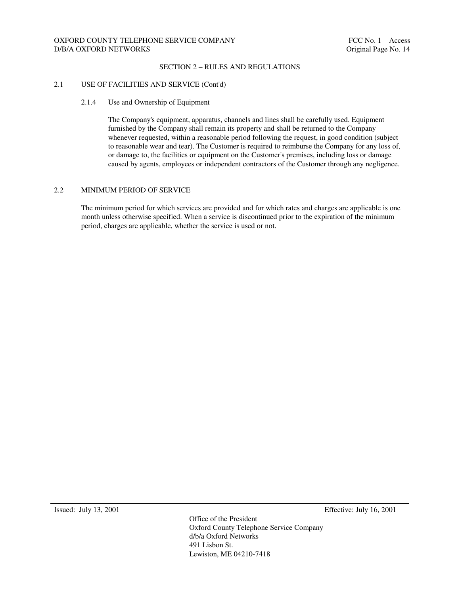#### SECTION 2 – RULES AND REGULATIONS

#### 2.1 USE OF FACILITIES AND SERVICE (Cont'd)

#### 2.1.4 Use and Ownership of Equipment

The Company's equipment, apparatus, channels and lines shall be carefully used. Equipment furnished by the Company shall remain its property and shall be returned to the Company whenever requested, within a reasonable period following the request, in good condition (subject to reasonable wear and tear). The Customer is required to reimburse the Company for any loss of, or damage to, the facilities or equipment on the Customer's premises, including loss or damage caused by agents, employees or independent contractors of the Customer through any negligence.

#### 2.2 MINIMUM PERIOD OF SERVICE

The minimum period for which services are provided and for which rates and charges are applicable is one month unless otherwise specified. When a service is discontinued prior to the expiration of the minimum period, charges are applicable, whether the service is used or not.

Issued: July 13, 2001 Effective: July 16, 2001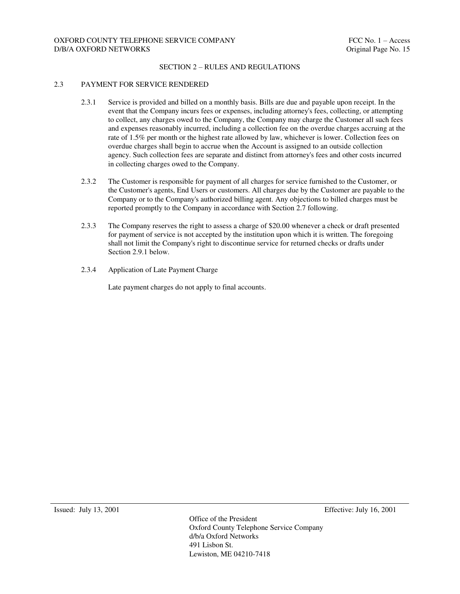#### 2.3 PAYMENT FOR SERVICE RENDERED

- 2.3.1 Service is provided and billed on a monthly basis. Bills are due and payable upon receipt. In the event that the Company incurs fees or expenses, including attorney's fees, collecting, or attempting to collect, any charges owed to the Company, the Company may charge the Customer all such fees and expenses reasonably incurred, including a collection fee on the overdue charges accruing at the rate of 1.5% per month or the highest rate allowed by law, whichever is lower. Collection fees on overdue charges shall begin to accrue when the Account is assigned to an outside collection agency. Such collection fees are separate and distinct from attorney's fees and other costs incurred in collecting charges owed to the Company.
- 2.3.2 The Customer is responsible for payment of all charges for service furnished to the Customer, or the Customer's agents, End Users or customers. All charges due by the Customer are payable to the Company or to the Company's authorized billing agent. Any objections to billed charges must be reported promptly to the Company in accordance with Section 2.7 following.
- 2.3.3 The Company reserves the right to assess a charge of \$20.00 whenever a check or draft presented for payment of service is not accepted by the institution upon which it is written. The foregoing shall not limit the Company's right to discontinue service for returned checks or drafts under Section 2.9.1 below.
- 2.3.4 Application of Late Payment Charge

Late payment charges do not apply to final accounts.

Issued: July 13, 2001 Effective: July 16, 2001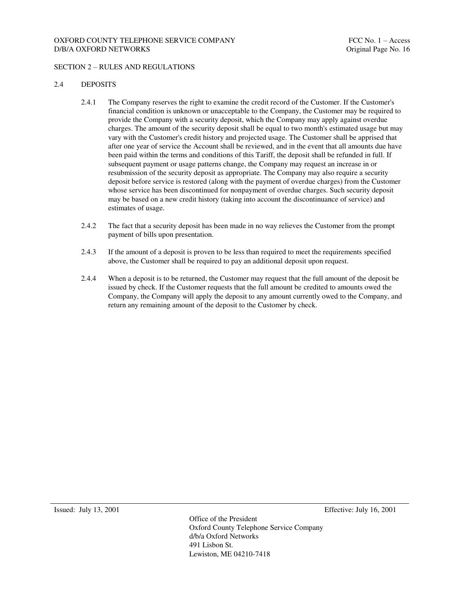### OXFORD COUNTY TELEPHONE SERVICE COMPANY FOR THE SERVICE OF THE SERVICE OF THE SERVICE OF THE SERVICE OF THE SERVICE OF THE SERVICE OF THE SERVICE OF THE SERVICE OF THE SERVICE OF THE SERVICE OF THE SERVICE OF THE SERVICE O D/B/A OXFORD NETWORKS 
DIGITAL ORIGINAL PAGE OF THE ORIGINAL PAGE OF THE ORIGINAL PAGE OF THE ORIGINAL PAGE OF THE ORIGINAL PAGE OF THE OF THE ORIGINAL PAGE OF THE ORIGINAL PAGE OF THE ORIGINAL PAGE OF THE ORIGINAL PAGE OF

### SECTION 2 – RULES AND REGULATIONS

### 2.4 DEPOSITS

- 2.4.1 The Company reserves the right to examine the credit record of the Customer. If the Customer's financial condition is unknown or unacceptable to the Company, the Customer may be required to provide the Company with a security deposit, which the Company may apply against overdue charges. The amount of the security deposit shall be equal to two month's estimated usage but may vary with the Customer's credit history and projected usage. The Customer shall be apprised that after one year of service the Account shall be reviewed, and in the event that all amounts due have been paid within the terms and conditions of this Tariff, the deposit shall be refunded in full. If subsequent payment or usage patterns change, the Company may request an increase in or resubmission of the security deposit as appropriate. The Company may also require a security deposit before service is restored (along with the payment of overdue charges) from the Customer whose service has been discontinued for nonpayment of overdue charges. Such security deposit may be based on a new credit history (taking into account the discontinuance of service) and estimates of usage.
- 2.4.2 The fact that a security deposit has been made in no way relieves the Customer from the prompt payment of bills upon presentation.
- 2.4.3 If the amount of a deposit is proven to be less than required to meet the requirements specified above, the Customer shall be required to pay an additional deposit upon request.
- 2.4.4 When a deposit is to be returned, the Customer may request that the full amount of the deposit be issued by check. If the Customer requests that the full amount be credited to amounts owed the Company, the Company will apply the deposit to any amount currently owed to the Company, and return any remaining amount of the deposit to the Customer by check.

Issued: July 13, 2001 Effective: July 16, 2001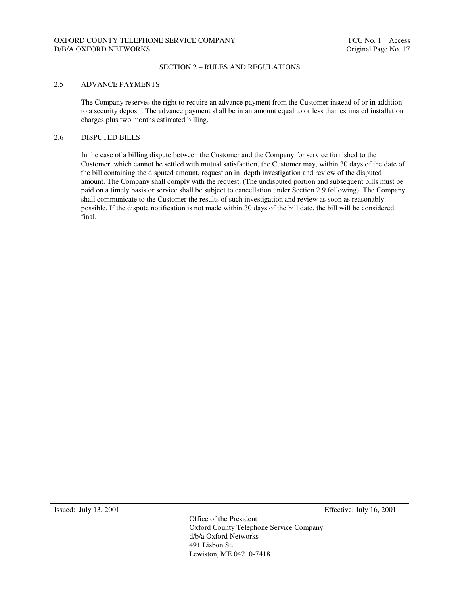#### SECTION 2 – RULES AND REGULATIONS

#### 2.5 ADVANCE PAYMENTS

The Company reserves the right to require an advance payment from the Customer instead of or in addition to a security deposit. The advance payment shall be in an amount equal to or less than estimated installation charges plus two months estimated billing.

### 2.6 DISPUTED BILLS

In the case of a billing dispute between the Customer and the Company for service furnished to the Customer, which cannot be settled with mutual satisfaction, the Customer may, within 30 days of the date of the bill containing the disputed amount, request an in–depth investigation and review of the disputed amount. The Company shall comply with the request. (The undisputed portion and subsequent bills must be paid on a timely basis or service shall be subject to cancellation under Section 2.9 following). The Company shall communicate to the Customer the results of such investigation and review as soon as reasonably possible. If the dispute notification is not made within 30 days of the bill date, the bill will be considered final.

Issued: July 13, 2001 Effective: July 16, 2001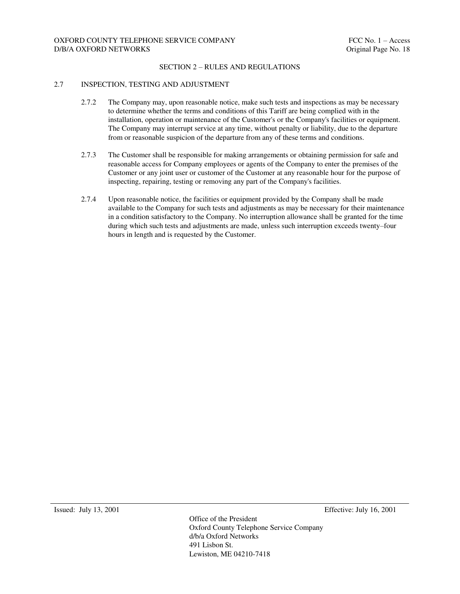#### 2.7 INSPECTION, TESTING AND ADJUSTMENT

- 2.7.2 The Company may, upon reasonable notice, make such tests and inspections as may be necessary to determine whether the terms and conditions of this Tariff are being complied with in the installation, operation or maintenance of the Customer's or the Company's facilities or equipment. The Company may interrupt service at any time, without penalty or liability, due to the departure from or reasonable suspicion of the departure from any of these terms and conditions.
- 2.7.3 The Customer shall be responsible for making arrangements or obtaining permission for safe and reasonable access for Company employees or agents of the Company to enter the premises of the Customer or any joint user or customer of the Customer at any reasonable hour for the purpose of inspecting, repairing, testing or removing any part of the Company's facilities.
- 2.7.4 Upon reasonable notice, the facilities or equipment provided by the Company shall be made available to the Company for such tests and adjustments as may be necessary for their maintenance in a condition satisfactory to the Company. No interruption allowance shall be granted for the time during which such tests and adjustments are made, unless such interruption exceeds twenty–four hours in length and is requested by the Customer.

Issued: July 13, 2001 Effective: July 16, 2001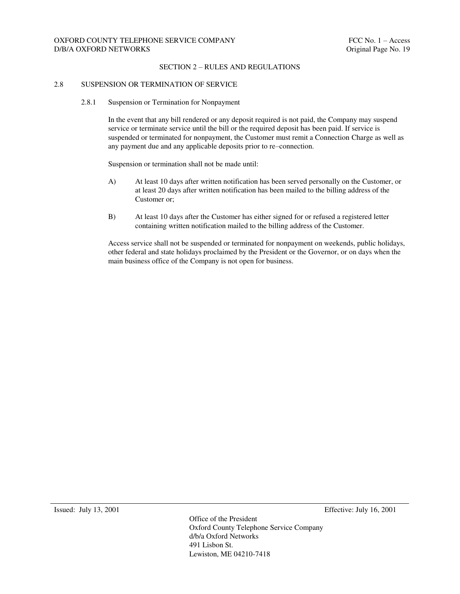#### 2.8 SUSPENSION OR TERMINATION OF SERVICE

2.8.1 Suspension or Termination for Nonpayment

In the event that any bill rendered or any deposit required is not paid, the Company may suspend service or terminate service until the bill or the required deposit has been paid. If service is suspended or terminated for nonpayment, the Customer must remit a Connection Charge as well as any payment due and any applicable deposits prior to re–connection.

Suspension or termination shall not be made until:

- A) At least 10 days after written notification has been served personally on the Customer, or at least 20 days after written notification has been mailed to the billing address of the Customer or;
- B) At least 10 days after the Customer has either signed for or refused a registered letter containing written notification mailed to the billing address of the Customer.

Access service shall not be suspended or terminated for nonpayment on weekends, public holidays, other federal and state holidays proclaimed by the President or the Governor, or on days when the main business office of the Company is not open for business.

Issued: July 13, 2001 Effective: July 16, 2001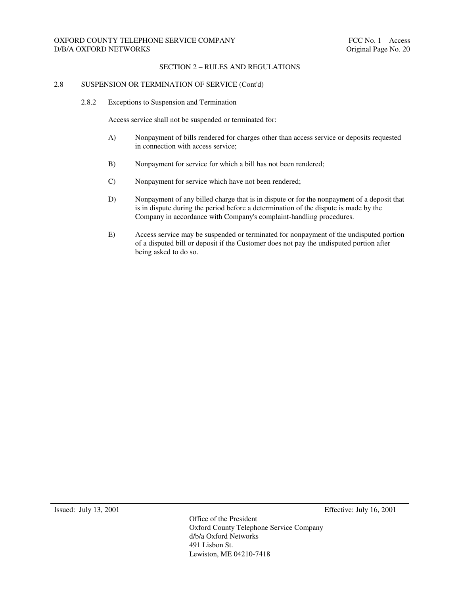## OXFORD COUNTY TELEPHONE SERVICE COMPANY FOR THE SERVICE OF THE SERVICE OF THE SERVICE OF THE SERVICE OF THE SERVICE OF THE SERVICE OF THE SERVICE OF THE SERVICE OF THE SERVICE OF THE SERVICE OF THE SERVICE OF THE SERVICE O D/B/A OXFORD NETWORKS 
DISPONSIVE CONSUMING THE CONSUMING ORIGINAL CONSUMING THE CONSUMING ORIGINAL CONSUMING THE CONSUMING ORIGINAL CONSUMING THE CONSUMING ORIGINAL CONSUMING THE CONSUMING ORIGINAL CONSUMING THE CONSUMING

#### SECTION 2 – RULES AND REGULATIONS

#### 2.8 SUSPENSION OR TERMINATION OF SERVICE (Cont'd)

2.8.2 Exceptions to Suspension and Termination

Access service shall not be suspended or terminated for:

- A) Nonpayment of bills rendered for charges other than access service or deposits requested in connection with access service;
- B) Nonpayment for service for which a bill has not been rendered;
- C) Nonpayment for service which have not been rendered;
- D) Nonpayment of any billed charge that is in dispute or for the nonpayment of a deposit that is in dispute during the period before a determination of the dispute is made by the Company in accordance with Company's complaint-handling procedures.
- E) Access service may be suspended or terminated for nonpayment of the undisputed portion of a disputed bill or deposit if the Customer does not pay the undisputed portion after being asked to do so.

Issued: July 13, 2001 Effective: July 16, 2001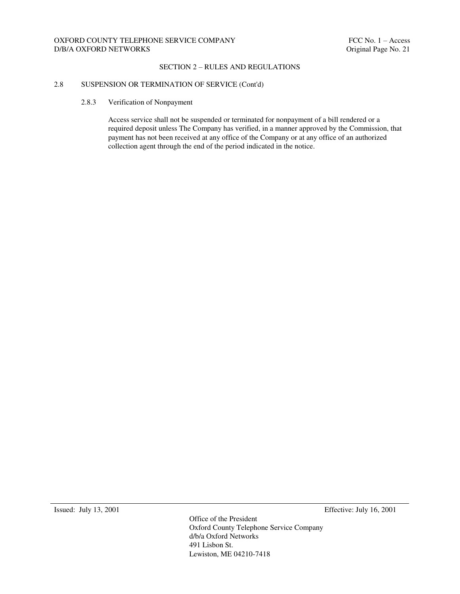### SECTION 2 – RULES AND REGULATIONS

### 2.8 SUSPENSION OR TERMINATION OF SERVICE (Cont'd)

2.8.3 Verification of Nonpayment

Access service shall not be suspended or terminated for nonpayment of a bill rendered or a required deposit unless The Company has verified, in a manner approved by the Commission, that payment has not been received at any office of the Company or at any office of an authorized collection agent through the end of the period indicated in the notice.

Issued: July 13, 2001 Effective: July 16, 2001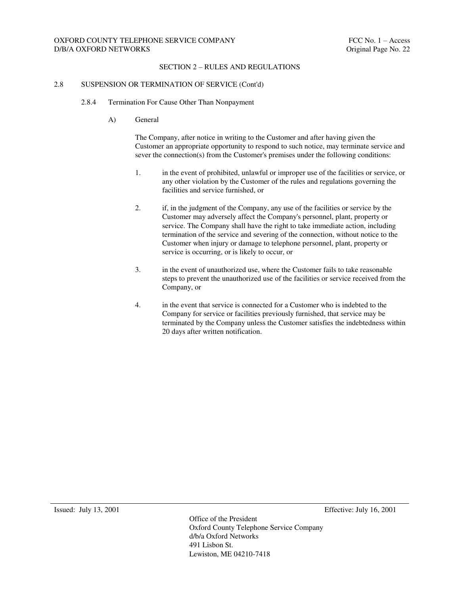### OXFORD COUNTY TELEPHONE SERVICE COMPANY FOR THE SERVICE OF THE SERVICE OF THE SERVICE OF THE SERVICE OF THE SERVICE OF THE SERVICE OF THE SERVICE OF THE SERVICE OF THE SERVICE OF THE SERVICE OF THE SERVICE OF THE SERVICE O D/B/A OXFORD NETWORKS 
DIGITAL OXFORD NETWORKS

DIGITAL OXFORD NETWORKS

DIGITAL OXFORD NETWORKS

DIGITAL OXFORD NETWORKS

DIGITAL OXFORD NETWORKS

DIGITAL OXFORD NETWORKS

DIGITAL OXFORD NETWORKS

DIGITAL OXFORD NETWO

#### SECTION 2 – RULES AND REGULATIONS

#### 2.8 SUSPENSION OR TERMINATION OF SERVICE (Cont'd)

- 2.8.4 Termination For Cause Other Than Nonpayment
	- A) General

The Company, after notice in writing to the Customer and after having given the Customer an appropriate opportunity to respond to such notice, may terminate service and sever the connection(s) from the Customer's premises under the following conditions:

- 1. in the event of prohibited, unlawful or improper use of the facilities or service, or any other violation by the Customer of the rules and regulations governing the facilities and service furnished, or
- 2. if, in the judgment of the Company, any use of the facilities or service by the Customer may adversely affect the Company's personnel, plant, property or service. The Company shall have the right to take immediate action, including termination of the service and severing of the connection, without notice to the Customer when injury or damage to telephone personnel, plant, property or service is occurring, or is likely to occur, or
- 3. in the event of unauthorized use, where the Customer fails to take reasonable steps to prevent the unauthorized use of the facilities or service received from the Company, or
- 4. in the event that service is connected for a Customer who is indebted to the Company for service or facilities previously furnished, that service may be terminated by the Company unless the Customer satisfies the indebtedness within 20 days after written notification.

Issued: July 13, 2001 Effective: July 16, 2001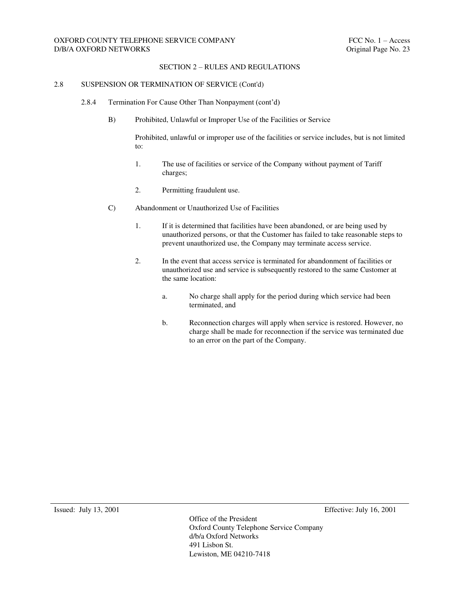### SECTION 2 – RULES AND REGULATIONS

#### 2.8 SUSPENSION OR TERMINATION OF SERVICE (Cont'd)

- 2.8.4 Termination For Cause Other Than Nonpayment (cont'd)
	- B) Prohibited, Unlawful or Improper Use of the Facilities or Service

Prohibited, unlawful or improper use of the facilities or service includes, but is not limited to:

- 1. The use of facilities or service of the Company without payment of Tariff charges;
- 2. Permitting fraudulent use.
- C) Abandonment or Unauthorized Use of Facilities
	- 1. If it is determined that facilities have been abandoned, or are being used by unauthorized persons, or that the Customer has failed to take reasonable steps to prevent unauthorized use, the Company may terminate access service.
	- 2. In the event that access service is terminated for abandonment of facilities or unauthorized use and service is subsequently restored to the same Customer at the same location:
		- a. No charge shall apply for the period during which service had been terminated, and
		- b. Reconnection charges will apply when service is restored. However, no charge shall be made for reconnection if the service was terminated due to an error on the part of the Company.

Issued: July 13, 2001 Effective: July 16, 2001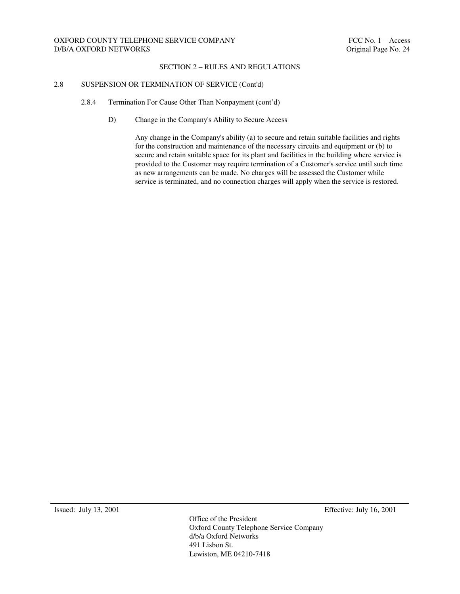### SECTION 2 – RULES AND REGULATIONS

#### 2.8 SUSPENSION OR TERMINATION OF SERVICE (Cont'd)

- 2.8.4 Termination For Cause Other Than Nonpayment (cont'd)
	- D) Change in the Company's Ability to Secure Access

Any change in the Company's ability (a) to secure and retain suitable facilities and rights for the construction and maintenance of the necessary circuits and equipment or (b) to secure and retain suitable space for its plant and facilities in the building where service is provided to the Customer may require termination of a Customer's service until such time as new arrangements can be made. No charges will be assessed the Customer while service is terminated, and no connection charges will apply when the service is restored.

Issued: July 13, 2001 Effective: July 16, 2001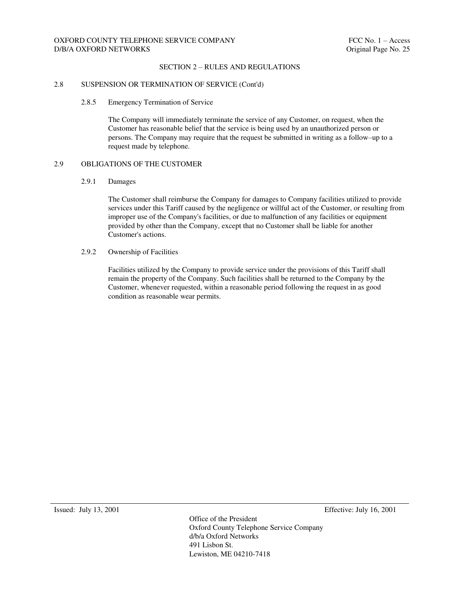### SECTION 2 – RULES AND REGULATIONS

#### 2.8 SUSPENSION OR TERMINATION OF SERVICE (Cont'd)

#### 2.8.5 Emergency Termination of Service

The Company will immediately terminate the service of any Customer, on request, when the Customer has reasonable belief that the service is being used by an unauthorized person or persons. The Company may require that the request be submitted in writing as a follow–up to a request made by telephone.

### 2.9 OBLIGATIONS OF THE CUSTOMER

#### 2.9.1 Damages

The Customer shall reimburse the Company for damages to Company facilities utilized to provide services under this Tariff caused by the negligence or willful act of the Customer, or resulting from improper use of the Company's facilities, or due to malfunction of any facilities or equipment provided by other than the Company, except that no Customer shall be liable for another Customer's actions.

### 2.9.2 Ownership of Facilities

Facilities utilized by the Company to provide service under the provisions of this Tariff shall remain the property of the Company. Such facilities shall be returned to the Company by the Customer, whenever requested, within a reasonable period following the request in as good condition as reasonable wear permits.

Issued: July 13, 2001 Effective: July 16, 2001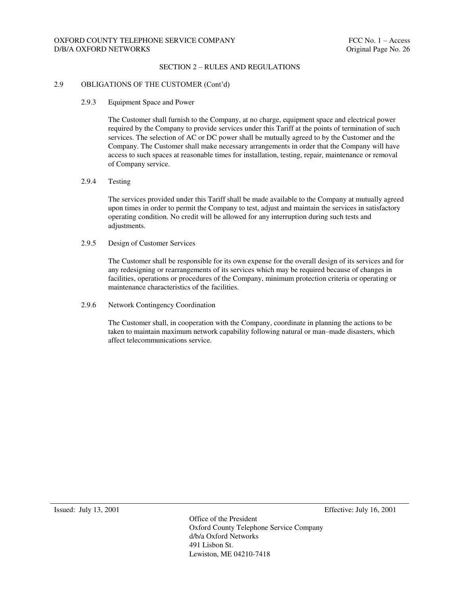## OXFORD COUNTY TELEPHONE SERVICE COMPANY FELOUSE THE SERVICE OF THE SERVICE OF THE SERVICE OF THE SERVICE OF THE SERVICE OF THE SERVICE OF THE SERVICE OF THE SERVICE OF THE SERVICE OF THE SERVICE OF THE SERVICE OF THE SERVI D/B/A OXFORD NETWORKS 
DIGITAL OXFORD NETWORKS

DIGITAL OXFORD NETWORKS

DIGITAL OXFORD NETWORKS

DIGITAL OXFORD NETWORKS

DIGITAL OXFORD NETWORKS

DIGITAL OXFORD NETWORKS

DIGITAL OXFORD NETWORKS

DIGITAL OXFORD NETWO

#### SECTION 2 – RULES AND REGULATIONS

### 2.9 OBLIGATIONS OF THE CUSTOMER (Cont'd)

2.9.3 Equipment Space and Power

The Customer shall furnish to the Company, at no charge, equipment space and electrical power required by the Company to provide services under this Tariff at the points of termination of such services. The selection of AC or DC power shall be mutually agreed to by the Customer and the Company. The Customer shall make necessary arrangements in order that the Company will have access to such spaces at reasonable times for installation, testing, repair, maintenance or removal of Company service.

2.9.4 Testing

The services provided under this Tariff shall be made available to the Company at mutually agreed upon times in order to permit the Company to test, adjust and maintain the services in satisfactory operating condition. No credit will be allowed for any interruption during such tests and adjustments.

2.9.5 Design of Customer Services

The Customer shall be responsible for its own expense for the overall design of its services and for any redesigning or rearrangements of its services which may be required because of changes in facilities, operations or procedures of the Company, minimum protection criteria or operating or maintenance characteristics of the facilities.

2.9.6 Network Contingency Coordination

The Customer shall, in cooperation with the Company, coordinate in planning the actions to be taken to maintain maximum network capability following natural or man–made disasters, which affect telecommunications service.

Issued: July 13, 2001 Effective: July 16, 2001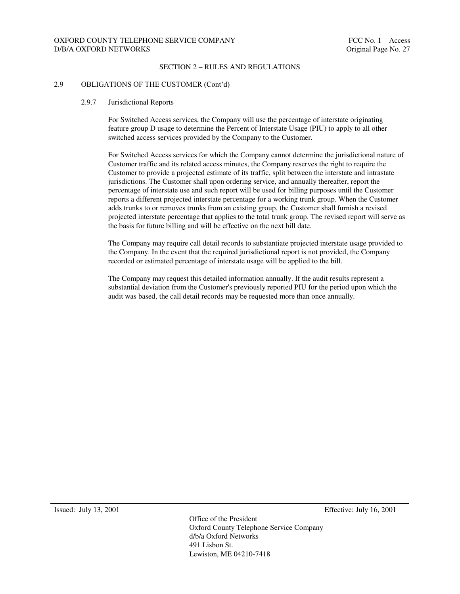#### SECTION 2 – RULES AND REGULATIONS

#### 2.9 OBLIGATIONS OF THE CUSTOMER (Cont'd)

#### 2.9.7 Jurisdictional Reports

For Switched Access services, the Company will use the percentage of interstate originating feature group D usage to determine the Percent of Interstate Usage (PIU) to apply to all other switched access services provided by the Company to the Customer.

For Switched Access services for which the Company cannot determine the jurisdictional nature of Customer traffic and its related access minutes, the Company reserves the right to require the Customer to provide a projected estimate of its traffic, split between the interstate and intrastate jurisdictions. The Customer shall upon ordering service, and annually thereafter, report the percentage of interstate use and such report will be used for billing purposes until the Customer reports a different projected interstate percentage for a working trunk group. When the Customer adds trunks to or removes trunks from an existing group, the Customer shall furnish a revised projected interstate percentage that applies to the total trunk group. The revised report will serve as the basis for future billing and will be effective on the next bill date.

The Company may require call detail records to substantiate projected interstate usage provided to the Company. In the event that the required jurisdictional report is not provided, the Company recorded or estimated percentage of interstate usage will be applied to the bill.

The Company may request this detailed information annually. If the audit results represent a substantial deviation from the Customer's previously reported PIU for the period upon which the audit was based, the call detail records may be requested more than once annually.

Issued: July 13, 2001 Effective: July 16, 2001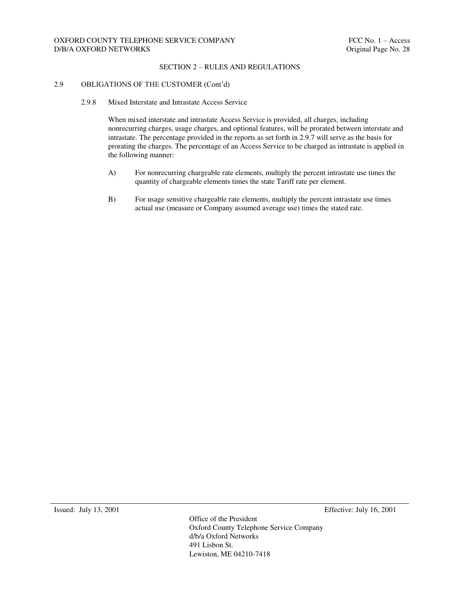### SECTION 2 – RULES AND REGULATIONS

### 2.9 OBLIGATIONS OF THE CUSTOMER (Cont'd)

2.9.8 Mixed Interstate and Intrastate Access Service

When mixed interstate and intrastate Access Service is provided, all charges, including nonrecurring charges, usage charges, and optional features, will be prorated between interstate and intrastate. The percentage provided in the reports as set forth in 2.9.7 will serve as the basis for prorating the charges. The percentage of an Access Service to be charged as intrastate is applied in the following manner:

- A) For nonrecurring chargeable rate elements, multiply the percent intrastate use times the quantity of chargeable elements times the state Tariff rate per element.
- B) For usage sensitive chargeable rate elements, multiply the percent intrastate use times actual use (measure or Company assumed average use) times the stated rate.

Issued: July 13, 2001 Effective: July 16, 2001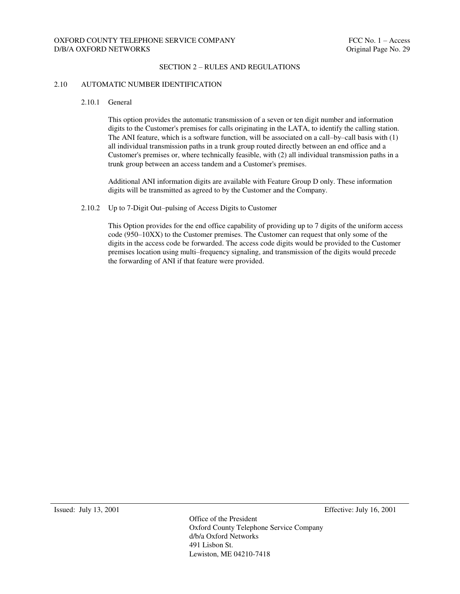#### 2.10 AUTOMATIC NUMBER IDENTIFICATION

2.10.1 General

This option provides the automatic transmission of a seven or ten digit number and information digits to the Customer's premises for calls originating in the LATA, to identify the calling station. The ANI feature, which is a software function, will be associated on a call–by–call basis with (1) all individual transmission paths in a trunk group routed directly between an end office and a Customer's premises or, where technically feasible, with (2) all individual transmission paths in a trunk group between an access tandem and a Customer's premises.

Additional ANI information digits are available with Feature Group D only. These information digits will be transmitted as agreed to by the Customer and the Company.

2.10.2 Up to 7-Digit Out–pulsing of Access Digits to Customer

This Option provides for the end office capability of providing up to 7 digits of the uniform access code (950–10XX) to the Customer premises. The Customer can request that only some of the digits in the access code be forwarded. The access code digits would be provided to the Customer premises location using multi–frequency signaling, and transmission of the digits would precede the forwarding of ANI if that feature were provided.

Issued: July 13, 2001 Effective: July 16, 2001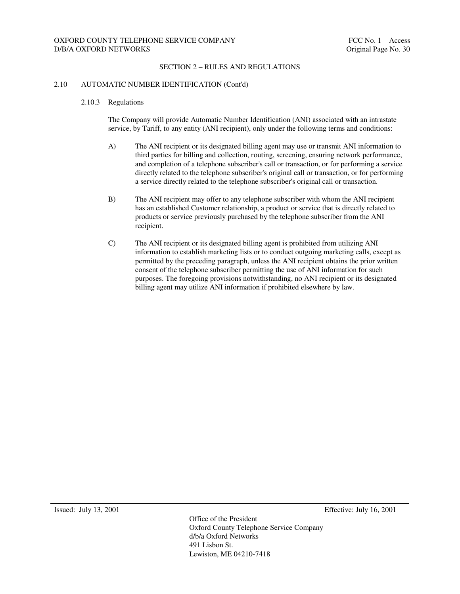#### SECTION 2 – RULES AND REGULATIONS

#### 2.10 AUTOMATIC NUMBER IDENTIFICATION (Cont'd)

#### 2.10.3 Regulations

The Company will provide Automatic Number Identification (ANI) associated with an intrastate service, by Tariff, to any entity (ANI recipient), only under the following terms and conditions:

- A) The ANI recipient or its designated billing agent may use or transmit ANI information to third parties for billing and collection, routing, screening, ensuring network performance, and completion of a telephone subscriber's call or transaction, or for performing a service directly related to the telephone subscriber's original call or transaction, or for performing a service directly related to the telephone subscriber's original call or transaction.
- B) The ANI recipient may offer to any telephone subscriber with whom the ANI recipient has an established Customer relationship, a product or service that is directly related to products or service previously purchased by the telephone subscriber from the ANI recipient.
- C) The ANI recipient or its designated billing agent is prohibited from utilizing ANI information to establish marketing lists or to conduct outgoing marketing calls, except as permitted by the preceding paragraph, unless the ANI recipient obtains the prior written consent of the telephone subscriber permitting the use of ANI information for such purposes. The foregoing provisions notwithstanding, no ANI recipient or its designated billing agent may utilize ANI information if prohibited elsewhere by law.

Issued: July 13, 2001 Effective: July 16, 2001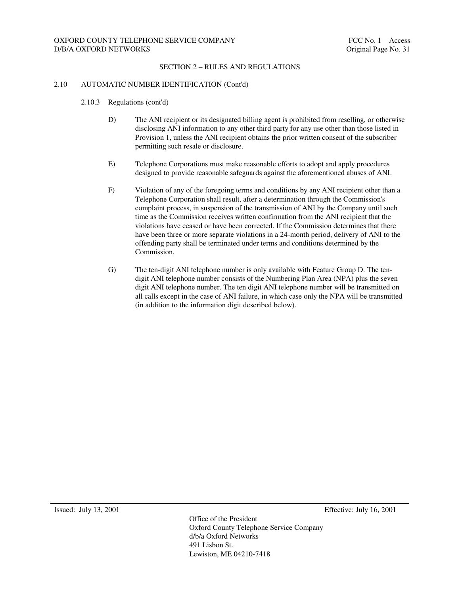#### 2.10 AUTOMATIC NUMBER IDENTIFICATION (Cont'd)

- 2.10.3 Regulations (cont'd)
	- D) The ANI recipient or its designated billing agent is prohibited from reselling, or otherwise disclosing ANI information to any other third party for any use other than those listed in Provision 1, unless the ANI recipient obtains the prior written consent of the subscriber permitting such resale or disclosure.
	- E) Telephone Corporations must make reasonable efforts to adopt and apply procedures designed to provide reasonable safeguards against the aforementioned abuses of ANI.
	- F) Violation of any of the foregoing terms and conditions by any ANI recipient other than a Telephone Corporation shall result, after a determination through the Commission's complaint process, in suspension of the transmission of ANI by the Company until such time as the Commission receives written confirmation from the ANI recipient that the violations have ceased or have been corrected. If the Commission determines that there have been three or more separate violations in a 24-month period, delivery of ANI to the offending party shall be terminated under terms and conditions determined by the Commission.
	- G) The ten-digit ANI telephone number is only available with Feature Group D. The tendigit ANI telephone number consists of the Numbering Plan Area (NPA) plus the seven digit ANI telephone number. The ten digit ANI telephone number will be transmitted on all calls except in the case of ANI failure, in which case only the NPA will be transmitted (in addition to the information digit described below).

Issued: July 13, 2001 Effective: July 16, 2001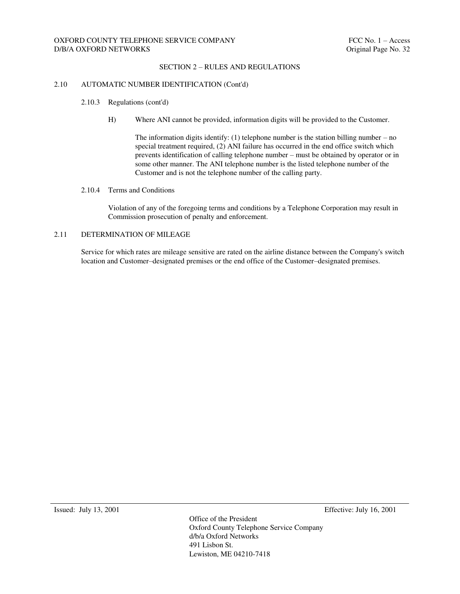#### SECTION 2 – RULES AND REGULATIONS

#### 2.10 AUTOMATIC NUMBER IDENTIFICATION (Cont'd)

- 2.10.3 Regulations (cont'd)
	- H) Where ANI cannot be provided, information digits will be provided to the Customer.

The information digits identify:  $(1)$  telephone number is the station billing number – no special treatment required, (2) ANI failure has occurred in the end office switch which prevents identification of calling telephone number – must be obtained by operator or in some other manner. The ANI telephone number is the listed telephone number of the Customer and is not the telephone number of the calling party.

#### 2.10.4 Terms and Conditions

Violation of any of the foregoing terms and conditions by a Telephone Corporation may result in Commission prosecution of penalty and enforcement.

#### 2.11 DETERMINATION OF MILEAGE

Service for which rates are mileage sensitive are rated on the airline distance between the Company's switch location and Customer–designated premises or the end office of the Customer–designated premises.

Issued: July 13, 2001 Effective: July 16, 2001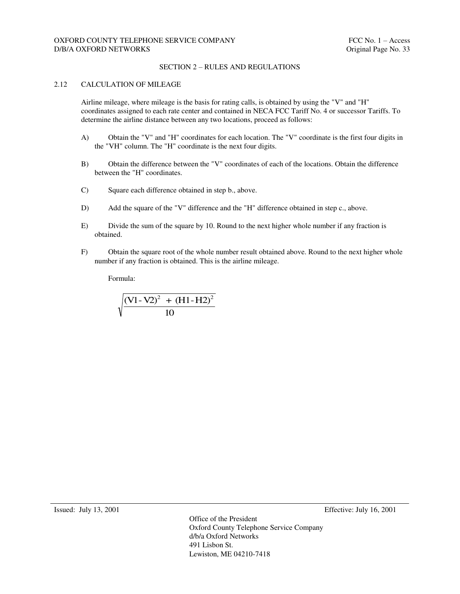#### 2.12 CALCULATION OF MILEAGE

Airline mileage, where mileage is the basis for rating calls, is obtained by using the "V" and "H" coordinates assigned to each rate center and contained in NECA FCC Tariff No. 4 or successor Tariffs. To determine the airline distance between any two locations, proceed as follows:

- A) Obtain the "V" and "H" coordinates for each location. The "V" coordinate is the first four digits in the "VH" column. The "H" coordinate is the next four digits.
- B) Obtain the difference between the "V" coordinates of each of the locations. Obtain the difference between the "H" coordinates.
- C) Square each difference obtained in step b., above.
- D) Add the square of the "V" difference and the "H" difference obtained in step c., above.
- E) Divide the sum of the square by 10. Round to the next higher whole number if any fraction is obtained.
- F) Obtain the square root of the whole number result obtained above. Round to the next higher whole number if any fraction is obtained. This is the airline mileage.

Formula:

$$
\sqrt{\frac{(V1-V2)^2 + (H1-H2)^2}{10}}
$$

Issued: July 13, 2001 Effective: July 16, 2001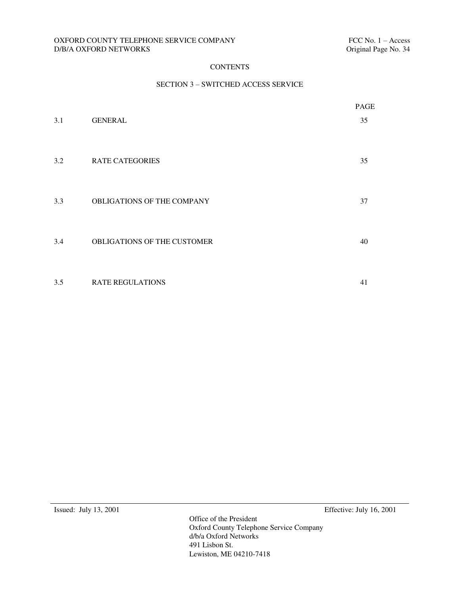### OXFORD COUNTY TELEPHONE SERVICE COMPANY FELOMENT FCC No. 1 – Access D/B/A OXFORD NETWORKS Criginal Page No. 34  $D/B/A$  OXFORD NETWORKS  $\;$

# **CONTENTS**

## SECTION 3 – SWITCHED ACCESS SERVICE

|     |                             | PAGE |
|-----|-----------------------------|------|
| 3.1 | <b>GENERAL</b>              | 35   |
| 3.2 | <b>RATE CATEGORIES</b>      | 35   |
| 3.3 | OBLIGATIONS OF THE COMPANY  | 37   |
| 3.4 | OBLIGATIONS OF THE CUSTOMER | 40   |
| 3.5 | <b>RATE REGULATIONS</b>     | 41   |

Issued: July 13, 2001 Effective: July 16, 2001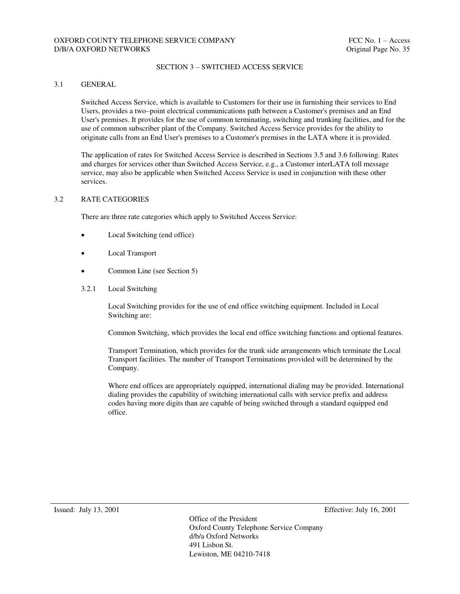#### SECTION 3 – SWITCHED ACCESS SERVICE

### 3.1 GENERAL

Switched Access Service, which is available to Customers for their use in furnishing their services to End Users, provides a two–point electrical communications path between a Customer's premises and an End User's premises. It provides for the use of common terminating, switching and trunking facilities, and for the use of common subscriber plant of the Company. Switched Access Service provides for the ability to originate calls from an End User's premises to a Customer's premises in the LATA where it is provided.

The application of rates for Switched Access Service is described in Sections 3.5 and 3.6 following. Rates and charges for services other than Switched Access Service, e.g., a Customer interLATA toll message service, may also be applicable when Switched Access Service is used in conjunction with these other services.

#### 3.2 RATE CATEGORIES

There are three rate categories which apply to Switched Access Service:

- Local Switching (end office)
- Local Transport
- Common Line (see Section 5)
- 3.2.1 Local Switching

Local Switching provides for the use of end office switching equipment. Included in Local Switching are:

Common Switching, which provides the local end office switching functions and optional features.

Transport Termination, which provides for the trunk side arrangements which terminate the Local Transport facilities. The number of Transport Terminations provided will be determined by the Company.

Where end offices are appropriately equipped, international dialing may be provided. International dialing provides the capability of switching international calls with service prefix and address codes having more digits than are capable of being switched through a standard equipped end office.

Issued: July 13, 2001 Effective: July 16, 2001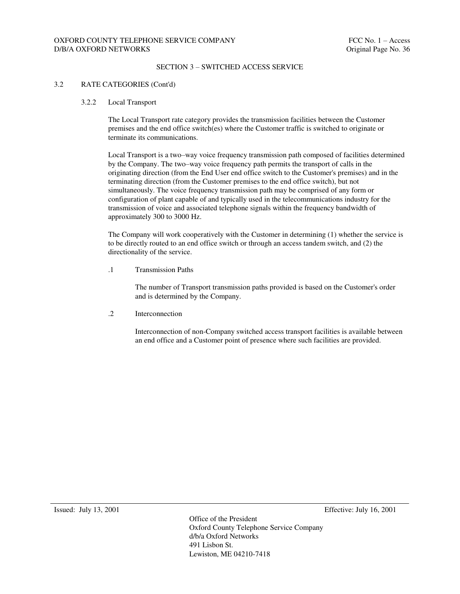### SECTION 3 – SWITCHED ACCESS SERVICE

#### 3.2 RATE CATEGORIES (Cont'd)

#### 3.2.2 Local Transport

The Local Transport rate category provides the transmission facilities between the Customer premises and the end office switch(es) where the Customer traffic is switched to originate or terminate its communications.

Local Transport is a two–way voice frequency transmission path composed of facilities determined by the Company. The two–way voice frequency path permits the transport of calls in the originating direction (from the End User end office switch to the Customer's premises) and in the terminating direction (from the Customer premises to the end office switch), but not simultaneously. The voice frequency transmission path may be comprised of any form or configuration of plant capable of and typically used in the telecommunications industry for the transmission of voice and associated telephone signals within the frequency bandwidth of approximately 300 to 3000 Hz.

The Company will work cooperatively with the Customer in determining (1) whether the service is to be directly routed to an end office switch or through an access tandem switch, and (2) the directionality of the service.

.1 Transmission Paths

The number of Transport transmission paths provided is based on the Customer's order and is determined by the Company.

.2 Interconnection

Interconnection of non-Company switched access transport facilities is available between an end office and a Customer point of presence where such facilities are provided.

Issued: July 13, 2001 Effective: July 16, 2001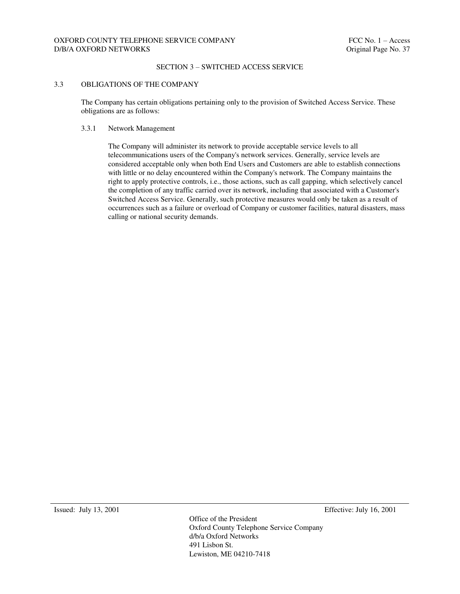### SECTION 3 – SWITCHED ACCESS SERVICE

### 3.3 OBLIGATIONS OF THE COMPANY

The Company has certain obligations pertaining only to the provision of Switched Access Service. These obligations are as follows:

#### 3.3.1 Network Management

The Company will administer its network to provide acceptable service levels to all telecommunications users of the Company's network services. Generally, service levels are considered acceptable only when both End Users and Customers are able to establish connections with little or no delay encountered within the Company's network. The Company maintains the right to apply protective controls, i.e., those actions, such as call gapping, which selectively cancel the completion of any traffic carried over its network, including that associated with a Customer's Switched Access Service. Generally, such protective measures would only be taken as a result of occurrences such as a failure or overload of Company or customer facilities, natural disasters, mass calling or national security demands.

Issued: July 13, 2001 Effective: July 16, 2001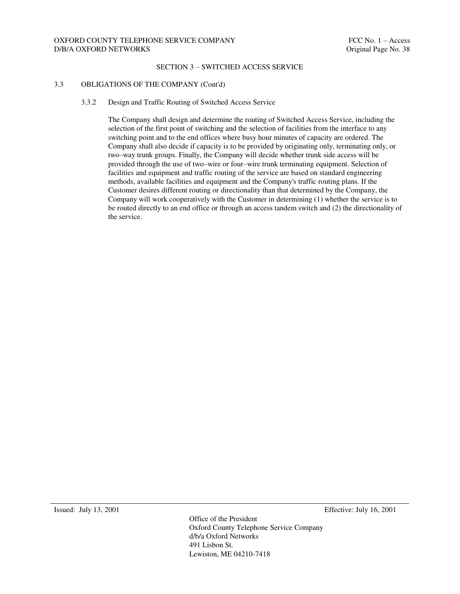### SECTION 3 – SWITCHED ACCESS SERVICE

### 3.3 OBLIGATIONS OF THE COMPANY (Cont'd)

#### 3.3.2 Design and Traffic Routing of Switched Access Service

The Company shall design and determine the routing of Switched Access Service, including the selection of the first point of switching and the selection of facilities from the interface to any switching point and to the end offices where busy hour minutes of capacity are ordered. The Company shall also decide if capacity is to be provided by originating only, terminating only, or two–way trunk groups. Finally, the Company will decide whether trunk side access will be provided through the use of two–wire or four–wire trunk terminating equipment. Selection of facilities and equipment and traffic routing of the service are based on standard engineering methods, available facilities and equipment and the Company's traffic routing plans. If the Customer desires different routing or directionality than that determined by the Company, the Company will work cooperatively with the Customer in determining (1) whether the service is to be routed directly to an end office or through an access tandem switch and (2) the directionality of the service.

Issued: July 13, 2001 Effective: July 16, 2001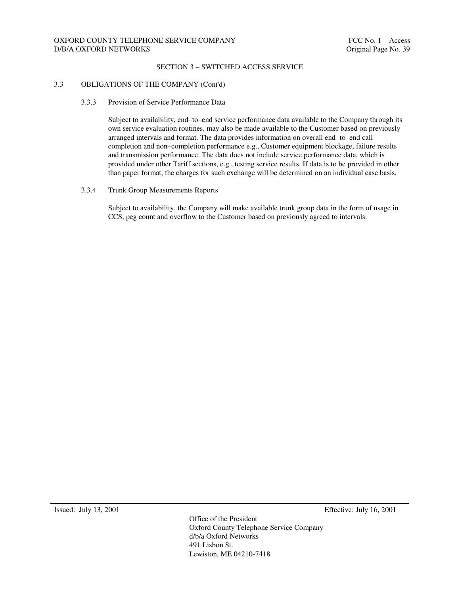### SECTION 3 – SWITCHED ACCESS SERVICE

### 3.3 OBLIGATIONS OF THE COMPANY (Cont'd)

### 3.3.3 Provision of Service Performance Data

Subject to availability, end–to–end service performance data available to the Company through its own service evaluation routines, may also be made available to the Customer based on previously arranged intervals and format. The data provides information on overall end–to–end call completion and non–completion performance e.g., Customer equipment blockage, failure results and transmission performance. The data does not include service performance data, which is provided under other Tariff sections, e.g., testing service results. If data is to be provided in other than paper format, the charges for such exchange will be determined on an individual case basis.

#### 3.3.4 Trunk Group Measurements Reports

Subject to availability, the Company will make available trunk group data in the form of usage in CCS, peg count and overflow to the Customer based on previously agreed to intervals.

Issued: July 13, 2001 Effective: July 16, 2001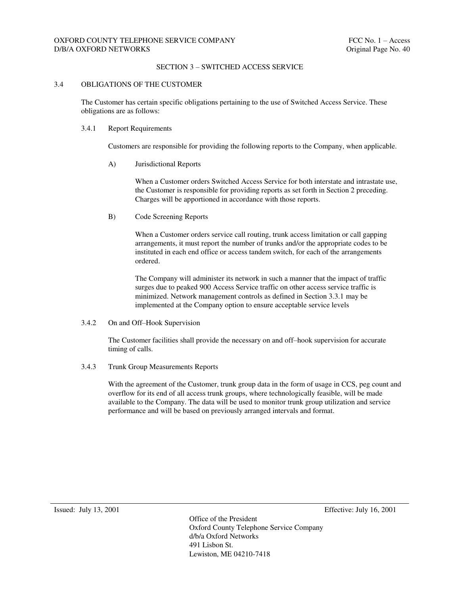### SECTION 3 – SWITCHED ACCESS SERVICE

#### 3.4 OBLIGATIONS OF THE CUSTOMER

The Customer has certain specific obligations pertaining to the use of Switched Access Service. These obligations are as follows:

#### 3.4.1 Report Requirements

Customers are responsible for providing the following reports to the Company, when applicable.

A) Jurisdictional Reports

When a Customer orders Switched Access Service for both interstate and intrastate use, the Customer is responsible for providing reports as set forth in Section 2 preceding. Charges will be apportioned in accordance with those reports.

B) Code Screening Reports

When a Customer orders service call routing, trunk access limitation or call gapping arrangements, it must report the number of trunks and/or the appropriate codes to be instituted in each end office or access tandem switch, for each of the arrangements ordered.

The Company will administer its network in such a manner that the impact of traffic surges due to peaked 900 Access Service traffic on other access service traffic is minimized. Network management controls as defined in Section 3.3.1 may be implemented at the Company option to ensure acceptable service levels

3.4.2 On and Off–Hook Supervision

The Customer facilities shall provide the necessary on and off–hook supervision for accurate timing of calls.

3.4.3 Trunk Group Measurements Reports

With the agreement of the Customer, trunk group data in the form of usage in CCS, peg count and overflow for its end of all access trunk groups, where technologically feasible, will be made available to the Company. The data will be used to monitor trunk group utilization and service performance and will be based on previously arranged intervals and format.

Issued: July 13, 2001 Effective: July 16, 2001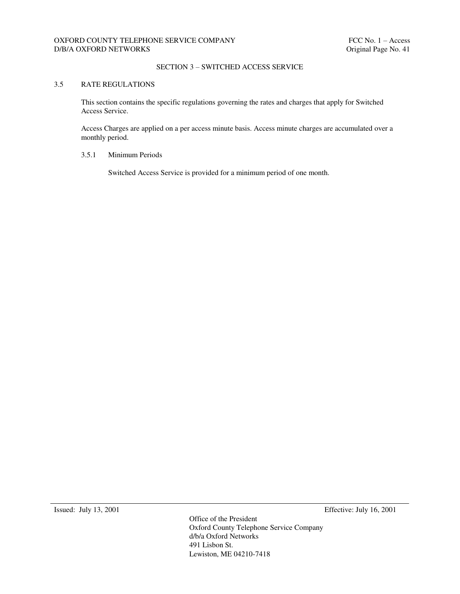## SECTION 3 – SWITCHED ACCESS SERVICE

## 3.5 RATE REGULATIONS

This section contains the specific regulations governing the rates and charges that apply for Switched Access Service.

Access Charges are applied on a per access minute basis. Access minute charges are accumulated over a monthly period.

#### 3.5.1 Minimum Periods

Switched Access Service is provided for a minimum period of one month.

Issued: July 13, 2001 Effective: July 16, 2001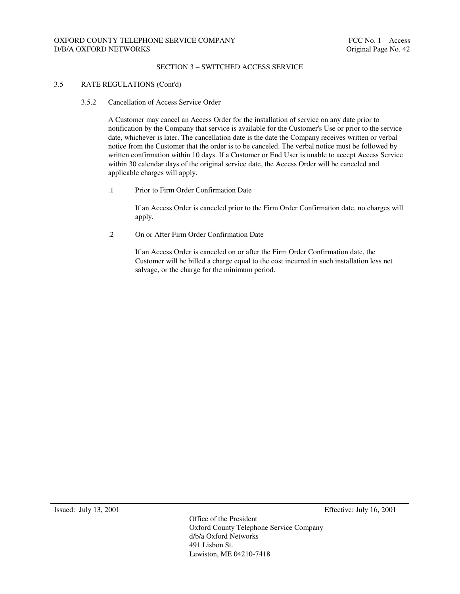### SECTION 3 – SWITCHED ACCESS SERVICE

### 3.5 RATE REGULATIONS (Cont'd)

3.5.2 Cancellation of Access Service Order

A Customer may cancel an Access Order for the installation of service on any date prior to notification by the Company that service is available for the Customer's Use or prior to the service date, whichever is later. The cancellation date is the date the Company receives written or verbal notice from the Customer that the order is to be canceled. The verbal notice must be followed by written confirmation within 10 days. If a Customer or End User is unable to accept Access Service within 30 calendar days of the original service date, the Access Order will be canceled and applicable charges will apply.

.1 Prior to Firm Order Confirmation Date

If an Access Order is canceled prior to the Firm Order Confirmation date, no charges will apply.

.2 On or After Firm Order Confirmation Date

If an Access Order is canceled on or after the Firm Order Confirmation date, the Customer will be billed a charge equal to the cost incurred in such installation less net salvage, or the charge for the minimum period.

Issued: July 13, 2001 Effective: July 16, 2001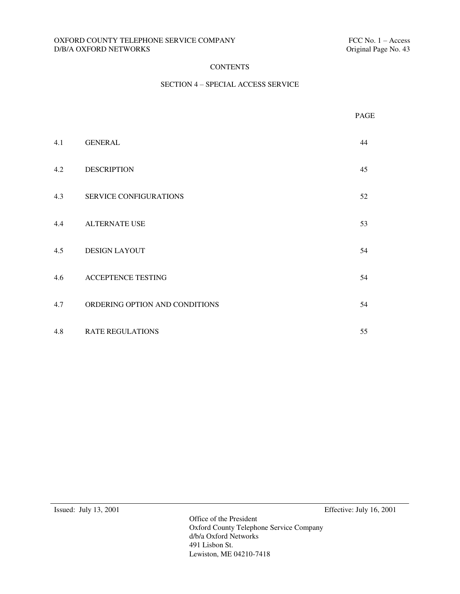## OXFORD COUNTY TELEPHONE SERVICE COMPANY FELOMENT FCC No. 1 – Access D/B/A OXFORD NETWORKS Criginal Page No. 43  $D/B/A$  OXFORD NETWORKS  $\;$

# **CONTENTS**

## SECTION 4 – SPECIAL ACCESS SERVICE

|     |                                | PAGE |
|-----|--------------------------------|------|
| 4.1 | <b>GENERAL</b>                 | 44   |
| 4.2 | <b>DESCRIPTION</b>             | 45   |
| 4.3 | <b>SERVICE CONFIGURATIONS</b>  | 52   |
| 4.4 | ALTERNATE USE                  | 53   |
| 4.5 | <b>DESIGN LAYOUT</b>           | 54   |
| 4.6 | ACCEPTENCE TESTING             | 54   |
| 4.7 | ORDERING OPTION AND CONDITIONS | 54   |
| 4.8 | <b>RATE REGULATIONS</b>        | 55   |

Issued: July 13, 2001 Effective: July 16, 2001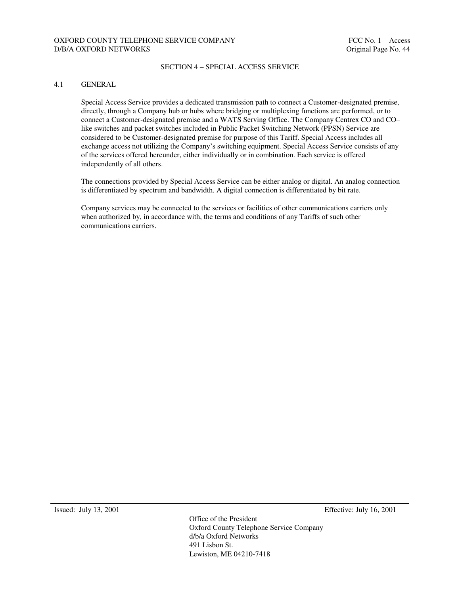### SECTION 4 – SPECIAL ACCESS SERVICE

### 4.1 GENERAL

Special Access Service provides a dedicated transmission path to connect a Customer-designated premise, directly, through a Company hub or hubs where bridging or multiplexing functions are performed, or to connect a Customer-designated premise and a WATS Serving Office. The Company Centrex CO and CO– like switches and packet switches included in Public Packet Switching Network (PPSN) Service are considered to be Customer-designated premise for purpose of this Tariff. Special Access includes all exchange access not utilizing the Company's switching equipment. Special Access Service consists of any of the services offered hereunder, either individually or in combination. Each service is offered independently of all others.

The connections provided by Special Access Service can be either analog or digital. An analog connection is differentiated by spectrum and bandwidth. A digital connection is differentiated by bit rate.

Company services may be connected to the services or facilities of other communications carriers only when authorized by, in accordance with, the terms and conditions of any Tariffs of such other communications carriers.

Issued: July 13, 2001 Effective: July 16, 2001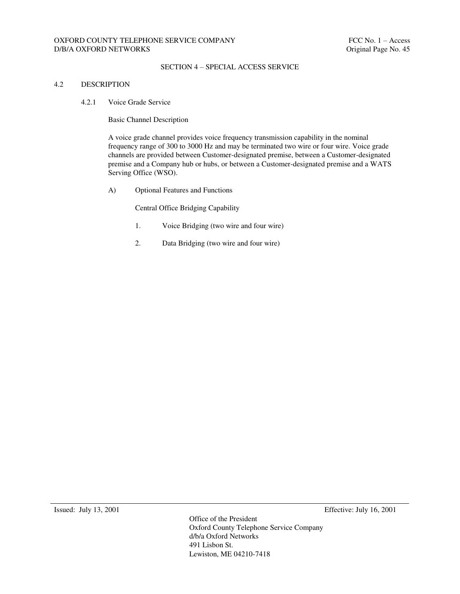### SECTION 4 – SPECIAL ACCESS SERVICE

## 4.2 DESCRIPTION

4.2.1 Voice Grade Service

Basic Channel Description

A voice grade channel provides voice frequency transmission capability in the nominal frequency range of 300 to 3000 Hz and may be terminated two wire or four wire. Voice grade channels are provided between Customer-designated premise, between a Customer-designated premise and a Company hub or hubs, or between a Customer-designated premise and a WATS Serving Office (WSO).

A) Optional Features and Functions

Central Office Bridging Capability

- 1. Voice Bridging (two wire and four wire)
- 2. Data Bridging (two wire and four wire)

Issued: July 13, 2001 Effective: July 16, 2001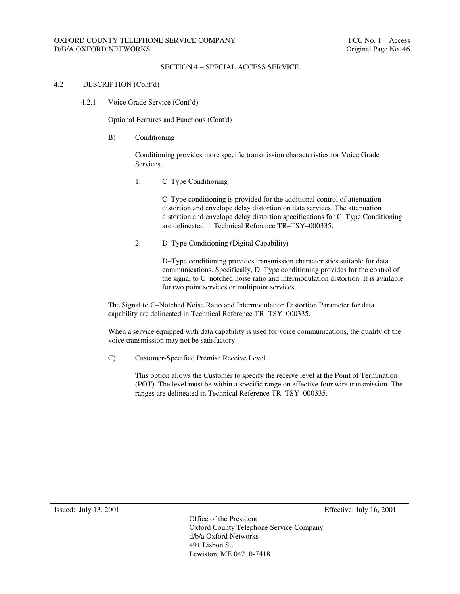## SECTION 4 – SPECIAL ACCESS SERVICE

### 4.2 DESCRIPTION (Cont'd)

4.2.1 Voice Grade Service (Cont'd)

Optional Features and Functions (Cont'd)

B) Conditioning

Conditioning provides more specific transmission characteristics for Voice Grade Services.

1. C–Type Conditioning

C–Type conditioning is provided for the additional control of attenuation distortion and envelope delay distortion on data services. The attenuation distortion and envelope delay distortion specifications for C–Type Conditioning are delineated in Technical Reference TR–TSY–000335.

2. D–Type Conditioning (Digital Capability)

D–Type conditioning provides transmission characteristics suitable for data communications. Specifically, D–Type conditioning provides for the control of the signal to C–notched noise ratio and intermodulation distortion. It is available for two point services or multipoint services.

The Signal to C–Notched Noise Ratio and Intermodulation Distortion Parameter for data capability are delineated in Technical Reference TR–TSY–000335.

When a service equipped with data capability is used for voice communications, the quality of the voice transmission may not be satisfactory.

C) Customer-Specified Premise Receive Level

This option allows the Customer to specify the receive level at the Point of Termination (POT). The level must be within a specific range on effective four wire transmission. The ranges are delineated in Technical Reference TR–TSY–000335.

Issued: July 13, 2001 Effective: July 16, 2001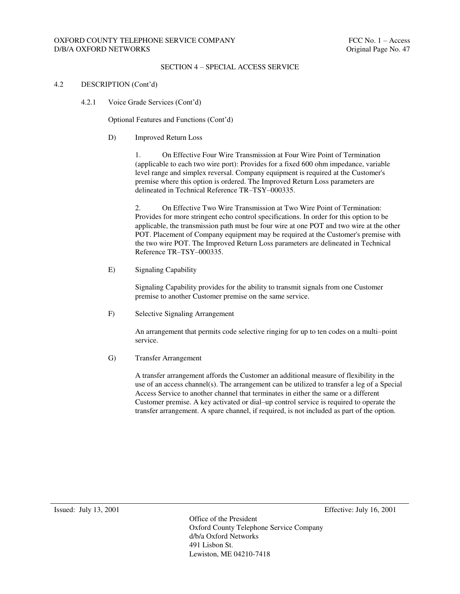### SECTION 4 – SPECIAL ACCESS SERVICE

### 4.2 DESCRIPTION (Cont'd)

4.2.1 Voice Grade Services (Cont'd)

Optional Features and Functions (Cont'd)

D) Improved Return Loss

1. On Effective Four Wire Transmission at Four Wire Point of Termination (applicable to each two wire port): Provides for a fixed 600 ohm impedance, variable level range and simplex reversal. Company equipment is required at the Customer's premise where this option is ordered. The Improved Return Loss parameters are delineated in Technical Reference TR–TSY–000335.

2. On Effective Two Wire Transmission at Two Wire Point of Termination: Provides for more stringent echo control specifications. In order for this option to be applicable, the transmission path must be four wire at one POT and two wire at the other POT. Placement of Company equipment may be required at the Customer's premise with the two wire POT. The Improved Return Loss parameters are delineated in Technical Reference TR–TSY–000335.

E) Signaling Capability

Signaling Capability provides for the ability to transmit signals from one Customer premise to another Customer premise on the same service.

F) Selective Signaling Arrangement

An arrangement that permits code selective ringing for up to ten codes on a multi–point service.

#### G) Transfer Arrangement

A transfer arrangement affords the Customer an additional measure of flexibility in the use of an access channel(s). The arrangement can be utilized to transfer a leg of a Special Access Service to another channel that terminates in either the same or a different Customer premise. A key activated or dial–up control service is required to operate the transfer arrangement. A spare channel, if required, is not included as part of the option.

Issued: July 13, 2001 Effective: July 16, 2001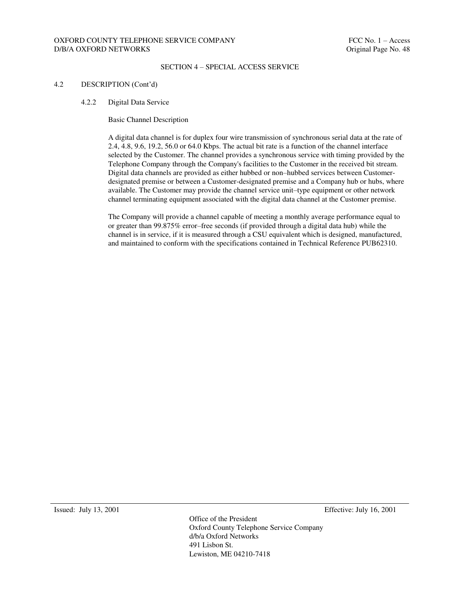### SECTION 4 – SPECIAL ACCESS SERVICE

#### 4.2 DESCRIPTION (Cont'd)

4.2.2 Digital Data Service

Basic Channel Description

A digital data channel is for duplex four wire transmission of synchronous serial data at the rate of 2.4, 4.8, 9.6, 19.2, 56.0 or 64.0 Kbps. The actual bit rate is a function of the channel interface selected by the Customer. The channel provides a synchronous service with timing provided by the Telephone Company through the Company's facilities to the Customer in the received bit stream. Digital data channels are provided as either hubbed or non–hubbed services between Customerdesignated premise or between a Customer-designated premise and a Company hub or hubs, where available. The Customer may provide the channel service unit–type equipment or other network channel terminating equipment associated with the digital data channel at the Customer premise.

The Company will provide a channel capable of meeting a monthly average performance equal to or greater than 99.875% error–free seconds (if provided through a digital data hub) while the channel is in service, if it is measured through a CSU equivalent which is designed, manufactured, and maintained to conform with the specifications contained in Technical Reference PUB62310.

Issued: July 13, 2001 Effective: July 16, 2001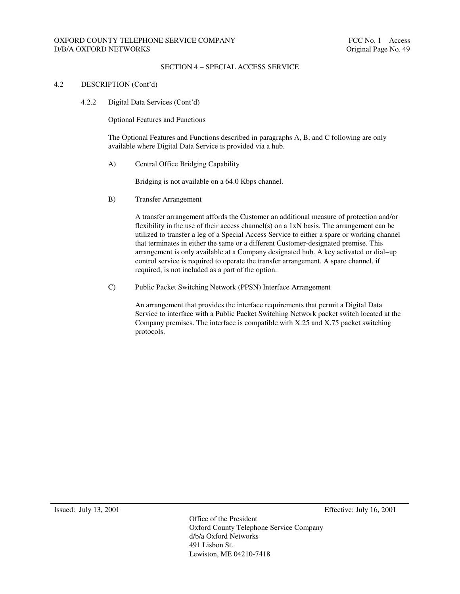### SECTION 4 – SPECIAL ACCESS SERVICE

### 4.2 DESCRIPTION (Cont'd)

4.2.2 Digital Data Services (Cont'd)

Optional Features and Functions

The Optional Features and Functions described in paragraphs A, B, and C following are only available where Digital Data Service is provided via a hub.

A) Central Office Bridging Capability

Bridging is not available on a 64.0 Kbps channel.

B) Transfer Arrangement

A transfer arrangement affords the Customer an additional measure of protection and/or flexibility in the use of their access channel(s) on a  $1xN$  basis. The arrangement can be utilized to transfer a leg of a Special Access Service to either a spare or working channel that terminates in either the same or a different Customer-designated premise. This arrangement is only available at a Company designated hub. A key activated or dial–up control service is required to operate the transfer arrangement. A spare channel, if required, is not included as a part of the option.

C) Public Packet Switching Network (PPSN) Interface Arrangement

An arrangement that provides the interface requirements that permit a Digital Data Service to interface with a Public Packet Switching Network packet switch located at the Company premises. The interface is compatible with X.25 and X.75 packet switching protocols.

Issued: July 13, 2001 Effective: July 16, 2001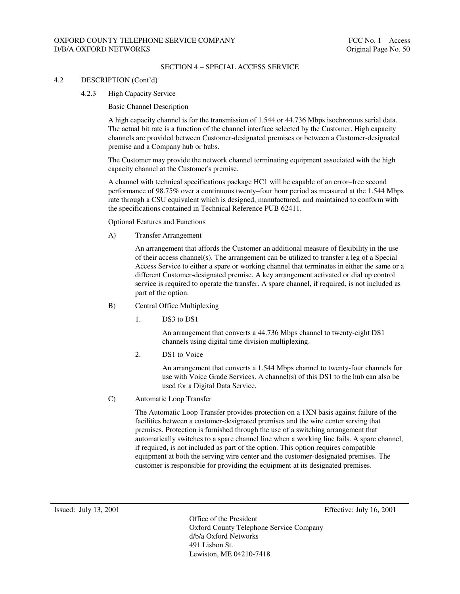## OXFORD COUNTY TELEPHONE SERVICE COMPANY FELOUSE THE SERVICE OF SERVICE OF SERVICE OF SERVICE OF SERVICE OF SERVICE OF SERVICE OF SERVICE OF SERVICE OF SERVICE OF SERVICE OF SERVICE OF SERVICE OF SERVICE OF SERVICE OF SERVI D/B/A OXFORD NETWORKS **Original Page No. 50**

#### SECTION 4 – SPECIAL ACCESS SERVICE

#### 4.2 DESCRIPTION (Cont'd)

4.2.3 High Capacity Service

Basic Channel Description

A high capacity channel is for the transmission of 1.544 or 44.736 Mbps isochronous serial data. The actual bit rate is a function of the channel interface selected by the Customer. High capacity channels are provided between Customer-designated premises or between a Customer-designated premise and a Company hub or hubs.

The Customer may provide the network channel terminating equipment associated with the high capacity channel at the Customer's premise.

A channel with technical specifications package HC1 will be capable of an error–free second performance of 98.75% over a continuous twenty–four hour period as measured at the 1.544 Mbps rate through a CSU equivalent which is designed, manufactured, and maintained to conform with the specifications contained in Technical Reference PUB 62411.

Optional Features and Functions

A) Transfer Arrangement

An arrangement that affords the Customer an additional measure of flexibility in the use of their access channel(s). The arrangement can be utilized to transfer a leg of a Special Access Service to either a spare or working channel that terminates in either the same or a different Customer-designated premise. A key arrangement activated or dial up control service is required to operate the transfer. A spare channel, if required, is not included as part of the option.

- B) Central Office Multiplexing
	- 1. DS3 to DS1

An arrangement that converts a 44.736 Mbps channel to twenty-eight DS1 channels using digital time division multiplexing.

2. DS1 to Voice

An arrangement that converts a 1.544 Mbps channel to twenty-four channels for use with Voice Grade Services. A channel(s) of this DS1 to the hub can also be used for a Digital Data Service.

C) Automatic Loop Transfer

The Automatic Loop Transfer provides protection on a 1XN basis against failure of the facilities between a customer-designated premises and the wire center serving that premises. Protection is furnished through the use of a switching arrangement that automatically switches to a spare channel line when a working line fails. A spare channel, if required, is not included as part of the option. This option requires compatible equipment at both the serving wire center and the customer-designated premises. The customer is responsible for providing the equipment at its designated premises.

Issued: July 13, 2001 Effective: July 16, 2001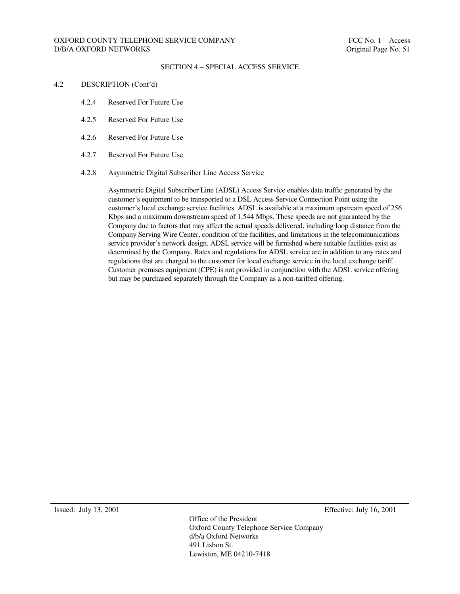### SECTION 4 – SPECIAL ACCESS SERVICE

### 4.2 DESCRIPTION (Cont'd)

- 4.2.4 Reserved For Future Use
- 4.2.5 Reserved For Future Use
- 4.2.6 Reserved For Future Use
- 4.2.7 Reserved For Future Use

#### 4.2.8 Asymmetric Digital Subscriber Line Access Service

Asymmetric Digital Subscriber Line (ADSL) Access Service enables data traffic generated by the customer's equipment to be transported to a DSL Access Service Connection Point using the customer's local exchange service facilities. ADSL is available at a maximum upstream speed of 256 Kbps and a maximum downstream speed of 1.544 Mbps. These speeds are not guaranteed by the Company due to factors that may affect the actual speeds delivered, including loop distance from the Company Serving Wire Center, condition of the facilities, and limitations in the telecommunications service provider's network design. ADSL service will be furnished where suitable facilities exist as determined by the Company. Rates and regulations for ADSL service are in addition to any rates and regulations that are charged to the customer for local exchange service in the local exchange tariff. Customer premises equipment (CPE) is not provided in conjunction with the ADSL service offering but may be purchased separately through the Company as a non-tariffed offering.

Issued: July 13, 2001 Effective: July 16, 2001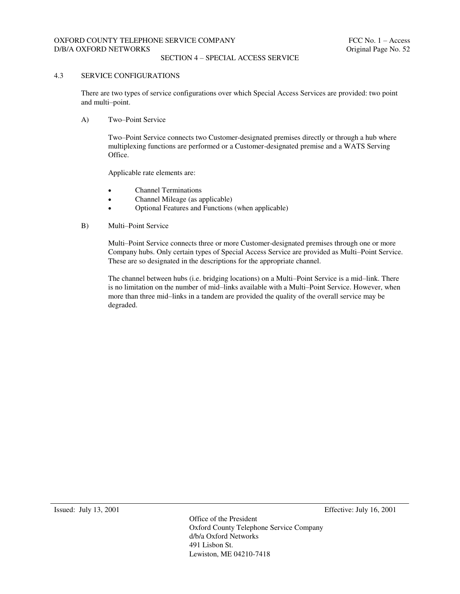### SECTION 4 – SPECIAL ACCESS SERVICE

#### 4.3 SERVICE CONFIGURATIONS

There are two types of service configurations over which Special Access Services are provided: two point and multi–point.

A) Two–Point Service

Two–Point Service connects two Customer-designated premises directly or through a hub where multiplexing functions are performed or a Customer-designated premise and a WATS Serving Office.

Applicable rate elements are:

- Channel Terminations
- Channel Mileage (as applicable)
- Optional Features and Functions (when applicable)
- B) Multi–Point Service

Multi–Point Service connects three or more Customer-designated premises through one or more Company hubs. Only certain types of Special Access Service are provided as Multi–Point Service. These are so designated in the descriptions for the appropriate channel.

The channel between hubs (i.e. bridging locations) on a Multi–Point Service is a mid–link. There is no limitation on the number of mid–links available with a Multi–Point Service. However, when more than three mid–links in a tandem are provided the quality of the overall service may be degraded.

Issued: July 13, 2001 Effective: July 16, 2001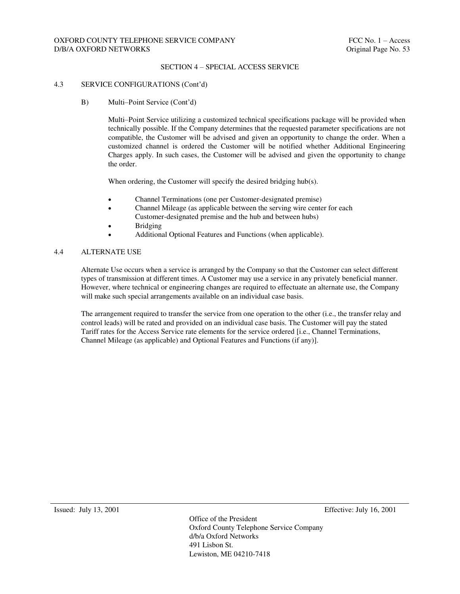### SECTION 4 – SPECIAL ACCESS SERVICE

#### 4.3 SERVICE CONFIGURATIONS (Cont'd)

B) Multi–Point Service (Cont'd)

Multi–Point Service utilizing a customized technical specifications package will be provided when technically possible. If the Company determines that the requested parameter specifications are not compatible, the Customer will be advised and given an opportunity to change the order. When a customized channel is ordered the Customer will be notified whether Additional Engineering Charges apply. In such cases, the Customer will be advised and given the opportunity to change the order.

When ordering, the Customer will specify the desired bridging hub(s).

- Channel Terminations (one per Customer-designated premise)
- Channel Mileage (as applicable between the serving wire center for each Customer-designated premise and the hub and between hubs)
- Bridging
- Additional Optional Features and Functions (when applicable).

### 4.4 ALTERNATE USE

Alternate Use occurs when a service is arranged by the Company so that the Customer can select different types of transmission at different times. A Customer may use a service in any privately beneficial manner. However, where technical or engineering changes are required to effectuate an alternate use, the Company will make such special arrangements available on an individual case basis.

The arrangement required to transfer the service from one operation to the other (i.e., the transfer relay and control leads) will be rated and provided on an individual case basis. The Customer will pay the stated Tariff rates for the Access Service rate elements for the service ordered [i.e., Channel Terminations, Channel Mileage (as applicable) and Optional Features and Functions (if any)].

Issued: July 13, 2001 Effective: July 16, 2001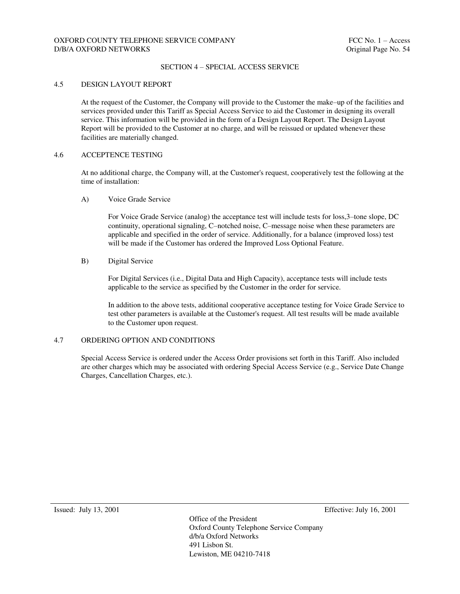### SECTION 4 – SPECIAL ACCESS SERVICE

#### 4.5 DESIGN LAYOUT REPORT

At the request of the Customer, the Company will provide to the Customer the make–up of the facilities and services provided under this Tariff as Special Access Service to aid the Customer in designing its overall service. This information will be provided in the form of a Design Layout Report. The Design Layout Report will be provided to the Customer at no charge, and will be reissued or updated whenever these facilities are materially changed.

#### 4.6 ACCEPTENCE TESTING

At no additional charge, the Company will, at the Customer's request, cooperatively test the following at the time of installation:

A) Voice Grade Service

For Voice Grade Service (analog) the acceptance test will include tests for loss,3–tone slope, DC continuity, operational signaling, C–notched noise, C–message noise when these parameters are applicable and specified in the order of service. Additionally, for a balance (improved loss) test will be made if the Customer has ordered the Improved Loss Optional Feature.

### B) Digital Service

For Digital Services (i.e., Digital Data and High Capacity), acceptance tests will include tests applicable to the service as specified by the Customer in the order for service.

In addition to the above tests, additional cooperative acceptance testing for Voice Grade Service to test other parameters is available at the Customer's request. All test results will be made available to the Customer upon request.

#### 4.7 ORDERING OPTION AND CONDITIONS

Special Access Service is ordered under the Access Order provisions set forth in this Tariff. Also included are other charges which may be associated with ordering Special Access Service (e.g., Service Date Change Charges, Cancellation Charges, etc.).

Issued: July 13, 2001 Effective: July 16, 2001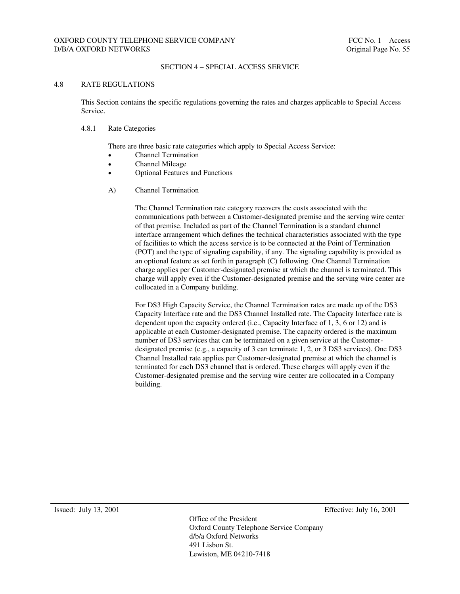## SECTION 4 – SPECIAL ACCESS SERVICE

### 4.8 RATE REGULATIONS

This Section contains the specific regulations governing the rates and charges applicable to Special Access Service.

#### 4.8.1 Rate Categories

There are three basic rate categories which apply to Special Access Service:

- Channel Termination
- Channel Mileage
- Optional Features and Functions
- A) Channel Termination

The Channel Termination rate category recovers the costs associated with the communications path between a Customer-designated premise and the serving wire center of that premise. Included as part of the Channel Termination is a standard channel interface arrangement which defines the technical characteristics associated with the type of facilities to which the access service is to be connected at the Point of Termination (POT) and the type of signaling capability, if any. The signaling capability is provided as an optional feature as set forth in paragraph (C) following. One Channel Termination charge applies per Customer-designated premise at which the channel is terminated. This charge will apply even if the Customer-designated premise and the serving wire center are collocated in a Company building.

For DS3 High Capacity Service, the Channel Termination rates are made up of the DS3 Capacity Interface rate and the DS3 Channel Installed rate. The Capacity Interface rate is dependent upon the capacity ordered (i.e., Capacity Interface of 1, 3, 6 or 12) and is applicable at each Customer-designated premise. The capacity ordered is the maximum number of DS3 services that can be terminated on a given service at the Customerdesignated premise (e.g., a capacity of 3 can terminate 1, 2, or 3 DS3 services). One DS3 Channel Installed rate applies per Customer-designated premise at which the channel is terminated for each DS3 channel that is ordered. These charges will apply even if the Customer-designated premise and the serving wire center are collocated in a Company building.

Issued: July 13, 2001 Effective: July 16, 2001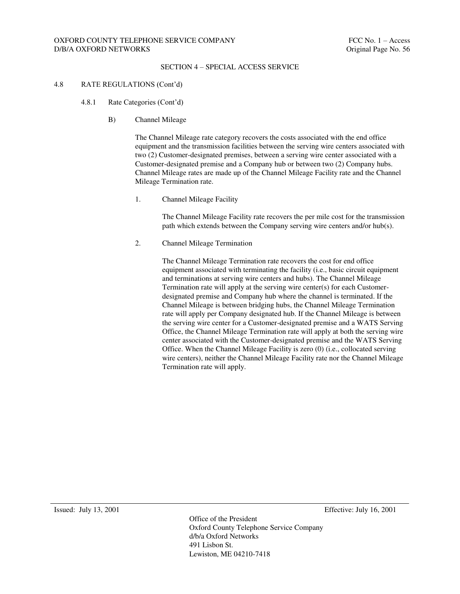### SECTION 4 – SPECIAL ACCESS SERVICE

### 4.8 RATE REGULATIONS (Cont'd)

- 4.8.1 Rate Categories (Cont'd)
	- B) Channel Mileage

The Channel Mileage rate category recovers the costs associated with the end office equipment and the transmission facilities between the serving wire centers associated with two (2) Customer-designated premises, between a serving wire center associated with a Customer-designated premise and a Company hub or between two (2) Company hubs. Channel Mileage rates are made up of the Channel Mileage Facility rate and the Channel Mileage Termination rate.

1. Channel Mileage Facility

The Channel Mileage Facility rate recovers the per mile cost for the transmission path which extends between the Company serving wire centers and/or hub(s).

2. Channel Mileage Termination

The Channel Mileage Termination rate recovers the cost for end office equipment associated with terminating the facility (i.e., basic circuit equipment and terminations at serving wire centers and hubs). The Channel Mileage Termination rate will apply at the serving wire center(s) for each Customerdesignated premise and Company hub where the channel is terminated. If the Channel Mileage is between bridging hubs, the Channel Mileage Termination rate will apply per Company designated hub. If the Channel Mileage is between the serving wire center for a Customer-designated premise and a WATS Serving Office, the Channel Mileage Termination rate will apply at both the serving wire center associated with the Customer-designated premise and the WATS Serving Office. When the Channel Mileage Facility is zero (0) (i.e., collocated serving wire centers), neither the Channel Mileage Facility rate nor the Channel Mileage Termination rate will apply.

Issued: July 13, 2001 Effective: July 16, 2001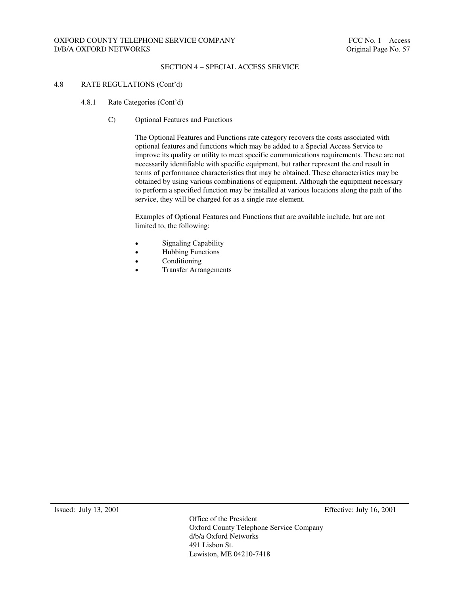### SECTION 4 – SPECIAL ACCESS SERVICE

### 4.8 RATE REGULATIONS (Cont'd)

- 4.8.1 Rate Categories (Cont'd)
	- C) Optional Features and Functions

The Optional Features and Functions rate category recovers the costs associated with optional features and functions which may be added to a Special Access Service to improve its quality or utility to meet specific communications requirements. These are not necessarily identifiable with specific equipment, but rather represent the end result in terms of performance characteristics that may be obtained. These characteristics may be obtained by using various combinations of equipment. Although the equipment necessary to perform a specified function may be installed at various locations along the path of the service, they will be charged for as a single rate element.

Examples of Optional Features and Functions that are available include, but are not limited to, the following:

- Signaling Capability
- Hubbing Functions
- Conditioning
- Transfer Arrangements

Issued: July 13, 2001 Effective: July 16, 2001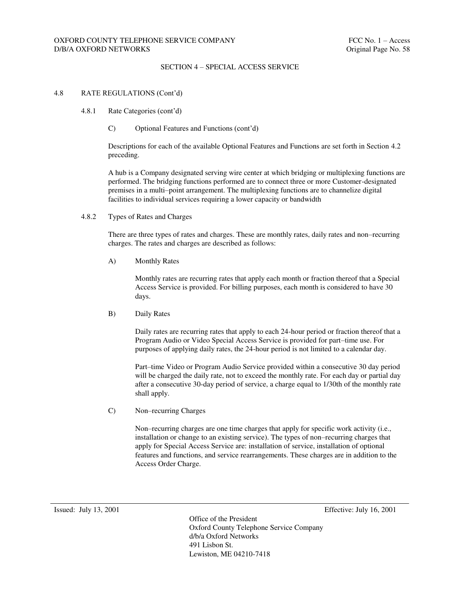## SECTION 4 – SPECIAL ACCESS SERVICE

#### 4.8 RATE REGULATIONS (Cont'd)

- 4.8.1 Rate Categories (cont'd)
	- C) Optional Features and Functions (cont'd)

Descriptions for each of the available Optional Features and Functions are set forth in Section 4.2 preceding.

A hub is a Company designated serving wire center at which bridging or multiplexing functions are performed. The bridging functions performed are to connect three or more Customer-designated premises in a multi–point arrangement. The multiplexing functions are to channelize digital facilities to individual services requiring a lower capacity or bandwidth

4.8.2 Types of Rates and Charges

There are three types of rates and charges. These are monthly rates, daily rates and non–recurring charges. The rates and charges are described as follows:

A) Monthly Rates

Monthly rates are recurring rates that apply each month or fraction thereof that a Special Access Service is provided. For billing purposes, each month is considered to have 30 days.

B) Daily Rates

Daily rates are recurring rates that apply to each 24-hour period or fraction thereof that a Program Audio or Video Special Access Service is provided for part–time use. For purposes of applying daily rates, the 24-hour period is not limited to a calendar day.

Part–time Video or Program Audio Service provided within a consecutive 30 day period will be charged the daily rate, not to exceed the monthly rate. For each day or partial day after a consecutive 30-day period of service, a charge equal to 1/30th of the monthly rate shall apply.

C) Non–recurring Charges

Non–recurring charges are one time charges that apply for specific work activity (i.e., installation or change to an existing service). The types of non–recurring charges that apply for Special Access Service are: installation of service, installation of optional features and functions, and service rearrangements. These charges are in addition to the Access Order Charge.

Issued: July 13, 2001 Effective: July 16, 2001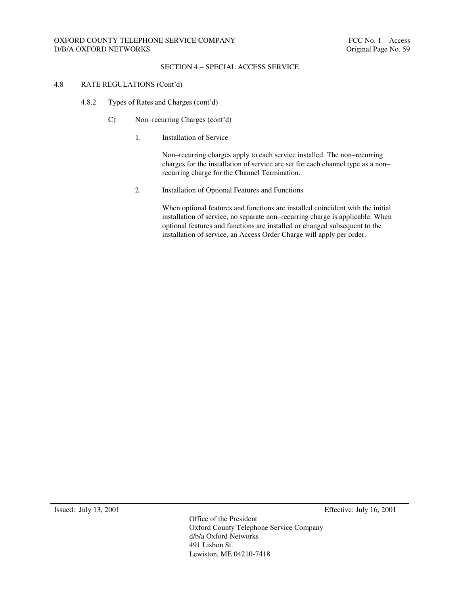## SECTION 4 – SPECIAL ACCESS SERVICE

### 4.8 RATE REGULATIONS (Cont'd)

- 4.8.2 Types of Rates and Charges (cont'd)
	- C) Non–recurring Charges (cont'd)
		- 1. Installation of Service

Non–recurring charges apply to each service installed. The non–recurring charges for the installation of service are set for each channel type as a non– recurring charge for the Channel Termination.

2. Installation of Optional Features and Functions

When optional features and functions are installed coincident with the initial installation of service, no separate non–recurring charge is applicable. When optional features and functions are installed or changed subsequent to the installation of service, an Access Order Charge will apply per order.

Issued: July 13, 2001 Effective: July 16, 2001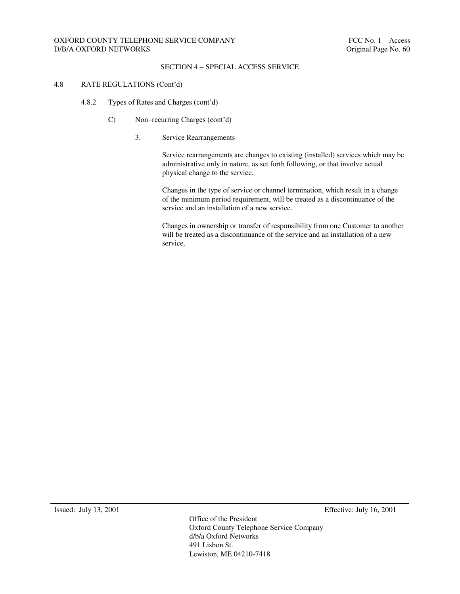## SECTION 4 – SPECIAL ACCESS SERVICE

### 4.8 RATE REGULATIONS (Cont'd)

- 4.8.2 Types of Rates and Charges (cont'd)
	- C) Non–recurring Charges (cont'd)
		- 3. Service Rearrangements

Service rearrangements are changes to existing (installed) services which may be administrative only in nature, as set forth following, or that involve actual physical change to the service.

Changes in the type of service or channel termination, which result in a change of the minimum period requirement, will be treated as a discontinuance of the service and an installation of a new service.

Changes in ownership or transfer of responsibility from one Customer to another will be treated as a discontinuance of the service and an installation of a new service.

Issued: July 13, 2001 Effective: July 16, 2001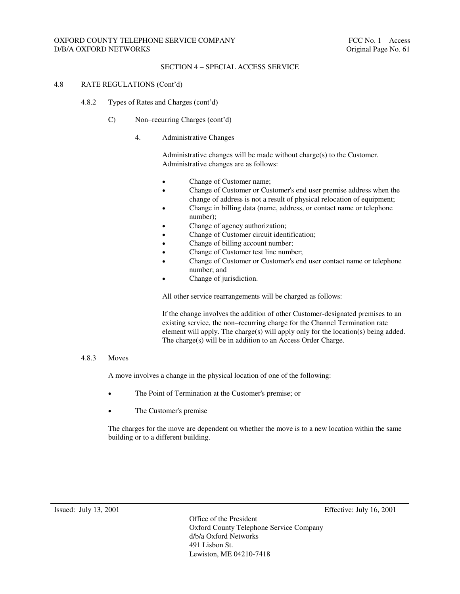### SECTION 4 – SPECIAL ACCESS SERVICE

### 4.8 RATE REGULATIONS (Cont'd)

- 4.8.2 Types of Rates and Charges (cont'd)
	- C) Non–recurring Charges (cont'd)
		- 4. Administrative Changes

Administrative changes will be made without charge(s) to the Customer. Administrative changes are as follows:

- Change of Customer name;
- Change of Customer or Customer's end user premise address when the change of address is not a result of physical relocation of equipment;
- Change in billing data (name, address, or contact name or telephone number);
- Change of agency authorization;
- Change of Customer circuit identification;
- Change of billing account number;
- Change of Customer test line number;
- Change of Customer or Customer's end user contact name or telephone number; and
- Change of jurisdiction.

All other service rearrangements will be charged as follows:

If the change involves the addition of other Customer-designated premises to an existing service, the non–recurring charge for the Channel Termination rate element will apply. The charge(s) will apply only for the location(s) being added. The charge(s) will be in addition to an Access Order Charge.

#### 4.8.3 Moves

A move involves a change in the physical location of one of the following:

- The Point of Termination at the Customer's premise; or
- The Customer's premise

The charges for the move are dependent on whether the move is to a new location within the same building or to a different building.

Issued: July 13, 2001 Effective: July 16, 2001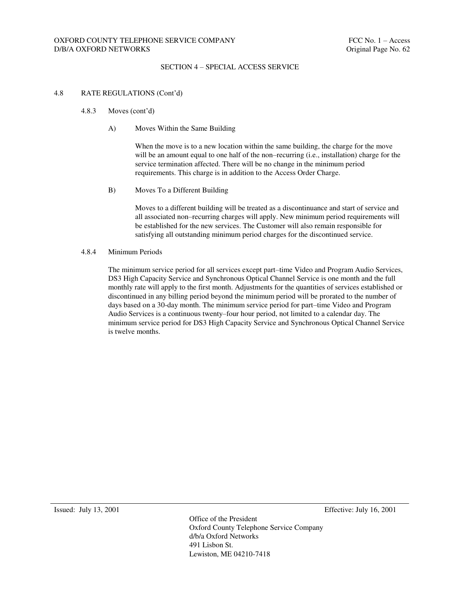### SECTION 4 – SPECIAL ACCESS SERVICE

#### 4.8 RATE REGULATIONS (Cont'd)

- 4.8.3 Moves (cont'd)
	- A) Moves Within the Same Building

When the move is to a new location within the same building, the charge for the move will be an amount equal to one half of the non–recurring (i.e., installation) charge for the service termination affected. There will be no change in the minimum period requirements. This charge is in addition to the Access Order Charge.

B) Moves To a Different Building

Moves to a different building will be treated as a discontinuance and start of service and all associated non–recurring charges will apply. New minimum period requirements will be established for the new services. The Customer will also remain responsible for satisfying all outstanding minimum period charges for the discontinued service.

#### 4.8.4 Minimum Periods

The minimum service period for all services except part–time Video and Program Audio Services, DS3 High Capacity Service and Synchronous Optical Channel Service is one month and the full monthly rate will apply to the first month. Adjustments for the quantities of services established or discontinued in any billing period beyond the minimum period will be prorated to the number of days based on a 30-day month. The minimum service period for part–time Video and Program Audio Services is a continuous twenty–four hour period, not limited to a calendar day. The minimum service period for DS3 High Capacity Service and Synchronous Optical Channel Service is twelve months.

Issued: July 13, 2001 Effective: July 16, 2001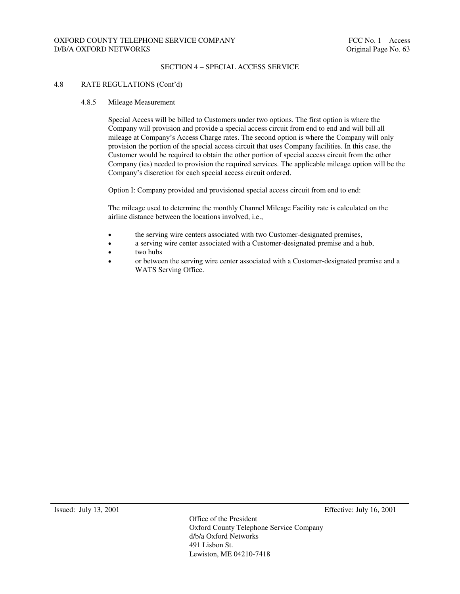### SECTION 4 – SPECIAL ACCESS SERVICE

### 4.8 RATE REGULATIONS (Cont'd)

#### 4.8.5 Mileage Measurement

Special Access will be billed to Customers under two options. The first option is where the Company will provision and provide a special access circuit from end to end and will bill all mileage at Company's Access Charge rates. The second option is where the Company will only provision the portion of the special access circuit that uses Company facilities. In this case, the Customer would be required to obtain the other portion of special access circuit from the other Company (ies) needed to provision the required services. The applicable mileage option will be the Company's discretion for each special access circuit ordered.

Option I: Company provided and provisioned special access circuit from end to end:

The mileage used to determine the monthly Channel Mileage Facility rate is calculated on the airline distance between the locations involved, i.e.,

- the serving wire centers associated with two Customer-designated premises,
- a serving wire center associated with a Customer-designated premise and a hub,
- two hubs
- or between the serving wire center associated with a Customer-designated premise and a WATS Serving Office.

Issued: July 13, 2001 Effective: July 16, 2001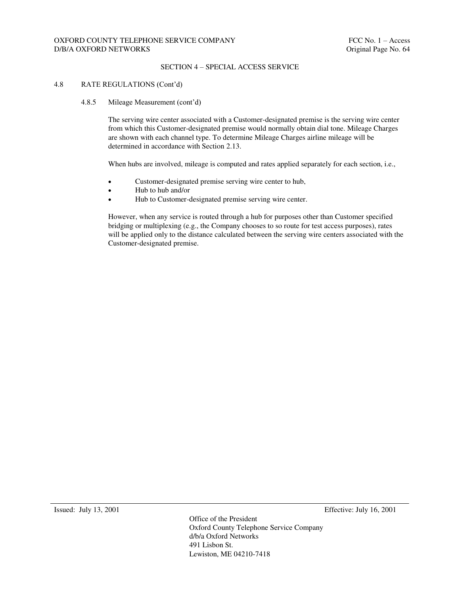### SECTION 4 – SPECIAL ACCESS SERVICE

#### 4.8 RATE REGULATIONS (Cont'd)

#### 4.8.5 Mileage Measurement (cont'd)

The serving wire center associated with a Customer-designated premise is the serving wire center from which this Customer-designated premise would normally obtain dial tone. Mileage Charges are shown with each channel type. To determine Mileage Charges airline mileage will be determined in accordance with Section 2.13.

When hubs are involved, mileage is computed and rates applied separately for each section, i.e.,

- Customer-designated premise serving wire center to hub,
- Hub to hub and/or
- Hub to Customer-designated premise serving wire center.

However, when any service is routed through a hub for purposes other than Customer specified bridging or multiplexing (e.g., the Company chooses to so route for test access purposes), rates will be applied only to the distance calculated between the serving wire centers associated with the Customer-designated premise.

Issued: July 13, 2001 Effective: July 16, 2001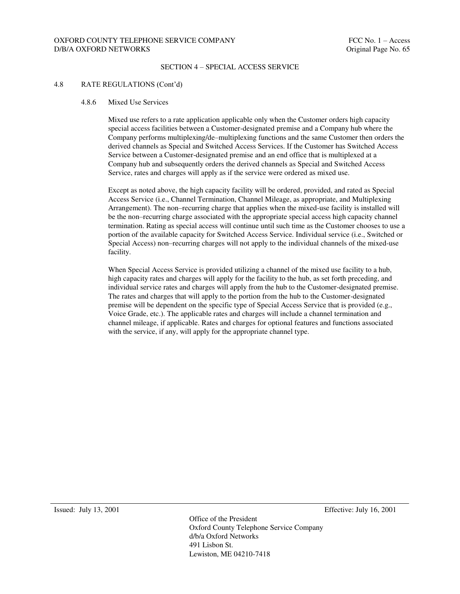### SECTION 4 – SPECIAL ACCESS SERVICE

#### 4.8 RATE REGULATIONS (Cont'd)

#### 4.8.6 Mixed Use Services

Mixed use refers to a rate application applicable only when the Customer orders high capacity special access facilities between a Customer-designated premise and a Company hub where the Company performs multiplexing/de–multiplexing functions and the same Customer then orders the derived channels as Special and Switched Access Services. If the Customer has Switched Access Service between a Customer-designated premise and an end office that is multiplexed at a Company hub and subsequently orders the derived channels as Special and Switched Access Service, rates and charges will apply as if the service were ordered as mixed use.

Except as noted above, the high capacity facility will be ordered, provided, and rated as Special Access Service (i.e., Channel Termination, Channel Mileage, as appropriate, and Multiplexing Arrangement). The non–recurring charge that applies when the mixed-use facility is installed will be the non–recurring charge associated with the appropriate special access high capacity channel termination. Rating as special access will continue until such time as the Customer chooses to use a portion of the available capacity for Switched Access Service. Individual service (i.e., Switched or Special Access) non–recurring charges will not apply to the individual channels of the mixed-use facility.

When Special Access Service is provided utilizing a channel of the mixed use facility to a hub, high capacity rates and charges will apply for the facility to the hub, as set forth preceding, and individual service rates and charges will apply from the hub to the Customer-designated premise. The rates and charges that will apply to the portion from the hub to the Customer-designated premise will be dependent on the specific type of Special Access Service that is provided (e.g., Voice Grade, etc.). The applicable rates and charges will include a channel termination and channel mileage, if applicable. Rates and charges for optional features and functions associated with the service, if any, will apply for the appropriate channel type.

Issued: July 13, 2001 Effective: July 16, 2001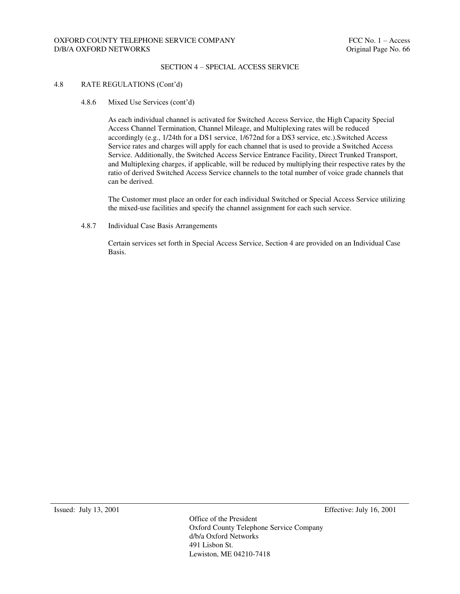### SECTION 4 – SPECIAL ACCESS SERVICE

### 4.8 RATE REGULATIONS (Cont'd)

4.8.6 Mixed Use Services (cont'd)

As each individual channel is activated for Switched Access Service, the High Capacity Special Access Channel Termination, Channel Mileage, and Multiplexing rates will be reduced accordingly (e.g., 1/24th for a DS1 service, 1/672nd for a DS3 service, etc.).Switched Access Service rates and charges will apply for each channel that is used to provide a Switched Access Service. Additionally, the Switched Access Service Entrance Facility, Direct Trunked Transport, and Multiplexing charges, if applicable, will be reduced by multiplying their respective rates by the ratio of derived Switched Access Service channels to the total number of voice grade channels that can be derived.

The Customer must place an order for each individual Switched or Special Access Service utilizing the mixed-use facilities and specify the channel assignment for each such service.

4.8.7 Individual Case Basis Arrangements

Certain services set forth in Special Access Service, Section 4 are provided on an Individual Case Basis.

Issued: July 13, 2001 Effective: July 16, 2001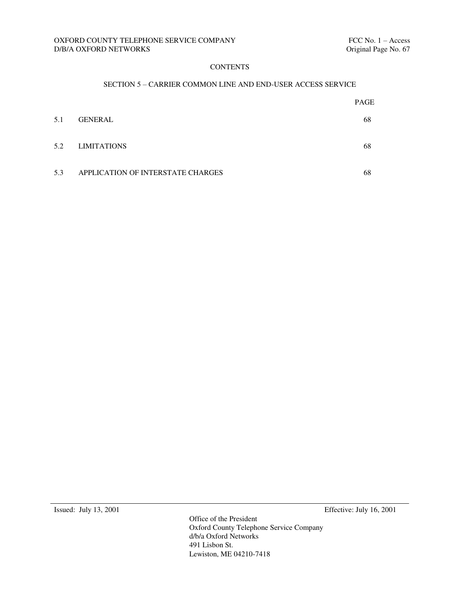# **CONTENTS**

## SECTION 5 – CARRIER COMMON LINE AND END-USER ACCESS SERVICE

|     |                                   | <b>PAGE</b> |
|-----|-----------------------------------|-------------|
| 5.1 | <b>GENERAL</b>                    | 68          |
| 5.2 | <b>LIMITATIONS</b>                | 68          |
| 5.3 | APPLICATION OF INTERSTATE CHARGES | 68          |

Issued: July 13, 2001 Effective: July 16, 2001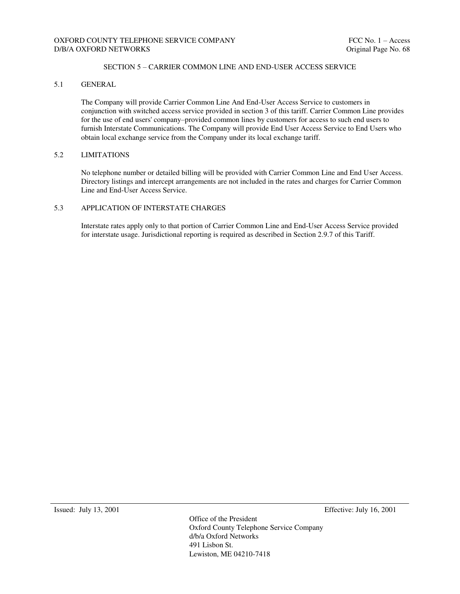## SECTION 5 – CARRIER COMMON LINE AND END-USER ACCESS SERVICE

# 5.1 GENERAL

The Company will provide Carrier Common Line And End-User Access Service to customers in conjunction with switched access service provided in section 3 of this tariff. Carrier Common Line provides for the use of end users' company–provided common lines by customers for access to such end users to furnish Interstate Communications. The Company will provide End User Access Service to End Users who obtain local exchange service from the Company under its local exchange tariff.

### 5.2 LIMITATIONS

No telephone number or detailed billing will be provided with Carrier Common Line and End User Access. Directory listings and intercept arrangements are not included in the rates and charges for Carrier Common Line and End-User Access Service.

### 5.3 APPLICATION OF INTERSTATE CHARGES

Interstate rates apply only to that portion of Carrier Common Line and End-User Access Service provided for interstate usage. Jurisdictional reporting is required as described in Section 2.9.7 of this Tariff.

Issued: July 13, 2001 Effective: July 16, 2001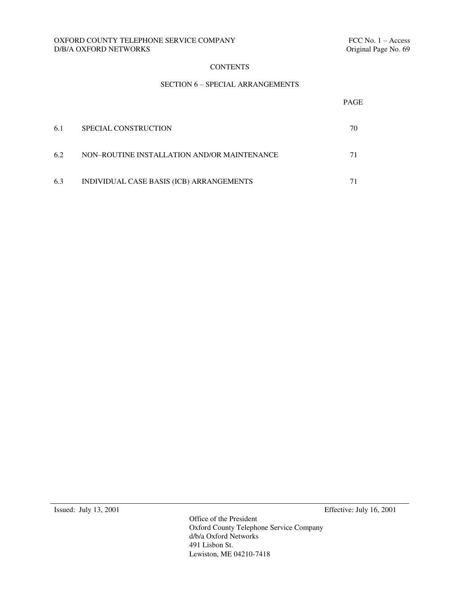## OXFORD COUNTY TELEPHONE SERVICE COMPANY FELOMENT FCC No. 1 – Access D/B/A OXFORD NETWORKS Criginal Page No. 69  $D/B/A$  OXFORD NETWORKS  $\;$

# **CONTENTS**

## SECTION 6 – SPECIAL ARRANGEMENTS

|     |                                             | PAGE |
|-----|---------------------------------------------|------|
| 6.1 | <b>SPECIAL CONSTRUCTION</b>                 | 70   |
| 6.2 | NON-ROUTINE INSTALLATION AND/OR MAINTENANCE | 71   |
| 6.3 | INDIVIDUAL CASE BASIS (ICB) ARRANGEMENTS    |      |

Issued: July 13, 2001 Effective: July 16, 2001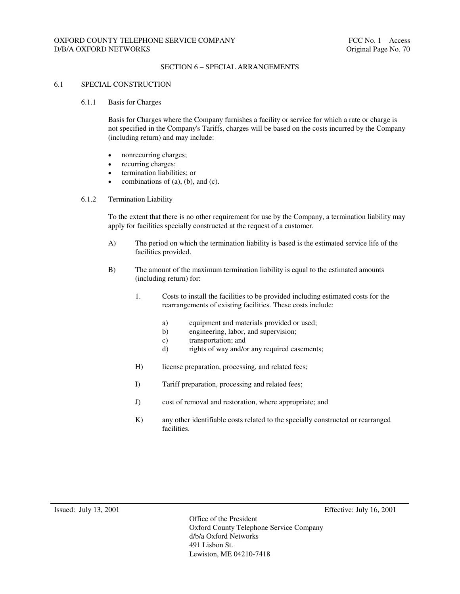### SECTION 6 – SPECIAL ARRANGEMENTS

#### 6.1 SPECIAL CONSTRUCTION

#### 6.1.1 Basis for Charges

Basis for Charges where the Company furnishes a facility or service for which a rate or charge is not specified in the Company's Tariffs, charges will be based on the costs incurred by the Company (including return) and may include:

- nonrecurring charges;
- recurring charges;
- termination liabilities; or
- combinations of (a), (b), and (c).

### 6.1.2 Termination Liability

To the extent that there is no other requirement for use by the Company, a termination liability may apply for facilities specially constructed at the request of a customer.

- A) The period on which the termination liability is based is the estimated service life of the facilities provided.
- B) The amount of the maximum termination liability is equal to the estimated amounts (including return) for:
	- 1. Costs to install the facilities to be provided including estimated costs for the rearrangements of existing facilities. These costs include:
		- a) equipment and materials provided or used;
		- b) engineering, labor, and supervision;
		- c) transportation; and
		- d) rights of way and/or any required easements;
	- H) license preparation, processing, and related fees;
	- I) Tariff preparation, processing and related fees;
	- J) cost of removal and restoration, where appropriate; and
	- K) any other identifiable costs related to the specially constructed or rearranged facilities.

Issued: July 13, 2001 Effective: July 16, 2001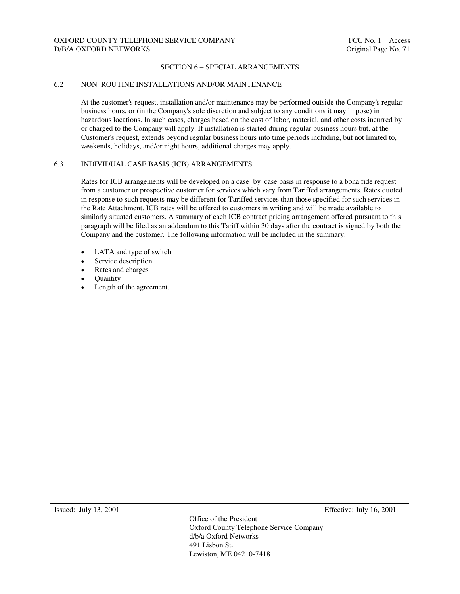### SECTION 6 – SPECIAL ARRANGEMENTS

#### 6.2 NON–ROUTINE INSTALLATIONS AND/OR MAINTENANCE

At the customer's request, installation and/or maintenance may be performed outside the Company's regular business hours, or (in the Company's sole discretion and subject to any conditions it may impose) in hazardous locations. In such cases, charges based on the cost of labor, material, and other costs incurred by or charged to the Company will apply. If installation is started during regular business hours but, at the Customer's request, extends beyond regular business hours into time periods including, but not limited to, weekends, holidays, and/or night hours, additional charges may apply.

### 6.3 INDIVIDUAL CASE BASIS (ICB) ARRANGEMENTS

Rates for ICB arrangements will be developed on a case–by–case basis in response to a bona fide request from a customer or prospective customer for services which vary from Tariffed arrangements. Rates quoted in response to such requests may be different for Tariffed services than those specified for such services in the Rate Attachment. ICB rates will be offered to customers in writing and will be made available to similarly situated customers. A summary of each ICB contract pricing arrangement offered pursuant to this paragraph will be filed as an addendum to this Tariff within 30 days after the contract is signed by both the Company and the customer. The following information will be included in the summary:

- LATA and type of switch
- Service description
- Rates and charges
- **Ouantity**
- Length of the agreement.

Issued: July 13, 2001 Effective: July 16, 2001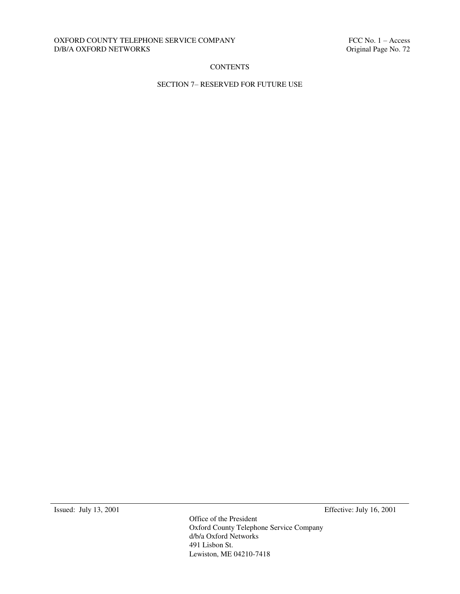## OXFORD COUNTY TELEPHONE SERVICE COMPANY FELOMENT FCC No. 1 – Access D/B/A OXFORD NETWORKS Criginal Page No. 72  $D/B/A$  OXFORD NETWORKS

# **CONTENTS**

## SECTION 7– RESERVED FOR FUTURE USE

Issued: July 13, 2001 Effective: July 16, 2001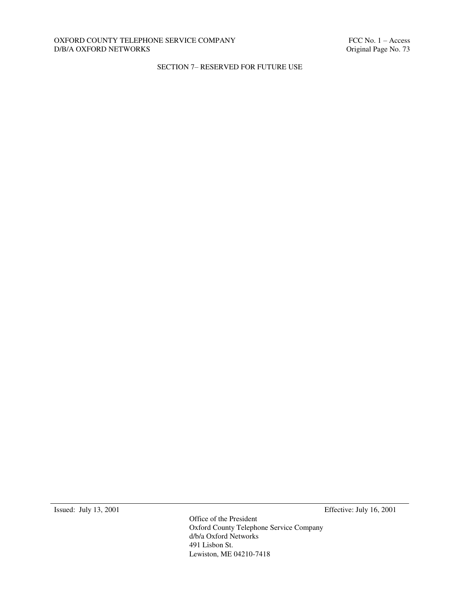### OXFORD COUNTY TELEPHONE SERVICE COMPANY FELOMENT FCC No. 1 – Access D/B/A OXFORD NETWORKS Criginal Page No. 73  $D/B/A$  OXFORD NETWORKS  $\;$

## SECTION 7– RESERVED FOR FUTURE USE

Issued: July 13, 2001 Effective: July 16, 2001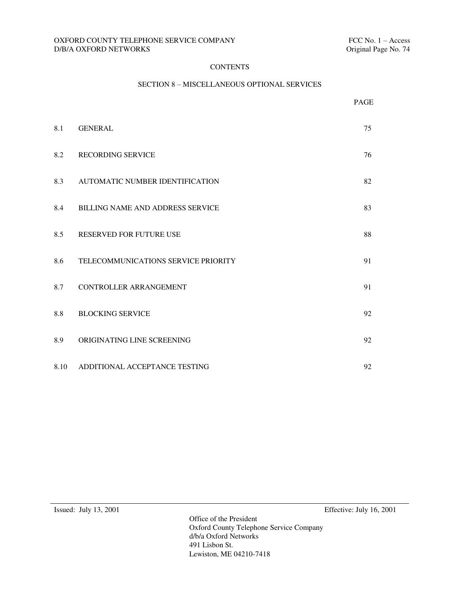## **CONTENTS**

## SECTION 8 – MISCELLANEOUS OPTIONAL SERVICES

|      |                                         | PAGE |
|------|-----------------------------------------|------|
| 8.1  | <b>GENERAL</b>                          | 75   |
| 8.2  | <b>RECORDING SERVICE</b>                | 76   |
| 8.3  | AUTOMATIC NUMBER IDENTIFICATION         | 82   |
| 8.4  | <b>BILLING NAME AND ADDRESS SERVICE</b> | 83   |
| 8.5  | <b>RESERVED FOR FUTURE USE</b>          | 88   |
| 8.6  | TELECOMMUNICATIONS SERVICE PRIORITY     | 91   |
| 8.7  | <b>CONTROLLER ARRANGEMENT</b>           | 91   |
| 8.8  | <b>BLOCKING SERVICE</b>                 | 92   |
| 8.9  | ORIGINATING LINE SCREENING              | 92   |
| 8.10 | ADDITIONAL ACCEPTANCE TESTING           | 92   |

Issued: July 13, 2001 Effective: July 16, 2001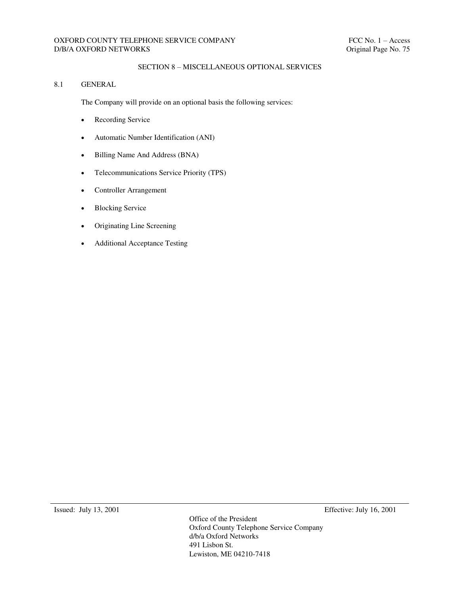## OXFORD COUNTY TELEPHONE SERVICE COMPANY FCC No. 1 – Access D/B/A OXFORD NETWORKS Original Page No. 75

## SECTION 8 – MISCELLANEOUS OPTIONAL SERVICES

## 8.1 GENERAL

The Company will provide on an optional basis the following services:

- Recording Service
- Automatic Number Identification (ANI)
- Billing Name And Address (BNA)
- Telecommunications Service Priority (TPS)
- Controller Arrangement
- Blocking Service
- Originating Line Screening
- Additional Acceptance Testing

Issued: July 13, 2001 Effective: July 16, 2001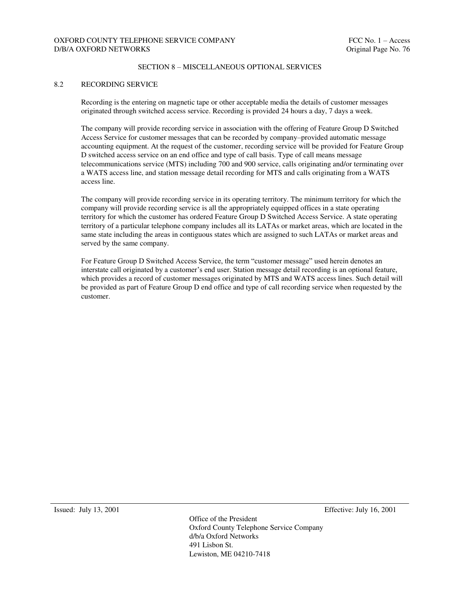## OXFORD COUNTY TELEPHONE SERVICE COMPANY FOR THE SERVICE OF THE SERVICE OF THE SERVICE OF THE SERVICE OF THE SERVICE OF THE SERVICE OF THE SERVICE OF THE SERVICE OF THE SERVICE OF THE SERVICE OF THE SERVICE OF THE SERVICE O D/B/A OXFORD NETWORKS **Original Page No. 76**

#### SECTION 8 – MISCELLANEOUS OPTIONAL SERVICES

#### 8.2 RECORDING SERVICE

Recording is the entering on magnetic tape or other acceptable media the details of customer messages originated through switched access service. Recording is provided 24 hours a day, 7 days a week.

The company will provide recording service in association with the offering of Feature Group D Switched Access Service for customer messages that can be recorded by company–provided automatic message accounting equipment. At the request of the customer, recording service will be provided for Feature Group D switched access service on an end office and type of call basis. Type of call means message telecommunications service (MTS) including 700 and 900 service, calls originating and/or terminating over a WATS access line, and station message detail recording for MTS and calls originating from a WATS access line.

The company will provide recording service in its operating territory. The minimum territory for which the company will provide recording service is all the appropriately equipped offices in a state operating territory for which the customer has ordered Feature Group D Switched Access Service. A state operating territory of a particular telephone company includes all its LATAs or market areas, which are located in the same state including the areas in contiguous states which are assigned to such LATAs or market areas and served by the same company.

For Feature Group D Switched Access Service, the term "customer message" used herein denotes an interstate call originated by a customer's end user. Station message detail recording is an optional feature, which provides a record of customer messages originated by MTS and WATS access lines. Such detail will be provided as part of Feature Group D end office and type of call recording service when requested by the customer.

Issued: July 13, 2001 Effective: July 16, 2001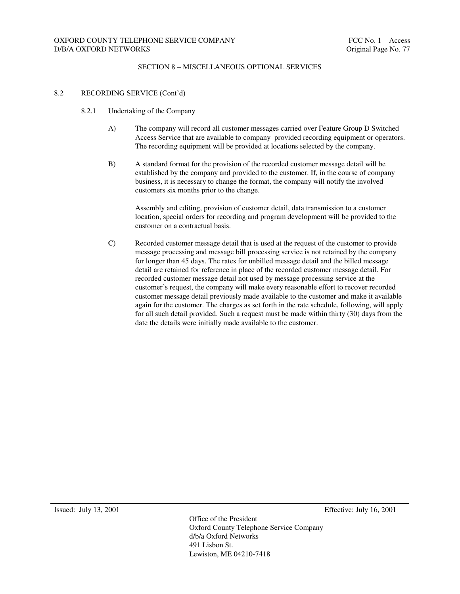#### 8.2 RECORDING SERVICE (Cont'd)

- 8.2.1 Undertaking of the Company
	- A) The company will record all customer messages carried over Feature Group D Switched Access Service that are available to company–provided recording equipment or operators. The recording equipment will be provided at locations selected by the company.
	- B) A standard format for the provision of the recorded customer message detail will be established by the company and provided to the customer. If, in the course of company business, it is necessary to change the format, the company will notify the involved customers six months prior to the change.

Assembly and editing, provision of customer detail, data transmission to a customer location, special orders for recording and program development will be provided to the customer on a contractual basis.

C) Recorded customer message detail that is used at the request of the customer to provide message processing and message bill processing service is not retained by the company for longer than 45 days. The rates for unbilled message detail and the billed message detail are retained for reference in place of the recorded customer message detail. For recorded customer message detail not used by message processing service at the customer's request, the company will make every reasonable effort to recover recorded customer message detail previously made available to the customer and make it available again for the customer. The charges as set forth in the rate schedule, following, will apply for all such detail provided. Such a request must be made within thirty (30) days from the date the details were initially made available to the customer.

Issued: July 13, 2001 Effective: July 16, 2001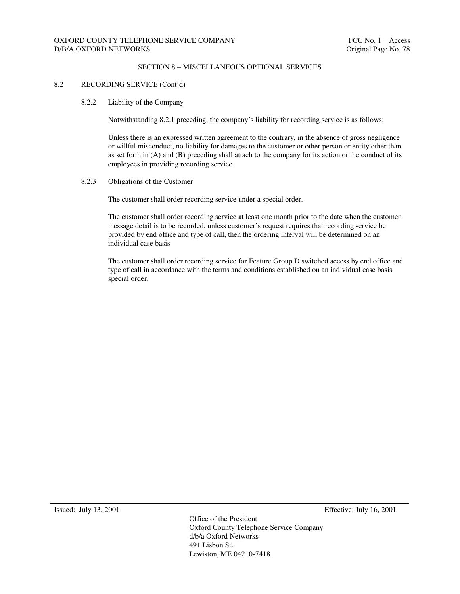#### 8.2 RECORDING SERVICE (Cont'd)

#### 8.2.2 Liability of the Company

Notwithstanding 8.2.1 preceding, the company's liability for recording service is as follows:

Unless there is an expressed written agreement to the contrary, in the absence of gross negligence or willful misconduct, no liability for damages to the customer or other person or entity other than as set forth in (A) and (B) preceding shall attach to the company for its action or the conduct of its employees in providing recording service.

#### 8.2.3 Obligations of the Customer

The customer shall order recording service under a special order.

The customer shall order recording service at least one month prior to the date when the customer message detail is to be recorded, unless customer's request requires that recording service be provided by end office and type of call, then the ordering interval will be determined on an individual case basis.

The customer shall order recording service for Feature Group D switched access by end office and type of call in accordance with the terms and conditions established on an individual case basis special order.

Issued: July 13, 2001 Effective: July 16, 2001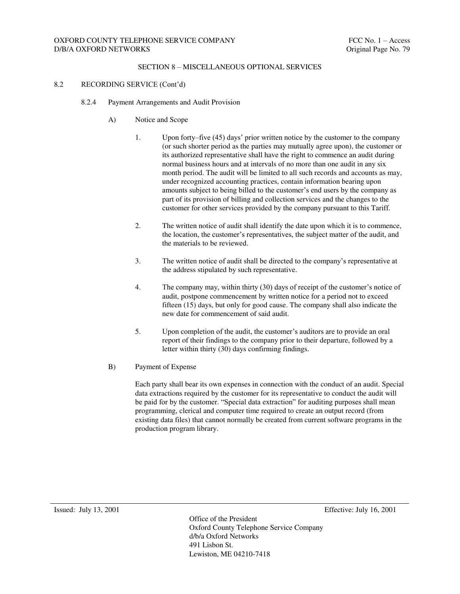#### 8.2 RECORDING SERVICE (Cont'd)

- 8.2.4 Payment Arrangements and Audit Provision
	- A) Notice and Scope
		- 1. Upon forty–five (45) days' prior written notice by the customer to the company (or such shorter period as the parties may mutually agree upon), the customer or its authorized representative shall have the right to commence an audit during normal business hours and at intervals of no more than one audit in any six month period. The audit will be limited to all such records and accounts as may, under recognized accounting practices, contain information bearing upon amounts subject to being billed to the customer's end users by the company as part of its provision of billing and collection services and the changes to the customer for other services provided by the company pursuant to this Tariff.
		- 2. The written notice of audit shall identify the date upon which it is to commence, the location, the customer's representatives, the subject matter of the audit, and the materials to be reviewed.
		- 3. The written notice of audit shall be directed to the company's representative at the address stipulated by such representative.
		- 4. The company may, within thirty (30) days of receipt of the customer's notice of audit, postpone commencement by written notice for a period not to exceed fifteen (15) days, but only for good cause. The company shall also indicate the new date for commencement of said audit.
		- 5. Upon completion of the audit, the customer's auditors are to provide an oral report of their findings to the company prior to their departure, followed by a letter within thirty (30) days confirming findings.
	- B) Payment of Expense

Each party shall bear its own expenses in connection with the conduct of an audit. Special data extractions required by the customer for its representative to conduct the audit will be paid for by the customer. "Special data extraction" for auditing purposes shall mean programming, clerical and computer time required to create an output record (from existing data files) that cannot normally be created from current software programs in the production program library.

Issued: July 13, 2001 Effective: July 16, 2001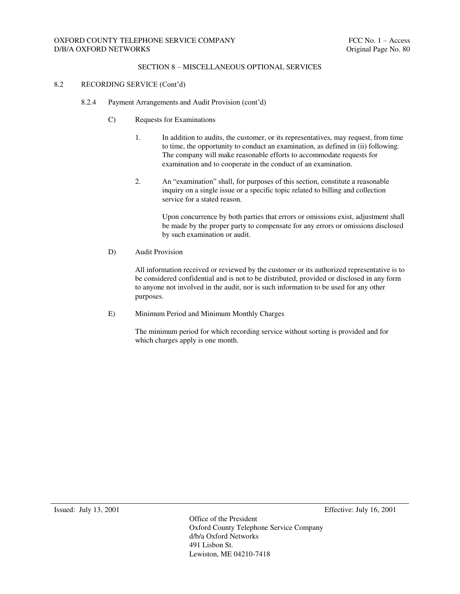## OXFORD COUNTY TELEPHONE SERVICE COMPANY FOR THE SERVICE OF THE SERVICE OF THE SERVICE OF THE SERVICE OF THE SERVICE OF THE SERVICE OF THE SERVICE OF THE SERVICE OF THE SERVICE OF THE SERVICE OF THE SERVICE OF THE SERVICE O D/B/A OXFORD NETWORKS **Original Page No. 80**

#### SECTION 8 – MISCELLANEOUS OPTIONAL SERVICES

#### 8.2 RECORDING SERVICE (Cont'd)

- 8.2.4 Payment Arrangements and Audit Provision (cont'd)
	- C) Requests for Examinations
		- 1. In addition to audits, the customer, or its representatives, may request, from time to time, the opportunity to conduct an examination, as defined in (ii) following. The company will make reasonable efforts to accommodate requests for examination and to cooperate in the conduct of an examination.
		- 2. An "examination" shall, for purposes of this section, constitute a reasonable inquiry on a single issue or a specific topic related to billing and collection service for a stated reason.

Upon concurrence by both parties that errors or omissions exist, adjustment shall be made by the proper party to compensate for any errors or omissions disclosed by such examination or audit.

D) Audit Provision

All information received or reviewed by the customer or its authorized representative is to be considered confidential and is not to be distributed, provided or disclosed in any form to anyone not involved in the audit, nor is such information to be used for any other purposes.

E) Minimum Period and Minimum Monthly Charges

The minimum period for which recording service without sorting is provided and for which charges apply is one month.

Issued: July 13, 2001 Effective: July 16, 2001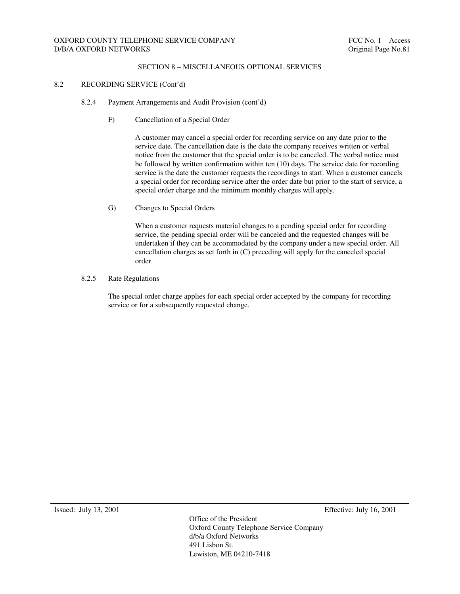#### 8.2 RECORDING SERVICE (Cont'd)

- 8.2.4 Payment Arrangements and Audit Provision (cont'd)
	- F) Cancellation of a Special Order

A customer may cancel a special order for recording service on any date prior to the service date. The cancellation date is the date the company receives written or verbal notice from the customer that the special order is to be canceled. The verbal notice must be followed by written confirmation within ten (10) days. The service date for recording service is the date the customer requests the recordings to start. When a customer cancels a special order for recording service after the order date but prior to the start of service, a special order charge and the minimum monthly charges will apply.

G) Changes to Special Orders

When a customer requests material changes to a pending special order for recording service, the pending special order will be canceled and the requested changes will be undertaken if they can be accommodated by the company under a new special order. All cancellation charges as set forth in (C) preceding will apply for the canceled special order.

#### 8.2.5 Rate Regulations

The special order charge applies for each special order accepted by the company for recording service or for a subsequently requested change.

Issued: July 13, 2001 Effective: July 16, 2001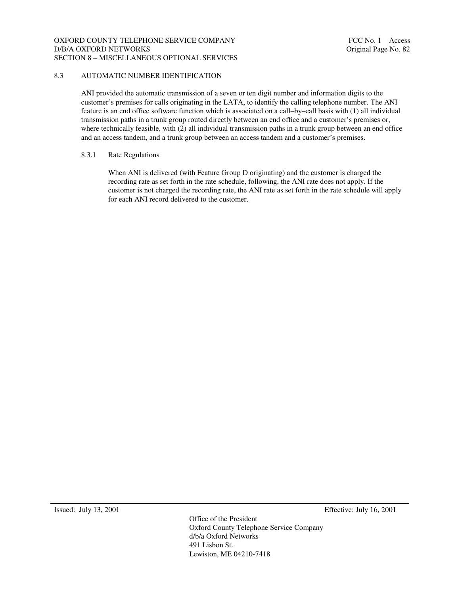#### OXFORD COUNTY TELEPHONE SERVICE COMPANY FOR THE SERVICE OF THE SERVICE OF THE SERVICE OF THE SERVICE OF THE SERVICE OF THE SERVICE OF THE SERVICE OF THE SERVICE OF THE SERVICE OF THE SERVICE OF THE SERVICE OF THE SERVICE O D/B/A OXFORD NETWORKS **Original Page No. 82** SECTION 8 – MISCELLANEOUS OPTIONAL SERVICES

#### 8.3 AUTOMATIC NUMBER IDENTIFICATION

ANI provided the automatic transmission of a seven or ten digit number and information digits to the customer's premises for calls originating in the LATA, to identify the calling telephone number. The ANI feature is an end office software function which is associated on a call–by–call basis with (1) all individual transmission paths in a trunk group routed directly between an end office and a customer's premises or, where technically feasible, with (2) all individual transmission paths in a trunk group between an end office and an access tandem, and a trunk group between an access tandem and a customer's premises.

#### 8.3.1 Rate Regulations

When ANI is delivered (with Feature Group D originating) and the customer is charged the recording rate as set forth in the rate schedule, following, the ANI rate does not apply. If the customer is not charged the recording rate, the ANI rate as set forth in the rate schedule will apply for each ANI record delivered to the customer.

Issued: July 13, 2001 Effective: July 16, 2001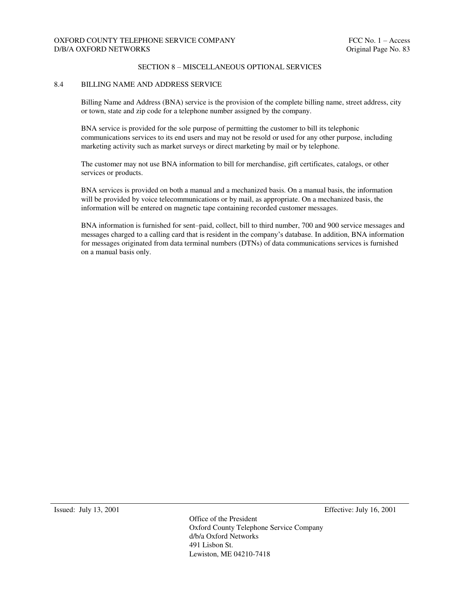## OXFORD COUNTY TELEPHONE SERVICE COMPANY FOR THE SERVICE OF THE SERVICE OF THE SERVICE OF THE SERVICE OF THE SERVICE OF THE SERVICE OF THE SERVICE OF THE SERVICE OF THE SERVICE OF THE SERVICE OF THE SERVICE OF THE SERVICE O D/B/A OXFORD NETWORKS **Original Page No. 83**

#### SECTION 8 – MISCELLANEOUS OPTIONAL SERVICES

#### 8.4 BILLING NAME AND ADDRESS SERVICE

Billing Name and Address (BNA) service is the provision of the complete billing name, street address, city or town, state and zip code for a telephone number assigned by the company.

BNA service is provided for the sole purpose of permitting the customer to bill its telephonic communications services to its end users and may not be resold or used for any other purpose, including marketing activity such as market surveys or direct marketing by mail or by telephone.

The customer may not use BNA information to bill for merchandise, gift certificates, catalogs, or other services or products.

BNA services is provided on both a manual and a mechanized basis. On a manual basis, the information will be provided by voice telecommunications or by mail, as appropriate. On a mechanized basis, the information will be entered on magnetic tape containing recorded customer messages.

BNA information is furnished for sent–paid, collect, bill to third number, 700 and 900 service messages and messages charged to a calling card that is resident in the company's database. In addition, BNA information for messages originated from data terminal numbers (DTNs) of data communications services is furnished on a manual basis only.

Issued: July 13, 2001 Effective: July 16, 2001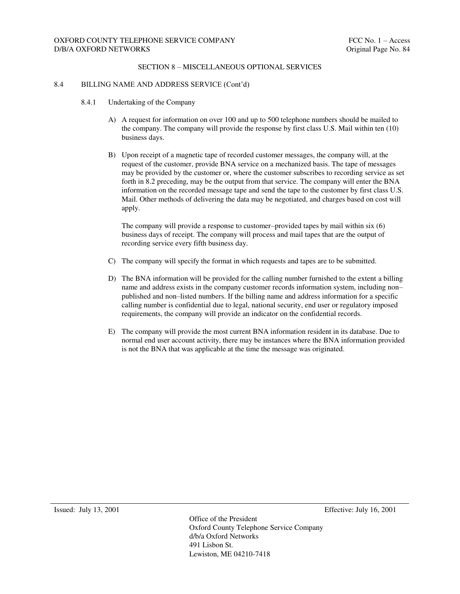#### 8.4 BILLING NAME AND ADDRESS SERVICE (Cont'd)

- 8.4.1 Undertaking of the Company
	- A) A request for information on over 100 and up to 500 telephone numbers should be mailed to the company. The company will provide the response by first class U.S. Mail within ten (10) business days.
	- B) Upon receipt of a magnetic tape of recorded customer messages, the company will, at the request of the customer, provide BNA service on a mechanized basis. The tape of messages may be provided by the customer or, where the customer subscribes to recording service as set forth in 8.2 preceding, may be the output from that service. The company will enter the BNA information on the recorded message tape and send the tape to the customer by first class U.S. Mail. Other methods of delivering the data may be negotiated, and charges based on cost will apply.

The company will provide a response to customer–provided tapes by mail within six (6) business days of receipt. The company will process and mail tapes that are the output of recording service every fifth business day.

- C) The company will specify the format in which requests and tapes are to be submitted.
- D) The BNA information will be provided for the calling number furnished to the extent a billing name and address exists in the company customer records information system, including non– published and non–listed numbers. If the billing name and address information for a specific calling number is confidential due to legal, national security, end user or regulatory imposed requirements, the company will provide an indicator on the confidential records.
- E) The company will provide the most current BNA information resident in its database. Due to normal end user account activity, there may be instances where the BNA information provided is not the BNA that was applicable at the time the message was originated.

Issued: July 13, 2001 Effective: July 16, 2001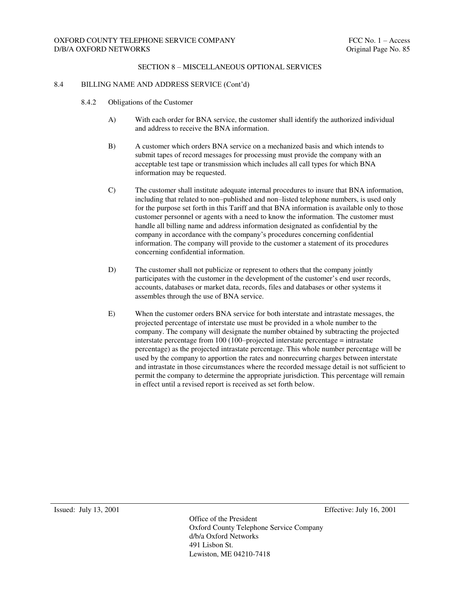#### 8.4 BILLING NAME AND ADDRESS SERVICE (Cont'd)

- 8.4.2 Obligations of the Customer
	- A) With each order for BNA service, the customer shall identify the authorized individual and address to receive the BNA information.
	- B) A customer which orders BNA service on a mechanized basis and which intends to submit tapes of record messages for processing must provide the company with an acceptable test tape or transmission which includes all call types for which BNA information may be requested.
	- C) The customer shall institute adequate internal procedures to insure that BNA information, including that related to non–published and non–listed telephone numbers, is used only for the purpose set forth in this Tariff and that BNA information is available only to those customer personnel or agents with a need to know the information. The customer must handle all billing name and address information designated as confidential by the company in accordance with the company's procedures concerning confidential information. The company will provide to the customer a statement of its procedures concerning confidential information.
	- D) The customer shall not publicize or represent to others that the company jointly participates with the customer in the development of the customer's end user records, accounts, databases or market data, records, files and databases or other systems it assembles through the use of BNA service.
	- E) When the customer orders BNA service for both interstate and intrastate messages, the projected percentage of interstate use must be provided in a whole number to the company. The company will designate the number obtained by subtracting the projected interstate percentage from 100 (100–projected interstate percentage = intrastate percentage) as the projected intrastate percentage. This whole number percentage will be used by the company to apportion the rates and nonrecurring charges between interstate and intrastate in those circumstances where the recorded message detail is not sufficient to permit the company to determine the appropriate jurisdiction. This percentage will remain in effect until a revised report is received as set forth below.

Issued: July 13, 2001 Effective: July 16, 2001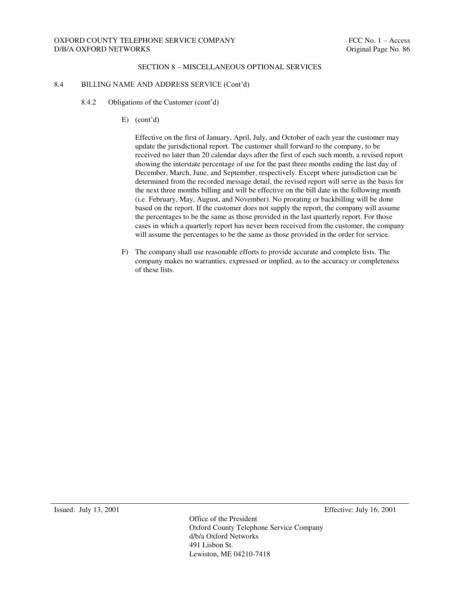#### 8.4 BILLING NAME AND ADDRESS SERVICE (Cont'd)

- 8.4.2 Obligations of the Customer (cont'd)
	- E) (cont'd)

Effective on the first of January, April, July, and October of each year the customer may update the jurisdictional report. The customer shall forward to the company, to be received no later than 20 calendar days after the first of each such month, a revised report showing the interstate percentage of use for the past three months ending the last day of December, March, June, and September, respectively. Except where jurisdiction can be determined from the recorded message detail, the revised report will serve as the basis for the next three months billing and will be effective on the bill date in the following month (i.e. February, May, August, and November). No prorating or backbilling will be done based on the report. If the customer does not supply the report, the company will assume the percentages to be the same as those provided in the last quarterly report. For those cases in which a quarterly report has never been received from the customer, the company will assume the percentages to be the same as those provided in the order for service.

F) The company shall use reasonable efforts to provide accurate and complete lists. The company makes no warranties, expressed or implied, as to the accuracy or completeness of these lists.

Issued: July 13, 2001 Effective: July 16, 2001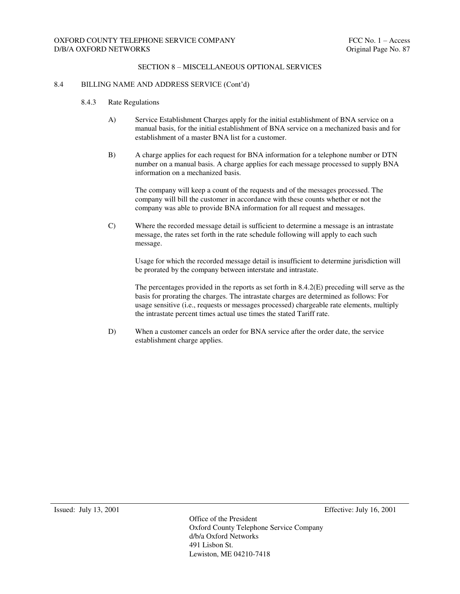#### 8.4 BILLING NAME AND ADDRESS SERVICE (Cont'd)

- 8.4.3 Rate Regulations
	- A) Service Establishment Charges apply for the initial establishment of BNA service on a manual basis, for the initial establishment of BNA service on a mechanized basis and for establishment of a master BNA list for a customer.
	- B) A charge applies for each request for BNA information for a telephone number or DTN number on a manual basis. A charge applies for each message processed to supply BNA information on a mechanized basis.

The company will keep a count of the requests and of the messages processed. The company will bill the customer in accordance with these counts whether or not the company was able to provide BNA information for all request and messages.

C) Where the recorded message detail is sufficient to determine a message is an intrastate message, the rates set forth in the rate schedule following will apply to each such message.

Usage for which the recorded message detail is insufficient to determine jurisdiction will be prorated by the company between interstate and intrastate.

The percentages provided in the reports as set forth in 8.4.2(E) preceding will serve as the basis for prorating the charges. The intrastate charges are determined as follows: For usage sensitive (i.e., requests or messages processed) chargeable rate elements, multiply the intrastate percent times actual use times the stated Tariff rate.

D) When a customer cancels an order for BNA service after the order date, the service establishment charge applies.

Issued: July 13, 2001 Effective: July 16, 2001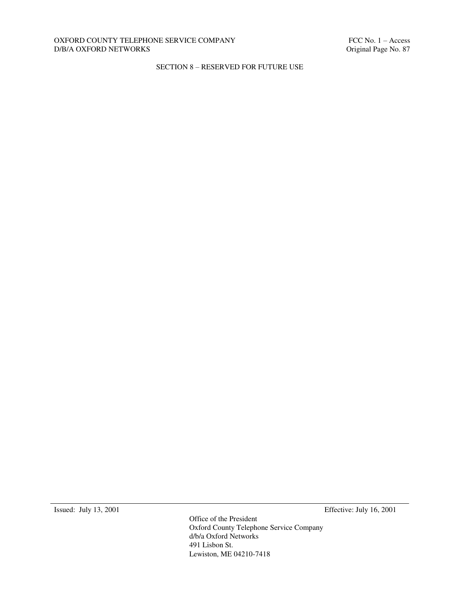### OXFORD COUNTY TELEPHONE SERVICE COMPANY FELOMENT FCC No. 1 – Access D/B/A OXFORD NETWORKS Criginal Page No. 87  $D/B/A$  OXFORD NETWORKS  $\;$

## SECTION 8 – RESERVED FOR FUTURE USE

Issued: July 13, 2001 Effective: July 16, 2001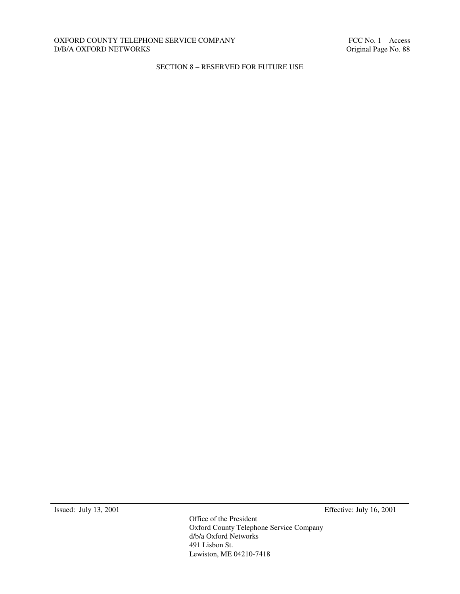### OXFORD COUNTY TELEPHONE SERVICE COMPANY FELOMENT FCC No. 1 – Access D/B/A OXFORD NETWORKS Criginal Page No. 88  $D/B/A$  OXFORD NETWORKS  $\;$

## SECTION 8 – RESERVED FOR FUTURE USE

Issued: July 13, 2001 Effective: July 16, 2001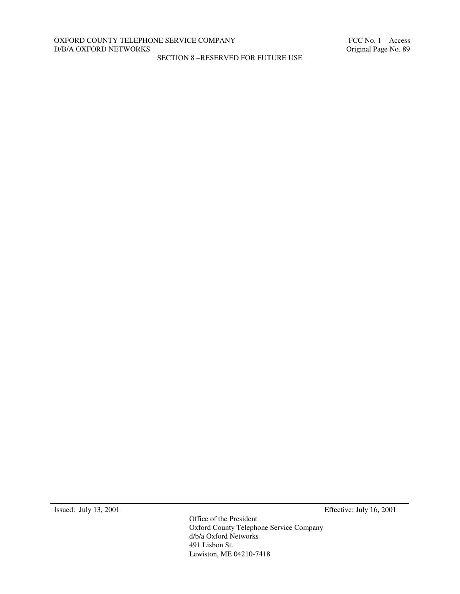## OXFORD COUNTY TELEPHONE SERVICE COMPANY FELOMENT FCC No. 1 – Access D/B/A OXFORD NETWORKS Criginal Page No. 89  $D/B/A$  OXFORD NETWORKS  $\;$

SECTION 8 –RESERVED FOR FUTURE USE

Issued: July 13, 2001 Effective: July 16, 2001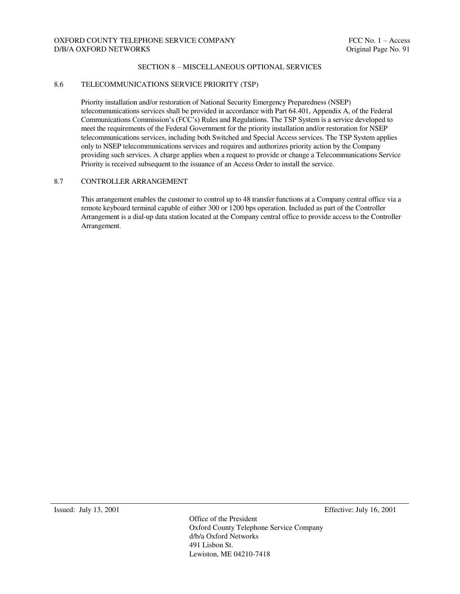## OXFORD COUNTY TELEPHONE SERVICE COMPANY FOR THE SERVICE OF THE SERVICE OF THE SERVICE OF THE SERVICE OF THE SERVICE OF THE SERVICE OF THE SERVICE OF THE SERVICE OF THE SERVICE OF THE SERVICE OF THE SERVICE OF THE SERVICE O D/B/A OXFORD NETWORKS **Original Page No. 91**

#### SECTION 8 – MISCELLANEOUS OPTIONAL SERVICES

#### 8.6 TELECOMMUNICATIONS SERVICE PRIORITY (TSP)

Priority installation and/or restoration of National Security Emergency Preparedness (NSEP) telecommunications services shall be provided in accordance with Part 64.401, Appendix A, of the Federal Communications Commission's (FCC's) Rules and Regulations. The TSP System is a service developed to meet the requirements of the Federal Government for the priority installation and/or restoration for NSEP telecommunications services, including both Switched and Special Access services. The TSP System applies only to NSEP telecommunications services and requires and authorizes priority action by the Company providing such services. A charge applies when a request to provide or change a Telecommunications Service Priority is received subsequent to the issuance of an Access Order to install the service.

### 8.7 CONTROLLER ARRANGEMENT

This arrangement enables the customer to control up to 48 transfer functions at a Company central office via a remote keyboard terminal capable of either 300 or 1200 bps operation. Included as part of the Controller Arrangement is a dial-up data station located at the Company central office to provide access to the Controller Arrangement.

Issued: July 13, 2001 Effective: July 16, 2001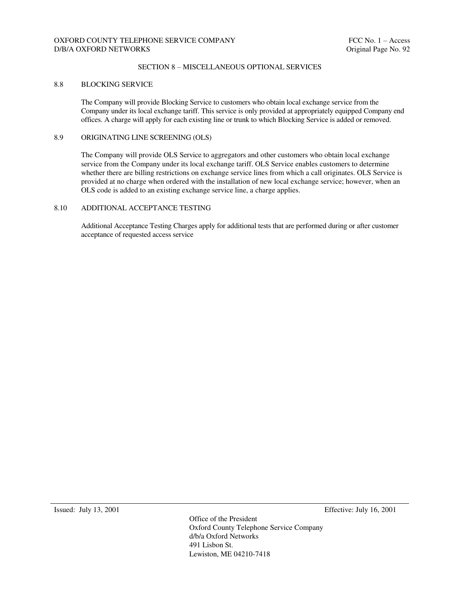## OXFORD COUNTY TELEPHONE SERVICE COMPANY FOR THE SERVICE OF THE SERVICE OF THE SERVICE OF THE SERVICE OF THE SERVICE OF THE SERVICE OF THE SERVICE OF THE SERVICE OF THE SERVICE OF THE SERVICE OF THE SERVICE OF THE SERVICE O D/B/A OXFORD NETWORKS **Original Page No. 92**

#### SECTION 8 – MISCELLANEOUS OPTIONAL SERVICES

#### 8.8 BLOCKING SERVICE

The Company will provide Blocking Service to customers who obtain local exchange service from the Company under its local exchange tariff. This service is only provided at appropriately equipped Company end offices. A charge will apply for each existing line or trunk to which Blocking Service is added or removed.

#### 8.9 ORIGINATING LINE SCREENING (OLS)

The Company will provide OLS Service to aggregators and other customers who obtain local exchange service from the Company under its local exchange tariff. OLS Service enables customers to determine whether there are billing restrictions on exchange service lines from which a call originates. OLS Service is provided at no charge when ordered with the installation of new local exchange service; however, when an OLS code is added to an existing exchange service line, a charge applies.

#### 8.10 ADDITIONAL ACCEPTANCE TESTING

Additional Acceptance Testing Charges apply for additional tests that are performed during or after customer acceptance of requested access service

Issued: July 13, 2001 Effective: July 16, 2001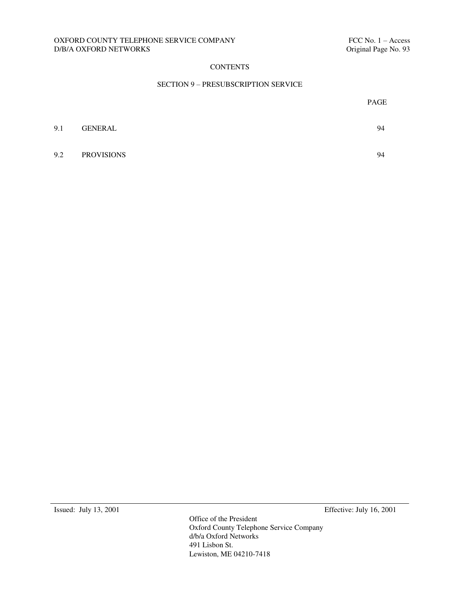#### OXFORD COUNTY TELEPHONE SERVICE COMPANY FELOMENT FCC No. 1 – Access D/B/A OXFORD NETWORKS Criginal Page No. 93  $D/B/A$  OXFORD NETWORKS  $\;$

## **CONTENTS**

#### SECTION 9 – PRESUBSCRIPTION SERVICE

|     |                   | PAGE |
|-----|-------------------|------|
| 9.1 | GENERAL           | 94   |
| 9.2 | <b>PROVISIONS</b> | 94   |

Issued: July 13, 2001 Effective: July 16, 2001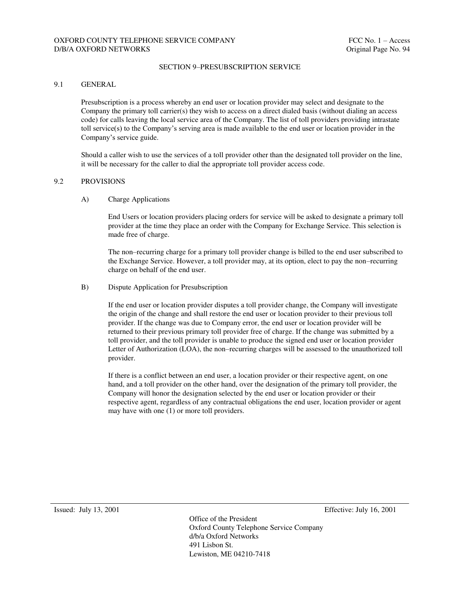## OXFORD COUNTY TELEPHONE SERVICE COMPANY FELOUSE THE SERVICE OF SERVICE OF SERVICE OF SERVICE OF SERVICE OF SERVICE OF SERVICE OF SERVICE OF SERVICE OF SERVICE OF SERVICE OF SERVICE OF SERVICE OF SERVICE OF SERVICE OF SERVI D/B/A OXFORD NETWORKS **Original Page No. 94**

#### SECTION 9–PRESUBSCRIPTION SERVICE

#### 9.1 GENERAL

Presubscription is a process whereby an end user or location provider may select and designate to the Company the primary toll carrier(s) they wish to access on a direct dialed basis (without dialing an access code) for calls leaving the local service area of the Company. The list of toll providers providing intrastate toll service(s) to the Company's serving area is made available to the end user or location provider in the Company's service guide.

Should a caller wish to use the services of a toll provider other than the designated toll provider on the line, it will be necessary for the caller to dial the appropriate toll provider access code.

### 9.2 PROVISIONS

A) Charge Applications

End Users or location providers placing orders for service will be asked to designate a primary toll provider at the time they place an order with the Company for Exchange Service. This selection is made free of charge.

The non–recurring charge for a primary toll provider change is billed to the end user subscribed to the Exchange Service. However, a toll provider may, at its option, elect to pay the non–recurring charge on behalf of the end user.

#### B) Dispute Application for Presubscription

If the end user or location provider disputes a toll provider change, the Company will investigate the origin of the change and shall restore the end user or location provider to their previous toll provider. If the change was due to Company error, the end user or location provider will be returned to their previous primary toll provider free of charge. If the change was submitted by a toll provider, and the toll provider is unable to produce the signed end user or location provider Letter of Authorization (LOA), the non–recurring charges will be assessed to the unauthorized toll provider.

If there is a conflict between an end user, a location provider or their respective agent, on one hand, and a toll provider on the other hand, over the designation of the primary toll provider, the Company will honor the designation selected by the end user or location provider or their respective agent, regardless of any contractual obligations the end user, location provider or agent may have with one (1) or more toll providers.

Issued: July 13, 2001 Effective: July 16, 2001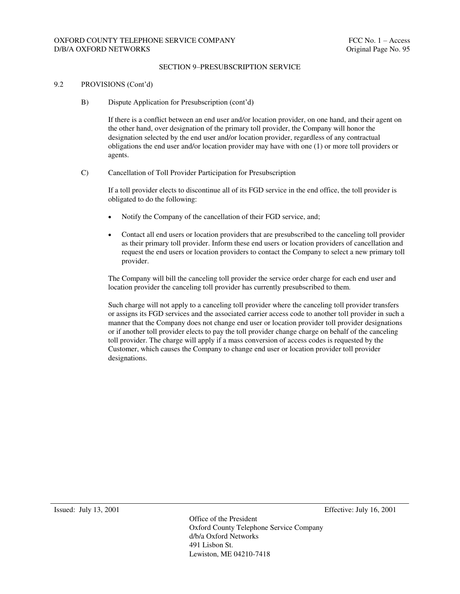## OXFORD COUNTY TELEPHONE SERVICE COMPANY FELOUSE THE SERVICE OF THE SERVICE OF THE SERVICE OF THE SERVICE OF THE SERVICE OF THE SERVICE OF THE SERVICE OF THE SERVICE OF THE SERVICE OF THE SERVICE OF THE SERVICE OF THE SERVI D/B/A OXFORD NETWORKS **Original Page No. 95**

#### SECTION 9–PRESUBSCRIPTION SERVICE

#### 9.2 PROVISIONS (Cont'd)

B) Dispute Application for Presubscription (cont'd)

If there is a conflict between an end user and/or location provider, on one hand, and their agent on the other hand, over designation of the primary toll provider, the Company will honor the designation selected by the end user and/or location provider, regardless of any contractual obligations the end user and/or location provider may have with one (1) or more toll providers or agents.

C) Cancellation of Toll Provider Participation for Presubscription

If a toll provider elects to discontinue all of its FGD service in the end office, the toll provider is obligated to do the following:

- Notify the Company of the cancellation of their FGD service, and;
- Contact all end users or location providers that are presubscribed to the canceling toll provider as their primary toll provider. Inform these end users or location providers of cancellation and request the end users or location providers to contact the Company to select a new primary toll provider.

The Company will bill the canceling toll provider the service order charge for each end user and location provider the canceling toll provider has currently presubscribed to them.

Such charge will not apply to a canceling toll provider where the canceling toll provider transfers or assigns its FGD services and the associated carrier access code to another toll provider in such a manner that the Company does not change end user or location provider toll provider designations or if another toll provider elects to pay the toll provider change charge on behalf of the canceling toll provider. The charge will apply if a mass conversion of access codes is requested by the Customer, which causes the Company to change end user or location provider toll provider designations.

Issued: July 13, 2001 Effective: July 16, 2001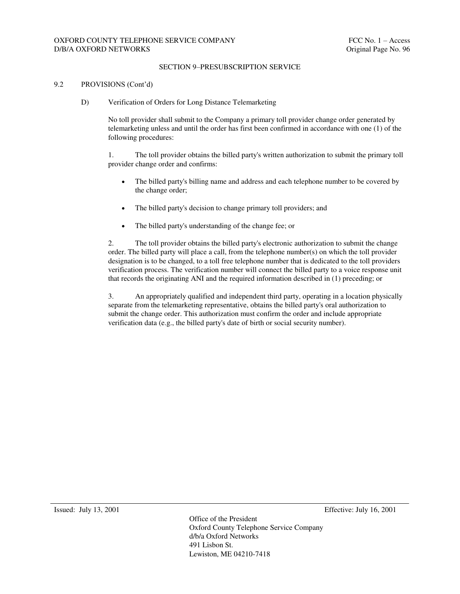## OXFORD COUNTY TELEPHONE SERVICE COMPANY FELOUSE THE SERVICE OF THE SERVICE OF THE SERVICE OF THE SERVICE OF THE SERVICE OF THE SERVICE OF THE SERVICE OF THE SERVICE OF THE SERVICE OF THE SERVICE OF THE SERVICE OF THE SERVI D/B/A OXFORD NETWORKS **Original Page No. 96**

#### SECTION 9–PRESUBSCRIPTION SERVICE

#### 9.2 PROVISIONS (Cont'd)

D) Verification of Orders for Long Distance Telemarketing

No toll provider shall submit to the Company a primary toll provider change order generated by telemarketing unless and until the order has first been confirmed in accordance with one (1) of the following procedures:

1. The toll provider obtains the billed party's written authorization to submit the primary toll provider change order and confirms:

- The billed party's billing name and address and each telephone number to be covered by the change order;
- The billed party's decision to change primary toll providers; and
- The billed party's understanding of the change fee; or

2. The toll provider obtains the billed party's electronic authorization to submit the change order. The billed party will place a call, from the telephone number(s) on which the toll provider designation is to be changed, to a toll free telephone number that is dedicated to the toll providers verification process. The verification number will connect the billed party to a voice response unit that records the originating ANI and the required information described in (1) preceding; or

3. An appropriately qualified and independent third party, operating in a location physically separate from the telemarketing representative, obtains the billed party's oral authorization to submit the change order. This authorization must confirm the order and include appropriate verification data (e.g., the billed party's date of birth or social security number).

Issued: July 13, 2001 Effective: July 16, 2001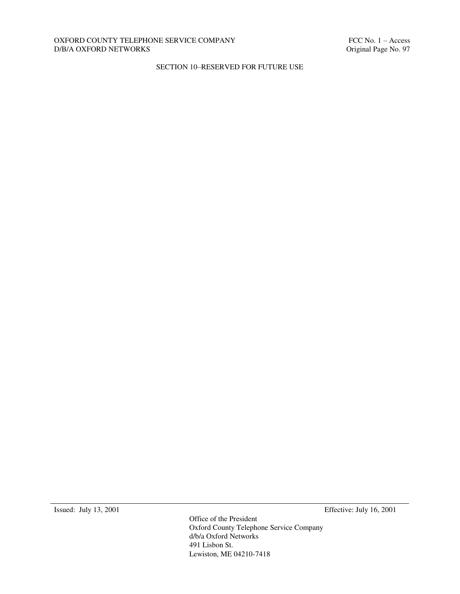#### OXFORD COUNTY TELEPHONE SERVICE COMPANY FELOMENT FCC No. 1 – Access D/B/A OXFORD NETWORKS Criginal Page No. 97  $D/B/A$  OXFORD NETWORKS  $\;$

## SECTION 10–RESERVED FOR FUTURE USE

Issued: July 13, 2001 Effective: July 16, 2001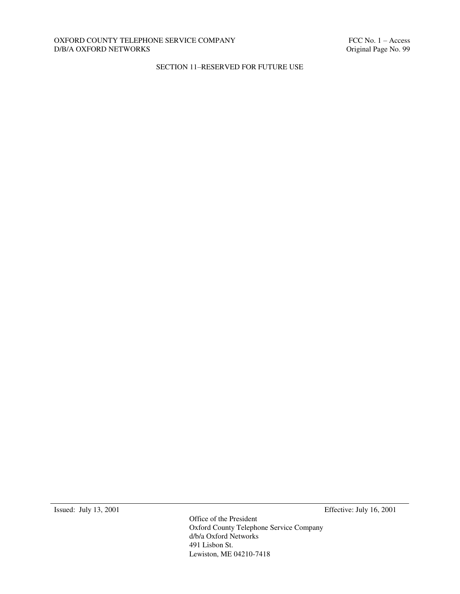#### OXFORD COUNTY TELEPHONE SERVICE COMPANY FELOMENT FCC No. 1 – Access D/B/A OXFORD NETWORKS Criginal Page No. 99  $D/B/A$  OXFORD NETWORKS  $\;$

## SECTION 11–RESERVED FOR FUTURE USE

Issued: July 13, 2001 Effective: July 16, 2001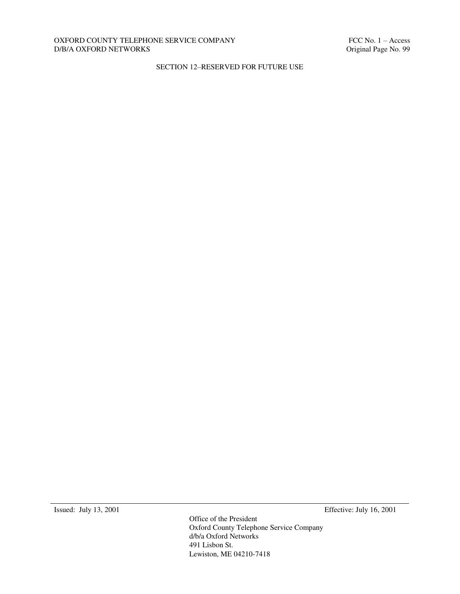#### OXFORD COUNTY TELEPHONE SERVICE COMPANY FELOMENT FCC No. 1 – Access D/B/A OXFORD NETWORKS Criginal Page No. 99  $D/B/A$  OXFORD NETWORKS  $\;$

## SECTION 12–RESERVED FOR FUTURE USE

Issued: July 13, 2001 Effective: July 16, 2001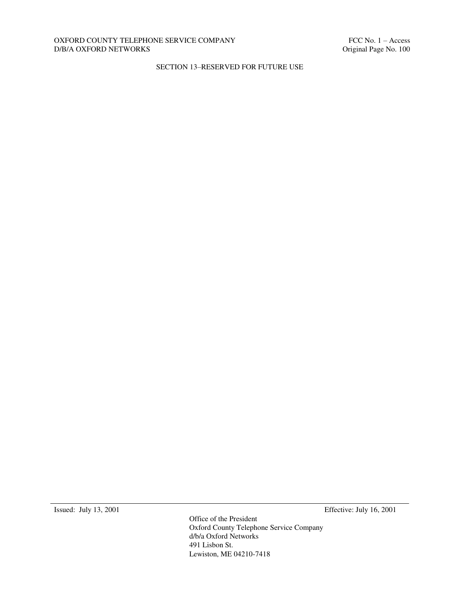#### OXFORD COUNTY TELEPHONE SERVICE COMPANY FELOMENT FCC No. 1 – Access D/B/A OXFORD NETWORKS Criginal Page No. 100  $D/B/A$  OXFORD NETWORKS  $\;$

## SECTION 13–RESERVED FOR FUTURE USE

Issued: July 13, 2001 Effective: July 16, 2001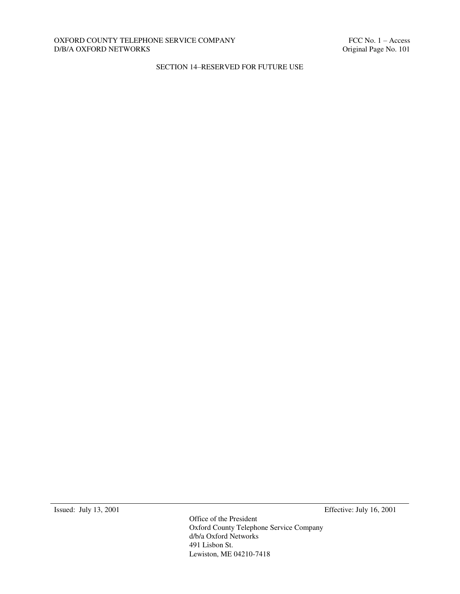### OXFORD COUNTY TELEPHONE SERVICE COMPANY FELOMENT FCC No. 1 – Access D/B/A OXFORD NETWORKS Criginal Page No. 101  $D/B/A$  OXFORD NETWORKS  $\;$

## SECTION 14–RESERVED FOR FUTURE USE

Issued: July 13, 2001 Effective: July 16, 2001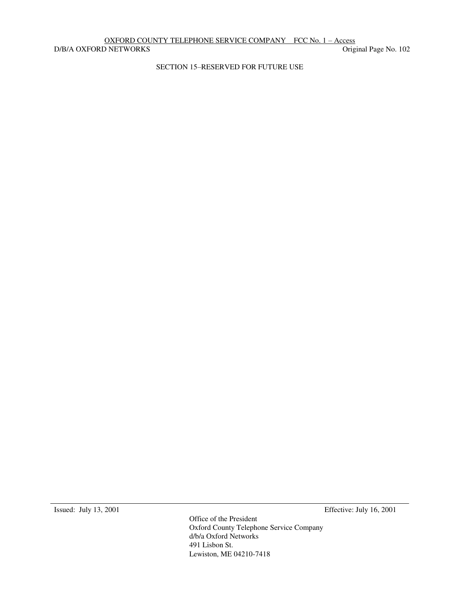# OXFORD COUNTY TELEPHONE SERVICE COMPANY FCC No. 1 – Access<br>
ONETWORKS Original Page No. 102

D/B/A OXFORD NETWORKS

SECTION 15–RESERVED FOR FUTURE USE

Issued: July 13, 2001 Effective: July 16, 2001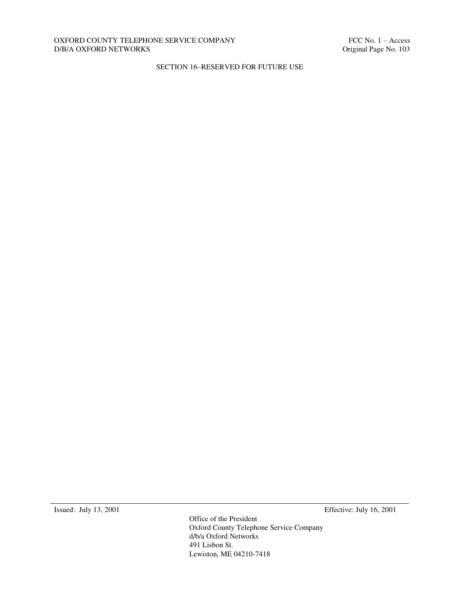#### OXFORD COUNTY TELEPHONE SERVICE COMPANY FELOMENT FCC No. 1 – Access D/B/A OXFORD NETWORKS Criginal Page No. 103  $D/B/A$  OXFORD NETWORKS  $\;$

## SECTION 16–RESERVED FOR FUTURE USE

Issued: July 13, 2001 Effective: July 16, 2001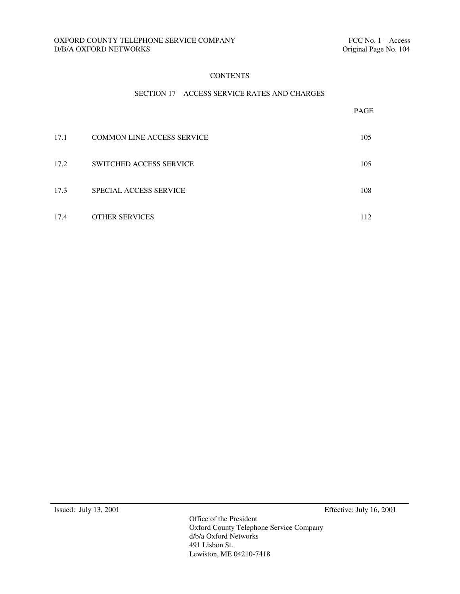#### **CONTENTS**

#### SECTION 17 – ACCESS SERVICE RATES AND CHARGES

|      |                                   | PAGE |
|------|-----------------------------------|------|
| 17.1 | <b>COMMON LINE ACCESS SERVICE</b> | 105  |
| 17.2 | <b>SWITCHED ACCESS SERVICE</b>    | 105  |
| 17.3 | <b>SPECIAL ACCESS SERVICE</b>     | 108  |
| 17.4 | <b>OTHER SERVICES</b>             | 112  |

Issued: July 13, 2001 Effective: July 16, 2001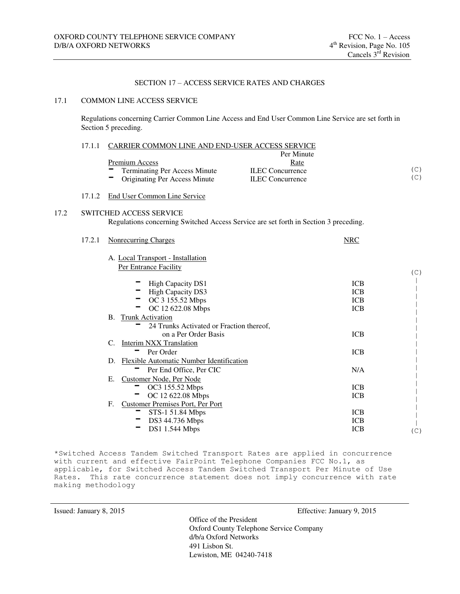### SECTION 17 – ACCESS SERVICE RATES AND CHARGES

#### 17.1 COMMON LINE ACCESS SERVICE

Regulations concerning Carrier Common Line Access and End User Common Line Service are set forth in Section 5 preceding.

|      | CARRIER COMMON LINE AND END-USER ACCESS SERVICE<br>17.1.1 |                                                                                      |                         |     |
|------|-----------------------------------------------------------|--------------------------------------------------------------------------------------|-------------------------|-----|
|      |                                                           |                                                                                      | Per Minute              |     |
|      |                                                           | <b>Premium Access</b>                                                                | Rate                    |     |
|      |                                                           | <b>Terminating Per Access Minute</b>                                                 | <b>ILEC</b> Concurrence | (C) |
|      |                                                           | Originating Per Access Minute                                                        | <b>ILEC</b> Concurrence | (C) |
|      | 17.1.2                                                    | <b>End User Common Line Service</b>                                                  |                         |     |
| 17.2 |                                                           | SWITCHED ACCESS SERVICE                                                              |                         |     |
|      |                                                           | Regulations concerning Switched Access Service are set forth in Section 3 preceding. |                         |     |
|      |                                                           |                                                                                      |                         |     |
|      | 17.2.1                                                    | <b>Nonrecurring Charges</b>                                                          | <b>NRC</b>              |     |
|      |                                                           |                                                                                      |                         |     |
|      |                                                           | A. Local Transport - Installation                                                    |                         |     |
|      |                                                           | Per Entrance Facility                                                                |                         | (C) |
|      |                                                           | <b>High Capacity DS1</b>                                                             | <b>ICB</b>              |     |
|      |                                                           | <b>High Capacity DS3</b>                                                             | <b>ICB</b>              |     |
|      |                                                           | OC 3 155.52 Mbps                                                                     | <b>ICB</b>              |     |
|      |                                                           | OC 12 622.08 Mbps                                                                    | <b>ICB</b>              |     |
|      |                                                           | B. Trunk Activation                                                                  |                         |     |
|      |                                                           | 24 Trunks Activated or Fraction thereof,                                             |                         |     |
|      |                                                           | on a Per Order Basis                                                                 | <b>ICB</b>              |     |
|      |                                                           | <b>Interim NXX Translation</b><br>C.                                                 |                         |     |
|      |                                                           | Per Order                                                                            | <b>ICB</b>              |     |
|      |                                                           | D. Flexible Automatic Number Identification                                          |                         |     |
|      |                                                           | Per End Office, Per CIC                                                              | N/A                     |     |
|      |                                                           | Customer Node, Per Node<br>Е.                                                        |                         |     |
|      |                                                           | OC3 155.52 Mbps                                                                      | <b>ICB</b>              |     |
|      |                                                           | OC 12 622.08 Mbps                                                                    | <b>ICB</b>              |     |
|      |                                                           | $F_{\cdot}$<br><b>Customer Premises Port, Per Port</b>                               |                         |     |
|      |                                                           | STS-1 51.84 Mbps                                                                     | <b>ICB</b>              |     |
|      |                                                           | DS3 44.736 Mbps                                                                      | <b>ICB</b>              |     |
|      |                                                           | DS1 1.544 Mbps                                                                       | <b>ICB</b>              | (C) |
|      |                                                           |                                                                                      |                         |     |

\*Switched Access Tandem Switched Transport Rates are applied in concurrence with current and effective FairPoint Telephone Companies FCC No.1, as applicable, for Switched Access Tandem Switched Transport Per Minute of Use Rates. This rate concurrence statement does not imply concurrence with rate making methodology

Issued: January 8, 2015 Effective: January 9, 2015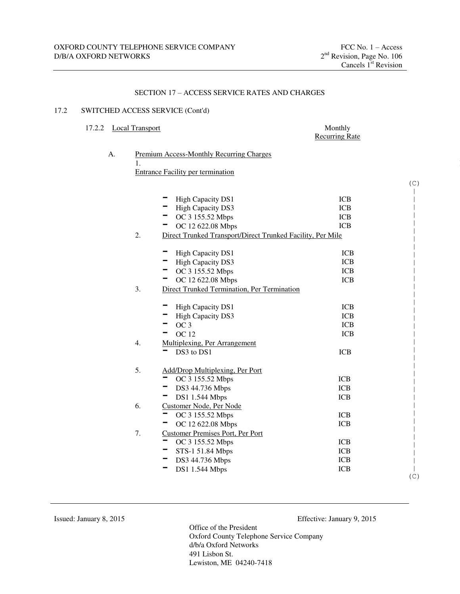## SECTION 17 – ACCESS SERVICE RATES AND CHARGES

#### 17.2 SWITCHED ACCESS SERVICE (Cont'd)

## 17.2.2 Local Transport Monthly

## Recurring Rate

| 1. |                                                            |            |     |
|----|------------------------------------------------------------|------------|-----|
|    | <b>Entrance Facility per termination</b>                   |            |     |
|    |                                                            |            | (C) |
|    |                                                            |            |     |
|    | High Capacity DS1                                          | <b>ICB</b> |     |
|    | <b>High Capacity DS3</b>                                   | <b>ICB</b> |     |
|    | OC 3 155.52 Mbps                                           | <b>ICB</b> |     |
|    | OC 12 622.08 Mbps                                          | <b>ICB</b> |     |
| 2. | Direct Trunked Transport/Direct Trunked Facility, Per Mile |            |     |
|    | High Capacity DS1                                          | <b>ICB</b> |     |
|    | <b>High Capacity DS3</b>                                   | <b>ICB</b> |     |
|    | OC 3 155.52 Mbps                                           | <b>ICB</b> |     |
|    | OC 12 622.08 Mbps                                          | <b>ICB</b> |     |
| 3. | Direct Trunked Termination, Per Termination                |            |     |
|    | High Capacity DS1                                          | <b>ICB</b> |     |
|    | <b>High Capacity DS3</b>                                   | <b>ICB</b> |     |
|    | OC <sub>3</sub>                                            | <b>ICB</b> |     |
|    | <b>OC</b> 12                                               | <b>ICB</b> |     |
| 4. | Multiplexing, Per Arrangement                              |            |     |
|    | DS3 to DS1                                                 | <b>ICB</b> |     |
| 5. | Add/Drop Multiplexing, Per Port                            |            |     |
|    | OC 3 155.52 Mbps                                           | <b>ICB</b> |     |
|    | DS3 44.736 Mbps                                            | <b>ICB</b> |     |
|    | DS1 1.544 Mbps                                             | <b>ICB</b> |     |
| 6. | Customer Node, Per Node                                    |            |     |
|    | OC 3 155.52 Mbps                                           | <b>ICB</b> |     |
|    | OC 12 622.08 Mbps                                          | <b>ICB</b> |     |
| 7. | <b>Customer Premises Port, Per Port</b>                    |            |     |
|    | OC 3 155.52 Mbps                                           | <b>ICB</b> |     |
|    | STS-1 51.84 Mbps                                           | <b>ICB</b> |     |
|    | DS3 44.736 Mbps                                            | <b>ICB</b> |     |
|    | DS1 1.544 Mbps                                             | <b>ICB</b> |     |
|    |                                                            |            | (C) |

Issued: January 8, 2015 Effective: January 9, 2015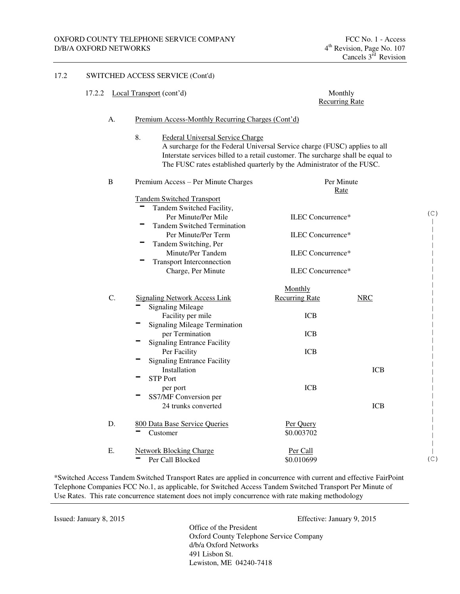17.2 SWITCHED ACCESS SERVICE (Cont'd)

#### 17.2.2 Local Transport (cont'd) Monthly Recurring Rate A. Premium Access-Monthly Recurring Charges (Cont'd) 8. Federal Universal Service Charge A surcharge for the Federal Universal Service charge (FUSC) applies to all Interstate services billed to a retail customer. The surcharge shall be equal to The FUSC rates established quarterly by the Administrator of the FUSC. B Premium Access – Per Minute Charges Per Minute Rate Tandem Switched Transport Tandem Switched Facility, Per Minute/Per Mile ILEC Concurrence\* Tandem Switched Termination Per Minute/Per Term ILEC Concurrence\* Tandem Switching, Per<br>Minute/Per Tandem ILEC Concurrence\* - Transport Interconnection Charge, Per Minute ILEC Concurrence\* C. Signaling Network Access Link<br>
Signaling Mileage Monthly Recurring Rate NRC Facility per mile ICB Signaling Mileage Termination per Termination ICB Signaling Entrance Facility Per Facility **ICB** Signaling Entrance Facility Installation ICB STP Port per port ICB - SS7/MF Conversion per 24 trunks converted ICB D. 800 Data Base Service Queries Per Query<br>
Customer \$0.003702 E. Network Blocking Charge Per Call<br>
Per Call Blocked \$0.010699 (C) | | | | | | | | | | | | | | | | | | | | | | | | | | | | | | (C)

\*Switched Access Tandem Switched Transport Rates are applied in concurrence with current and effective FairPoint Telephone Companies FCC No.1, as applicable, for Switched Access Tandem Switched Transport Per Minute of Use Rates. This rate concurrence statement does not imply concurrence with rate making methodology

Issued: January 8, 2015 Effective: January 9, 2015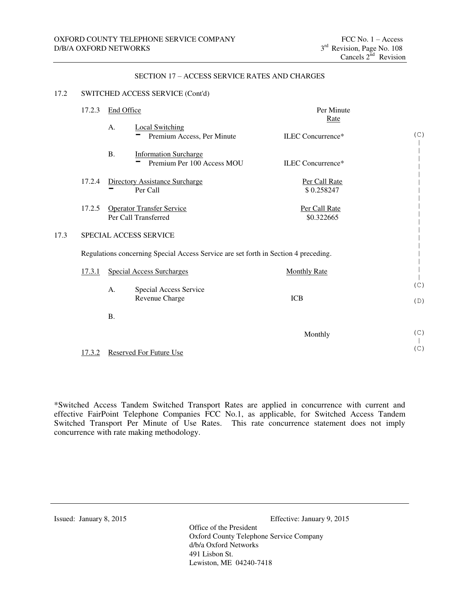#### SECTION 17 – ACCESS SERVICE RATES AND CHARGES

#### 17.2 SWITCHED ACCESS SERVICE (Cont'd)

| 17.2.3        | End Office                     |                                                                                     | Per Minute<br>Rate          |            |
|---------------|--------------------------------|-------------------------------------------------------------------------------------|-----------------------------|------------|
|               | A.                             | <b>Local Switching</b><br>Premium Access, Per Minute                                | ILEC Concurrence*           | (C)        |
|               | <b>B.</b>                      | <b>Information Surcharge</b><br>Premium Per 100 Access MOU                          | ILEC Concurrence*           |            |
| 17.2.4        |                                | <b>Directory Assistance Surcharge</b><br>Per Call                                   | Per Call Rate<br>\$0.258247 |            |
| 17.2.5        | Per Call Transferred           | <b>Operator Transfer Service</b>                                                    | Per Call Rate<br>\$0.322665 |            |
|               | SPECIAL ACCESS SERVICE         |                                                                                     |                             |            |
|               |                                | Regulations concerning Special Access Service are set forth in Section 4 preceding. |                             |            |
| <u>17.3.1</u> |                                | <b>Special Access Surcharges</b>                                                    | <b>Monthly Rate</b>         |            |
|               | A.                             | Special Access Service<br>Revenue Charge                                            | <b>ICB</b>                  | (C)<br>(D) |
|               | <b>B.</b>                      |                                                                                     |                             |            |
|               |                                |                                                                                     | Monthly                     | (C)        |
| 17.3.2        | <b>Reserved For Future Use</b> |                                                                                     |                             | (C)        |

\*Switched Access Tandem Switched Transport Rates are applied in concurrence with current and effective FairPoint Telephone Companies FCC No.1, as applicable, for Switched Access Tandem Switched Transport Per Minute of Use Rates. This rate concurrence statement does not imply concurrence with rate making methodology.

Issued: January 8, 2015 Effective: January 9, 2015

 $17.3$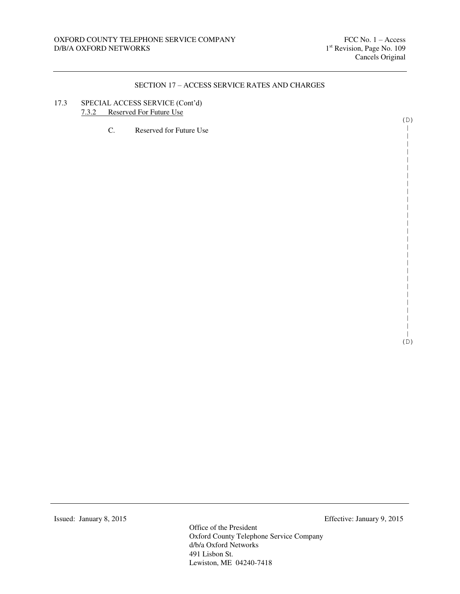## 17.3 SPECIAL ACCESS SERVICE (Cont'd) 7.3.2 Reserved For Future Use

| Reserved for Future Use<br>C. |  |
|-------------------------------|--|
|                               |  |
|                               |  |
|                               |  |
|                               |  |
|                               |  |
|                               |  |
|                               |  |
|                               |  |
|                               |  |

| | (D)

(D) | | | | | | | | | | | | | | | | | | | | | | | | |

Office of the President Oxford County Telephone Service Company d/b/a Oxford Networks 491 Lisbon St. Lewiston, ME 04240-7418

Issued: January 8, 2015 Effective: January 9, 2015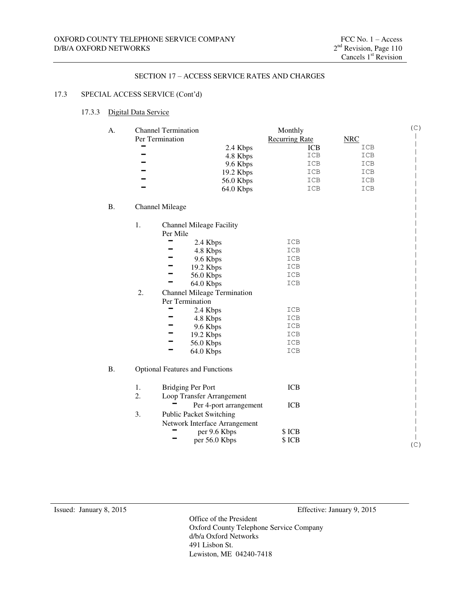## 17.3 SPECIAL ACCESS SERVICE (Cont'd)

#### 17.3.3 Digital Data Service

| А.        |    | <b>Channel Termination</b>             | Monthly               |            | $(\mathop{\mathcal{C}})$ |
|-----------|----|----------------------------------------|-----------------------|------------|--------------------------|
|           |    | Per Termination                        | <b>Recurring Rate</b> | <b>NRC</b> |                          |
|           |    | 2.4 Kbps                               | <b>ICB</b>            | ICB        |                          |
|           |    | 4.8 Kbps                               | ICB                   | ICB        |                          |
|           |    | 9.6 Kbps                               | ICB                   | ICB        |                          |
|           |    | 19.2 Kbps                              | ICB<br>ICB            | ICB<br>ICB |                          |
|           |    | 56.0 Kbps<br>64.0 Kbps                 | ICB                   | ICB        |                          |
| <b>B.</b> |    | <b>Channel Mileage</b>                 |                       |            |                          |
|           | 1. | <b>Channel Mileage Facility</b>        |                       |            |                          |
|           |    | Per Mile                               |                       |            |                          |
|           |    | 2.4 Kbps                               | ICB                   |            |                          |
|           |    | 4.8 Kbps                               | ICB                   |            |                          |
|           |    | 9.6 Kbps                               | ICB                   |            |                          |
|           |    | 19.2 Kbps                              | ICB                   |            |                          |
|           |    | 56.0 Kbps<br>64.0 Kbps                 | ICB<br>ICB            |            |                          |
|           | 2. | <b>Channel Mileage Termination</b>     |                       |            |                          |
|           |    | Per Termination                        |                       |            |                          |
|           |    | 2.4 Kbps                               | ICB                   |            |                          |
|           |    | 4.8 Kbps                               | ICB                   |            |                          |
|           |    | 9.6 Kbps                               | ICB                   |            |                          |
|           |    | 19.2 Kbps                              | ICB                   |            |                          |
|           |    | 56.0 Kbps                              | ICB                   |            |                          |
|           |    | 64.0 Kbps                              | ICB                   |            |                          |
| Β.        |    | <b>Optional Features and Functions</b> |                       |            |                          |
|           | 1. | <b>Bridging Per Port</b>               | <b>ICB</b>            |            |                          |
|           | 2. | Loop Transfer Arrangement              |                       |            |                          |
|           |    | Per 4-port arrangement                 | <b>ICB</b>            |            |                          |
|           | 3. | <b>Public Packet Switching</b>         |                       |            |                          |
|           |    | Network Interface Arrangement          |                       |            |                          |
|           |    | per 9.6 Kbps                           | \$ICB                 |            |                          |
|           |    | per 56.0 Kbps                          | \$ICB                 |            | (C)                      |
|           |    |                                        |                       |            |                          |

Issued: January 8, 2015 Effective: January 9, 2015

Office of the President Oxford County Telephone Service Company d/b/a Oxford Networks 491 Lisbon St. Lewiston, ME 04240-7418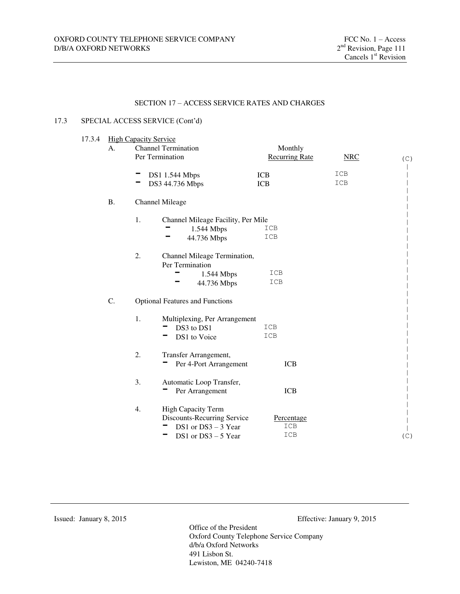#### 17.3 SPECIAL ACCESS SERVICE (Cont'd)

 $17.3.4$ 

| A.        | <b>High Capacity Service</b> | <b>Channel Termination</b>                                                                                 | Monthly                  |            |     |
|-----------|------------------------------|------------------------------------------------------------------------------------------------------------|--------------------------|------------|-----|
|           |                              | Per Termination                                                                                            | <b>Recurring Rate</b>    | NRC        | (C) |
|           |                              | <b>DS1 1.544 Mbps</b><br>DS3 44.736 Mbps                                                                   | <b>ICB</b><br><b>ICB</b> | ICB<br>ICB |     |
| <b>B.</b> |                              | <b>Channel Mileage</b>                                                                                     |                          |            |     |
|           | 1.                           | Channel Mileage Facility, Per Mile<br>1.544 Mbps<br>44.736 Mbps                                            | ICB<br>ICB               |            |     |
|           | 2.                           | Channel Mileage Termination,<br>Per Termination<br>1.544 Mbps<br>44.736 Mbps                               | ICB<br>ICB               |            |     |
| C.        |                              | <b>Optional Features and Functions</b>                                                                     |                          |            |     |
|           | 1.                           | Multiplexing, Per Arrangement<br>DS3 to DS1<br>DS1 to Voice                                                | ICB<br>ICB               |            |     |
|           | 2.                           | Transfer Arrangement,<br>Per 4-Port Arrangement                                                            | <b>ICB</b>               |            |     |
|           | 3.                           | Automatic Loop Transfer,<br>Per Arrangement                                                                | <b>ICB</b>               |            |     |
|           | 4.                           | <b>High Capacity Term</b><br>Discounts-Recurring Service<br>DS1 or $DS3 - 3$ Year<br>DS1 or $DS3 - 5$ Year | Percentage<br>ICB<br>ICB |            | (C) |
|           |                              |                                                                                                            |                          |            |     |

Issued: January 8, 2015 Effective: January 9, 2015

Office of the President Oxford County Telephone Service Company d/b/a Oxford Networks 491 Lisbon St. Lewiston, ME 04240-7418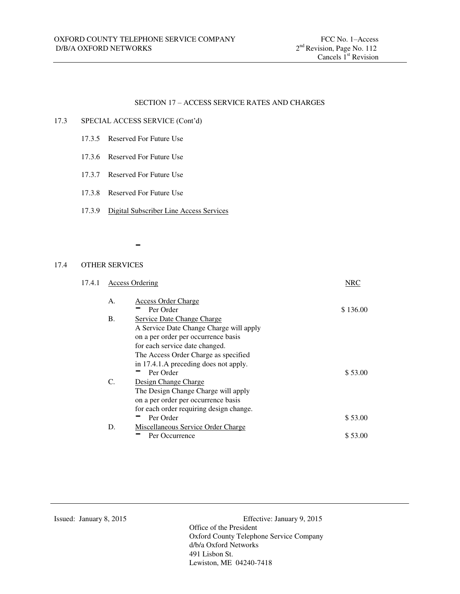#### 17.3 SPECIAL ACCESS SERVICE (Cont'd)

- 17.3.5 Reserved For Future Use
- 17.3.6 Reserved For Future Use
- 17.3.7 Reserved For Future Use
- 17.3.8 Reserved For Future Use
- 17.3.9 Digital Subscriber Line Access Services

-

#### 17.4 OTHER SERVICES

| 17.4.1 | <b>Access Ordering</b> |                                           | NRC      |
|--------|------------------------|-------------------------------------------|----------|
|        | A.                     | <b>Access Order Charge</b>                |          |
|        |                        | Per Order                                 | \$136.00 |
|        | <b>B.</b>              | <b>Service Date Change Charge</b>         |          |
|        |                        | A Service Date Change Charge will apply   |          |
|        |                        | on a per order per occurrence basis       |          |
|        |                        | for each service date changed.            |          |
|        |                        | The Access Order Charge as specified      |          |
|        |                        | in 17.4.1.A preceding does not apply.     |          |
|        |                        | Per Order                                 | \$53.00  |
|        | C.                     | Design Change Charge                      |          |
|        |                        | The Design Change Charge will apply       |          |
|        |                        | on a per order per occurrence basis       |          |
|        |                        | for each order requiring design change.   |          |
|        |                        | Per Order                                 | \$53.00  |
|        | D.                     | <b>Miscellaneous Service Order Charge</b> |          |
|        |                        | Per Occurrence                            | \$53.00  |
|        |                        |                                           |          |

Issued: January 8, 2015 Effective: January 9, 2015 Office of the President Oxford County Telephone Service Company d/b/a Oxford Networks 491 Lisbon St. Lewiston, ME 04240-7418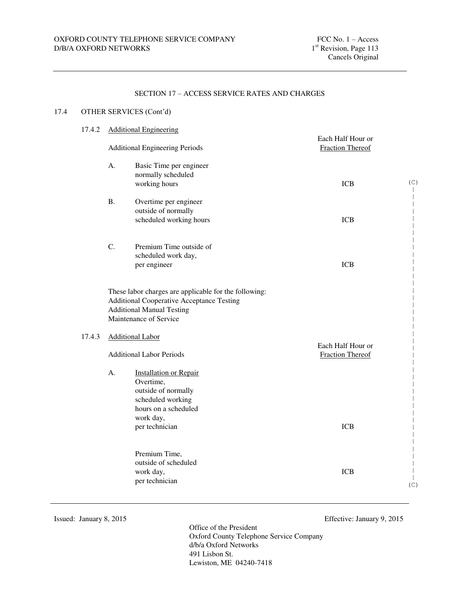## 17.4 OTHER SERVICES (Cont'd)

# 17.4.2 Additional Engineering

|        | <b>Additional Engineering Periods</b> |                                                                                                                                                                         | Each Half Hour or<br><b>Fraction Thereof</b> |     |
|--------|---------------------------------------|-------------------------------------------------------------------------------------------------------------------------------------------------------------------------|----------------------------------------------|-----|
|        | A.                                    | Basic Time per engineer<br>normally scheduled<br>working hours                                                                                                          | <b>ICB</b>                                   | (C) |
|        | <b>B.</b>                             | Overtime per engineer<br>outside of normally<br>scheduled working hours                                                                                                 | <b>ICB</b>                                   |     |
|        | C.                                    | Premium Time outside of<br>scheduled work day,<br>per engineer                                                                                                          | <b>ICB</b>                                   |     |
|        |                                       | These labor charges are applicable for the following:<br><b>Additional Cooperative Acceptance Testing</b><br><b>Additional Manual Testing</b><br>Maintenance of Service |                                              |     |
| 17.4.3 |                                       | <b>Additional Labor</b>                                                                                                                                                 | Each Half Hour or                            |     |
|        |                                       | <b>Additional Labor Periods</b>                                                                                                                                         | <b>Fraction Thereof</b>                      |     |
|        | A.                                    | <b>Installation or Repair</b><br>Overtime,<br>outside of normally<br>scheduled working<br>hours on a scheduled<br>work day,<br>per technician                           | <b>ICB</b>                                   |     |
|        |                                       |                                                                                                                                                                         |                                              |     |
|        |                                       | Premium Time,<br>outside of scheduled<br>work day,<br>per technician                                                                                                    | <b>ICB</b>                                   | (C) |

Issued: January 8, 2015 Effective: January 9, 2015

Office of the President Oxford County Telephone Service Company d/b/a Oxford Networks 491 Lisbon St. Lewiston, ME 04240-7418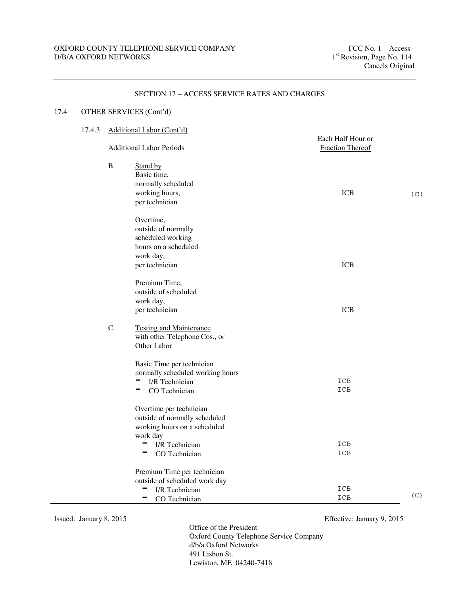#### 17.4 OTHER SERVICES (Cont'd) 17.4.3 Additional Labor (Cont'd) Each Half Hour or Additional Labor Periods Fraction Thereof B. Stand by Basic time, normally scheduled working hours, per technician ICB Overtime, outside of normally scheduled working hours on a scheduled work day, per technician ICB Premium Time, outside of scheduled work day, per technician ICB C. Testing and Maintenance with other Telephone Cos., or Other Labor Basic Time per technician normally scheduled working hours<br>  $\blacksquare$  I/R Technician ICB - I/R Technician ICB<br>- CO Technician ICB Overtime per technician outside of normally scheduled working hours on a scheduled work day ork day<br>
I/R Technician ICB<br>
ICB - I/R Technician ICB<br>- CO Technician ICB Premium Time per technician outside of scheduled work day - I/R Technician ICB TR Technician ICB<br>
CO Technician ICB<br>
CO Technician ICB  $(C)$ | | | | | | | | | | | | | | | | | | | | | | | | | | | | | | | | | | | | | (C)

#### SECTION 17 – ACCESS SERVICE RATES AND CHARGES

Office of the President Oxford County Telephone Service Company d/b/a Oxford Networks 491 Lisbon St. Lewiston, ME 04240-7418

Issued: January 8, 2015 Effective: January 9, 2015